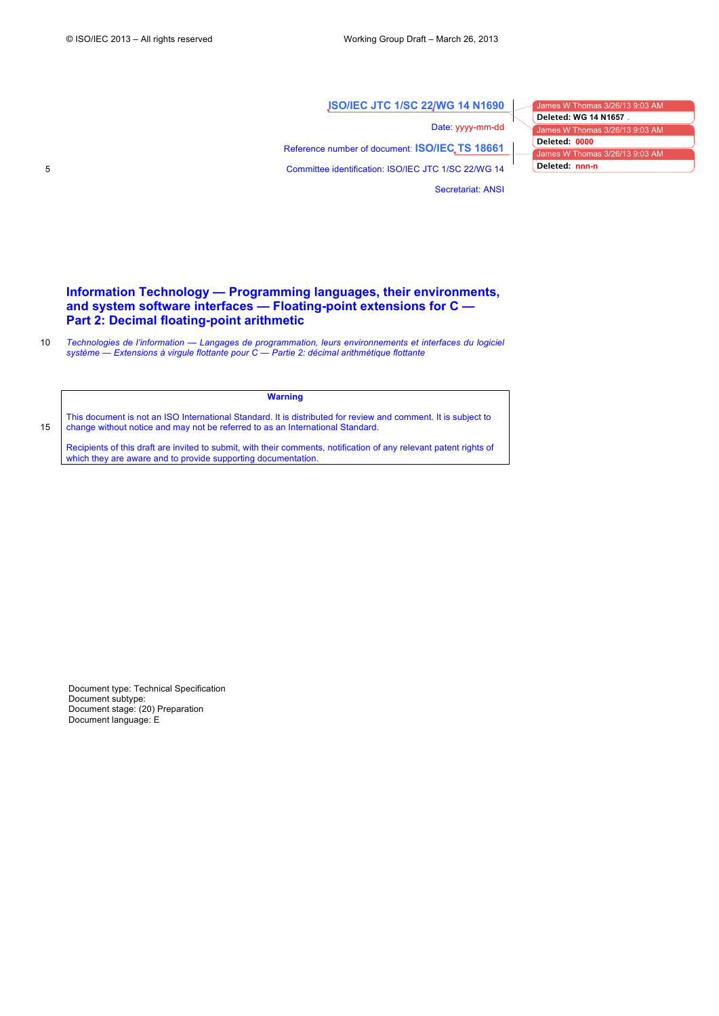**ISO/IEC JTC 1/SC 22/WG 14 N1690**

Secretariat: ANSI

Date: yyyy-mm-dd Reference number of document: **ISO/IEC TS 18661** 5 Committee identification: ISO/IEC JTC 1/SC 22/WG 14

les W Thomas 3/26/13 9:03 AM James W Thomas 3/26/13 9:03 AM James W Thomas 3/26/13 9:03 AM **Deleted: WG 14 N1657 Deleted: 0000 Deleted: nnn-n**

# **Information Technology — Programming languages, their environments, and system software interfaces — Floating-point extensions for C — Part 2: Decimal floating-point arithmetic**

10 *Technologies de l'information — Langages de programmation, leurs environnements et interfaces du logiciel système — Extensions à virgule flottante pour C — Partie 2: décimal arithmétique flottante*

**Warning**

This document is not an ISO International Standard. It is distributed for review and comment. It is subject to 15 change without notice and may not be referred to as an International Standard.

Recipients of this draft are invited to submit, with their comments, notification of any relevant patent rights of which they are aware and to provide supporting documentation.

Document type: Technical Specification Document subtype: Document stage: (20) Preparation Document language: E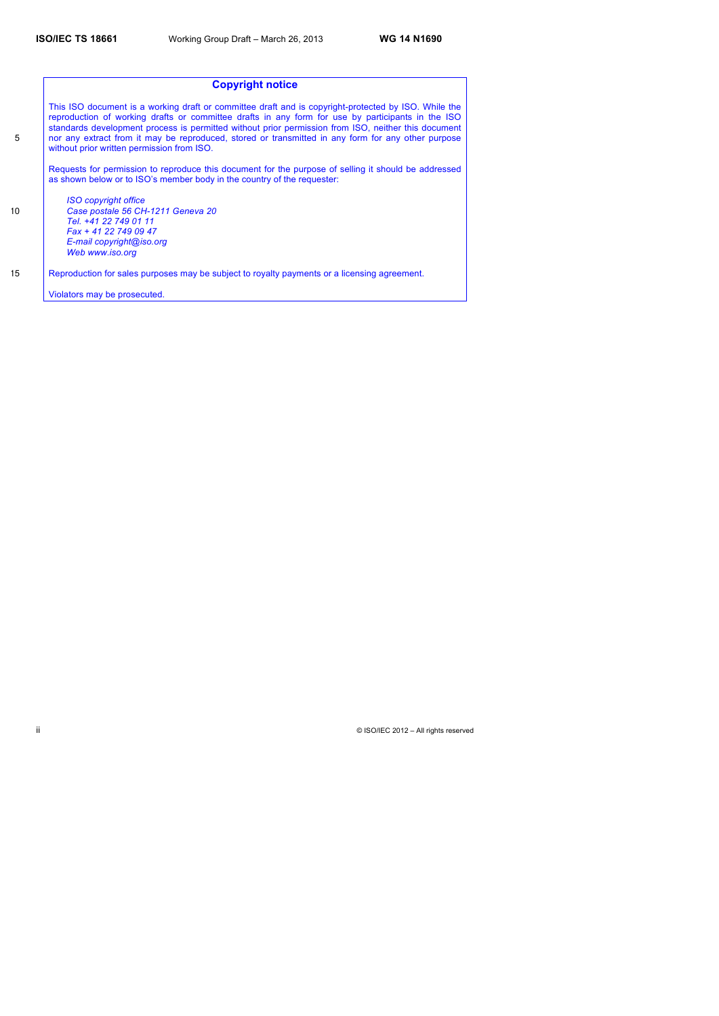|                  | <b>Copyright notice</b>                                                                                                                                                                                                                                                                                                                                                                                                                                              |
|------------------|----------------------------------------------------------------------------------------------------------------------------------------------------------------------------------------------------------------------------------------------------------------------------------------------------------------------------------------------------------------------------------------------------------------------------------------------------------------------|
| 5                | This ISO document is a working draft or committee draft and is copyright-protected by ISO. While the<br>reproduction of working drafts or committee drafts in any form for use by participants in the ISO<br>standards development process is permitted without prior permission from ISO, neither this document<br>nor any extract from it may be reproduced, stored or transmitted in any form for any other purpose<br>without prior written permission from ISO. |
|                  | Requests for permission to reproduce this document for the purpose of selling it should be addressed<br>as shown below or to ISO's member body in the country of the requester:                                                                                                                                                                                                                                                                                      |
|                  | <b>ISO copyright office</b>                                                                                                                                                                                                                                                                                                                                                                                                                                          |
| 10 <sup>10</sup> | Case postale 56 CH-1211 Geneva 20                                                                                                                                                                                                                                                                                                                                                                                                                                    |
|                  | Tel. +41 22 749 01 11                                                                                                                                                                                                                                                                                                                                                                                                                                                |
|                  | Fax + 41 22 749 09 47                                                                                                                                                                                                                                                                                                                                                                                                                                                |
|                  | E-mail copyright@iso.org                                                                                                                                                                                                                                                                                                                                                                                                                                             |
|                  | Web www.iso.org                                                                                                                                                                                                                                                                                                                                                                                                                                                      |
| 15               | Reproduction for sales purposes may be subject to royalty payments or a licensing agreement.                                                                                                                                                                                                                                                                                                                                                                         |
|                  | Violators may be prosecuted.                                                                                                                                                                                                                                                                                                                                                                                                                                         |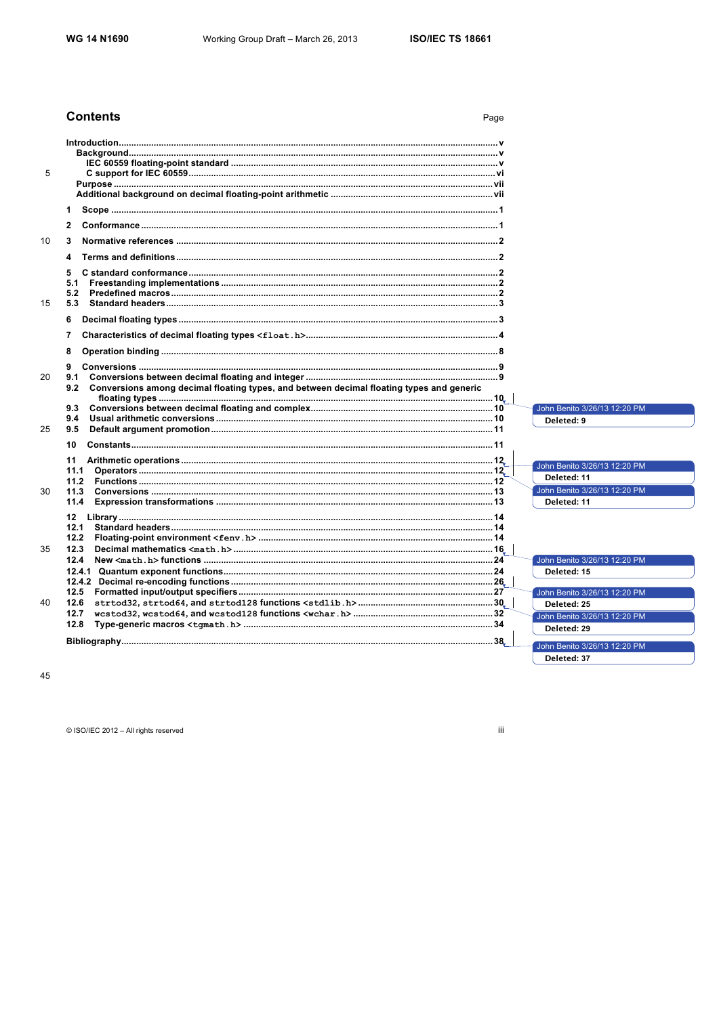Page

# **Contents**

45

© ISO/IEC 2012 - All rights reserved

iii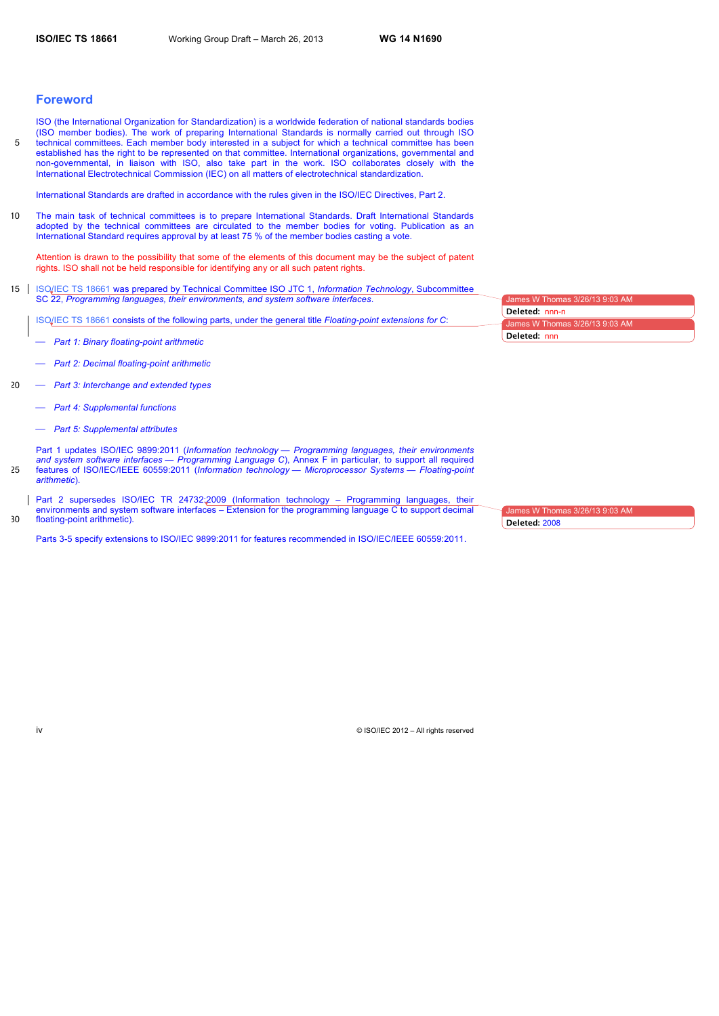# **Foreword**

ISO (the International Organization for Standardization) is a worldwide federation of national standards bodies (ISO member bodies). The work of preparing International Standards is normally carried out through ISO 5 technical committees. Each member body interested in a subject for which a technical committee has been established has the right to be represented on that committee. International organizations, governmental and non-governmental, in liaison with ISO, also take part in the work. ISO collaborates closely with the International Electrotechnical Commission (IEC) on all matters of electrotechnical standardization.

International Standards are drafted in accordance with the rules given in the ISO/IEC Directives, Part 2.

10 The main task of technical committees is to prepare International Standards. Draft International Standards adopted by the technical committees are circulated to the member bodies for voting. Publication as an International Standard requires approval by at least 75 % of the member bodies casting a vote.

Attention is drawn to the possibility that some of the elements of this document may be the subject of patent rights. ISO shall not be held responsible for identifying any or all such patent rights.

15 ISO/IEC TS 18661 was prepared by Technical Committee ISO JTC 1, *Information Technology*, Subcommittee SC 22, *Programming languages, their environments, and system software interfaces*.

ISO/IEC TS 18661 consists of the following parts, under the general title *Floating-point extensions for C*:

- ⎯ *Part 1: Binary floating-point arithmetic*
- ⎯ *Part 2: Decimal floating-point arithmetic*
- 20 ⎯ *Part 3: Interchange and extended types*
	- ⎯ *Part 4: Supplemental functions*
	- ⎯ *Part 5: Supplemental attributes*

Part 1 updates ISO/IEC 9899:2011 (*Information technology — Programming languages, their environments and system software interfaces — Programming Language C*), Annex F in particular, to support all required 25 features of ISO/IEC/IEEE 60559:2011 (*Information technology — Microprocessor Systems — Floating-point arithmetic*).

Part 2 supersedes ISO/IEC TR 24732:2009 (Information technology – Programming languages, their environments and system software interfaces – Extension for the programming language C to support decimal 30 floating-point arithmetic).

Parts 3-5 specify extensions to ISO/IEC 9899:2011 for features recommended in ISO/IEC/IEEE 60559:2011.

James W Thomas 3/26/13 9:03 James W Thomas 3/26/13 9:03 AM **Deleted:** nnn-n **Deleted:** nnn

James W Thomas 3/26/13 9:03 AM **Deleted:** 2008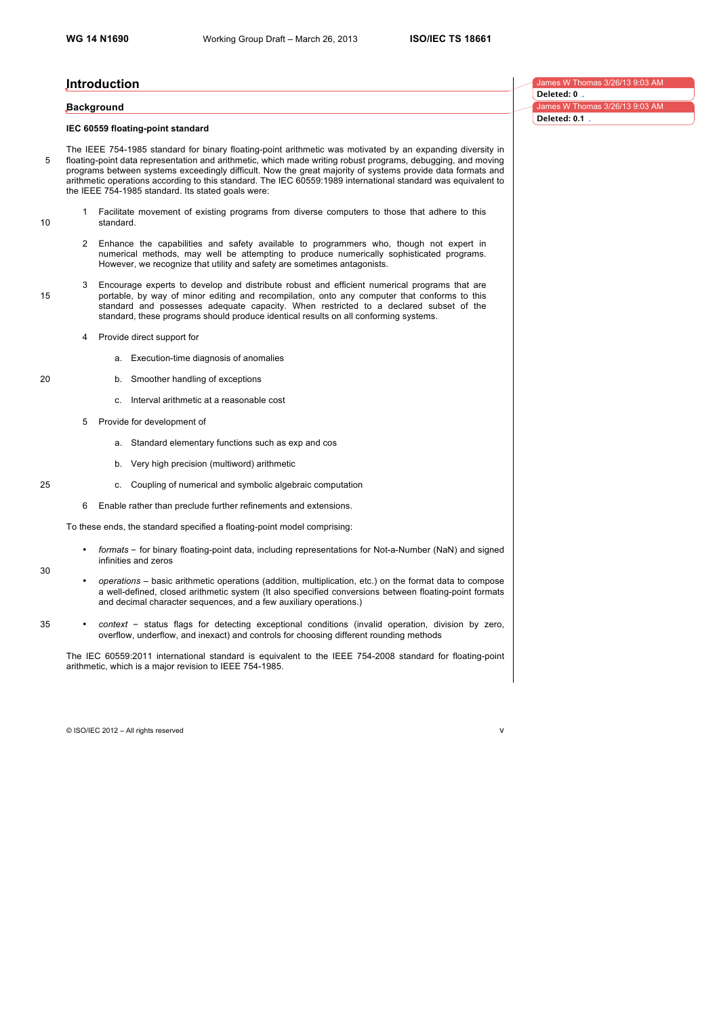James W Thomas 3/26/13 9:03 AM

**Deleted: 0**

**Deleted: 0.1**

3/26/13 9:03 AM

# **Introduction**

#### **Background**

## **IEC 60559 floating-point standard**

The IEEE 754-1985 standard for binary floating-point arithmetic was motivated by an expanding diversity in 5 floating-point data representation and arithmetic, which made writing robust programs, debugging, and moving programs between systems exceedingly difficult. Now the great majority of systems provide data formats and arithmetic operations according to this standard. The IEC 60559:1989 international standard was equivalent to the IEEE 754-1985 standard. Its stated goals were:

- 1 Facilitate movement of existing programs from diverse computers to those that adhere to this 10 standard.
	- 2 Enhance the capabilities and safety available to programmers who, though not expert in numerical methods, may well be attempting to produce numerically sophisticated programs. However, we recognize that utility and safety are sometimes antagonists.
- 3 Encourage experts to develop and distribute robust and efficient numerical programs that are 15 portable, by way of minor editing and recompilation, onto any computer that conforms to this standard and possesses adequate capacity. When restricted to a declared subset of the standard, these programs should produce identical results on all conforming systems.
	- 4 Provide direct support for
		- a. Execution-time diagnosis of anomalies
- 20 b. Smoother handling of exceptions
	- c. Interval arithmetic at a reasonable cost
	- 5 Provide for development of
		- a. Standard elementary functions such as exp and cos
		- b. Very high precision (multiword) arithmetic
- 25 c. Coupling of numerical and symbolic algebraic computation
	- 6 Enable rather than preclude further refinements and extensions.

To these ends, the standard specified a floating-point model comprising:

- *formats* for binary floating-point data, including representations for Not-a-Number (NaN) and signed infinities and zeros
- *operations* basic arithmetic operations (addition, multiplication, etc.) on the format data to compose a well-defined, closed arithmetic system (It also specified conversions between floating-point formats and decimal character sequences, and a few auxiliary operations.)
- 35 *context* status flags for detecting exceptional conditions (invalid operation, division by zero, overflow, underflow, and inexact) and controls for choosing different rounding methods

The IEC 60559:2011 international standard is equivalent to the IEEE 754-2008 standard for floating-point arithmetic, which is a major revision to IEEE 754-1985.

© ISO/IEC 2012 – All rights reserved v

30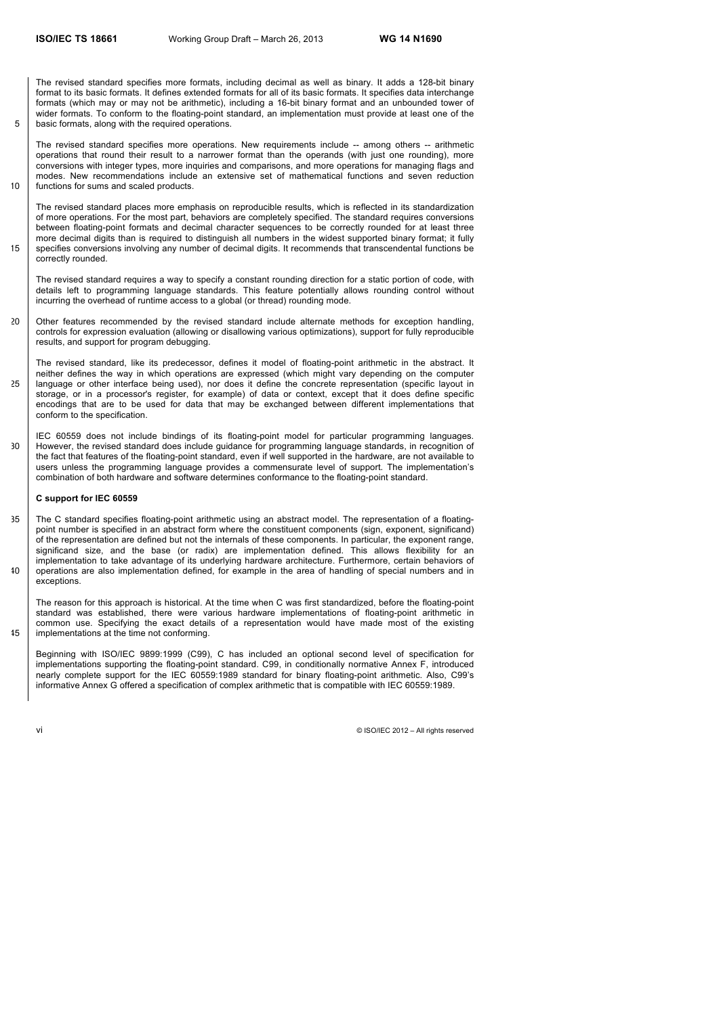The revised standard specifies more formats, including decimal as well as binary. It adds a 128-bit binary format to its basic formats. It defines extended formats for all of its basic formats. It specifies data interchange formats (which may or may not be arithmetic), including a 16-bit binary format and an unbounded tower of wider formats. To conform to the floating-point standard, an implementation must provide at least one of the 5 basic formats, along with the required operations.

The revised standard specifies more operations. New requirements include -- among others -- arithmetic operations that round their result to a narrower format than the operands (with just one rounding), more conversions with integer types, more inquiries and comparisons, and more operations for managing flags and modes. New recommendations include an extensive set of mathematical functions and seven reduction 10 functions for sums and scaled products.

The revised standard places more emphasis on reproducible results, which is reflected in its standardization of more operations. For the most part, behaviors are completely specified. The standard requires conversions between floating-point formats and decimal character sequences to be correctly rounded for at least three more decimal digits than is required to distinguish all numbers in the widest supported binary format; it fully 15 specifies conversions involving any number of decimal digits. It recommends that transcendental functions be correctly rounded.

The revised standard requires a way to specify a constant rounding direction for a static portion of code, with details left to programming language standards. This feature potentially allows rounding control without incurring the overhead of runtime access to a global (or thread) rounding mode.

20 Other features recommended by the revised standard include alternate methods for exception handling, controls for expression evaluation (allowing or disallowing various optimizations), support for fully reproducible results, and support for program debugging.

The revised standard, like its predecessor, defines it model of floating-point arithmetic in the abstract. It neither defines the way in which operations are expressed (which might vary depending on the computer 25 language or other interface being used), nor does it define the concrete representation (specific layout in storage, or in a processor's register, for example) of data or context, except that it does define specific encodings that are to be used for data that may be exchanged between different implementations that conform to the specification.

IEC 60559 does not include bindings of its floating-point model for particular programming languages. 30 However, the revised standard does include guidance for programming language standards, in recognition of the fact that features of the floating-point standard, even if well supported in the hardware, are not available to users unless the programming language provides a commensurate level of support. The implementation's combination of both hardware and software determines conformance to the floating-point standard.

# **C support for IEC 60559**

35 The C standard specifies floating-point arithmetic using an abstract model. The representation of a floatingpoint number is specified in an abstract form where the constituent components (sign, exponent, significand) of the representation are defined but not the internals of these components. In particular, the exponent range, significand size, and the base (or radix) are implementation defined. This allows flexibility for an implementation to take advantage of its underlying hardware architecture. Furthermore, certain behaviors of 40 operations are also implementation defined, for example in the area of handling of special numbers and in exceptions.

The reason for this approach is historical. At the time when C was first standardized, before the floating-point standard was established, there were various hardware implementations of floating-point arithmetic in common use. Specifying the exact details of a representation would have made most of the existing 45 implementations at the time not conforming.

Beginning with ISO/IEC 9899:1999 (C99), C has included an optional second level of specification for implementations supporting the floating-point standard. C99, in conditionally normative Annex F, introduced nearly complete support for the IEC 60559:1989 standard for binary floating-point arithmetic. Also, C99's informative Annex G offered a specification of complex arithmetic that is compatible with IEC 60559:1989.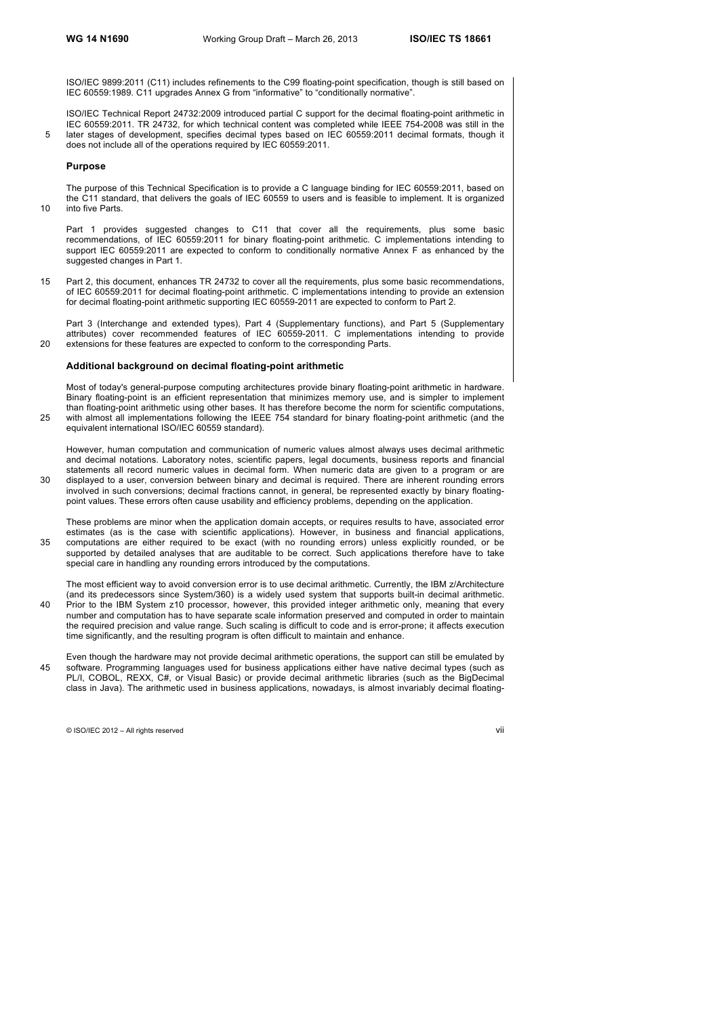ISO/IEC 9899:2011 (C11) includes refinements to the C99 floating-point specification, though is still based on IEC 60559:1989. C11 upgrades Annex G from "informative" to "conditionally normative".

ISO/IEC Technical Report 24732:2009 introduced partial C support for the decimal floating-point arithmetic in IEC 60559:2011. TR 24732, for which technical content was completed while IEEE 754-2008 was still in the 5 later stages of development, specifies decimal types based on IEC 60559:2011 decimal formats, though it does not include all of the operations required by IEC 60559:2011.

#### **Purpose**

The purpose of this Technical Specification is to provide a C language binding for IEC 60559:2011, based on the C11 standard, that delivers the goals of IEC 60559 to users and is feasible to implement. It is organized 10 into five Parts.

Part 1 provides suggested changes to C11 that cover all the requirements, plus some basic recommendations, of IEC 60559:2011 for binary floating-point arithmetic. C implementations intending to support IEC 60559:2011 are expected to conform to conditionally normative Annex F as enhanced by the suggested changes in Part 1.

15 Part 2, this document, enhances TR 24732 to cover all the requirements, plus some basic recommendations, of IEC 60559:2011 for decimal floating-point arithmetic. C implementations intending to provide an extension for decimal floating-point arithmetic supporting IEC 60559-2011 are expected to conform to Part 2.

Part 3 (Interchange and extended types), Part 4 (Supplementary functions), and Part 5 (Supplementary attributes) cover recommended features of IEC 60559-2011. C implementations intending to provide 20 extensions for these features are expected to conform to the corresponding Parts.

#### **Additional background on decimal floating-point arithmetic**

Most of today's general-purpose computing architectures provide binary floating-point arithmetic in hardware. Binary floating-point is an efficient representation that minimizes memory use, and is simpler to implement than floating-point arithmetic using other bases. It has therefore become the norm for scientific computations, with almost all implementations following the IEEE 754 standard for binary floating-point arithmetic (and the  $25$ equivalent international ISO/IEC 60559 standard).

However, human computation and communication of numeric values almost always uses decimal arithmetic and decimal notations. Laboratory notes, scientific papers, legal documents, business reports and financial statements all record numeric values in decimal form. When numeric data are given to a program or are 30 displayed to a user, conversion between binary and decimal is required. There are inherent rounding errors involved in such conversions; decimal fractions cannot, in general, be represented exactly by binary floatingpoint values. These errors often cause usability and efficiency problems, depending on the application.

These problems are minor when the application domain accepts, or requires results to have, associated error estimates (as is the case with scientific applications). However, in business and financial applications, 35 computations are either required to be exact (with no rounding errors) unless explicitly rounded, or be supported by detailed analyses that are auditable to be correct. Such applications therefore have to take special care in handling any rounding errors introduced by the computations.

The most efficient way to avoid conversion error is to use decimal arithmetic. Currently, the IBM z/Architecture (and its predecessors since System/360) is a widely used system that supports built-in decimal arithmetic. 40 Prior to the IBM System z10 processor, however, this provided integer arithmetic only, meaning that every number and computation has to have separate scale information preserved and computed in order to maintain the required precision and value range. Such scaling is difficult to code and is error-prone; it affects execution time significantly, and the resulting program is often difficult to maintain and enhance.

Even though the hardware may not provide decimal arithmetic operations, the support can still be emulated by 45 software. Programming languages used for business applications either have native decimal types (such as PL/I, COBOL, REXX, C#, or Visual Basic) or provide decimal arithmetic libraries (such as the BigDecimal class in Java). The arithmetic used in business applications, nowadays, is almost invariably decimal floating-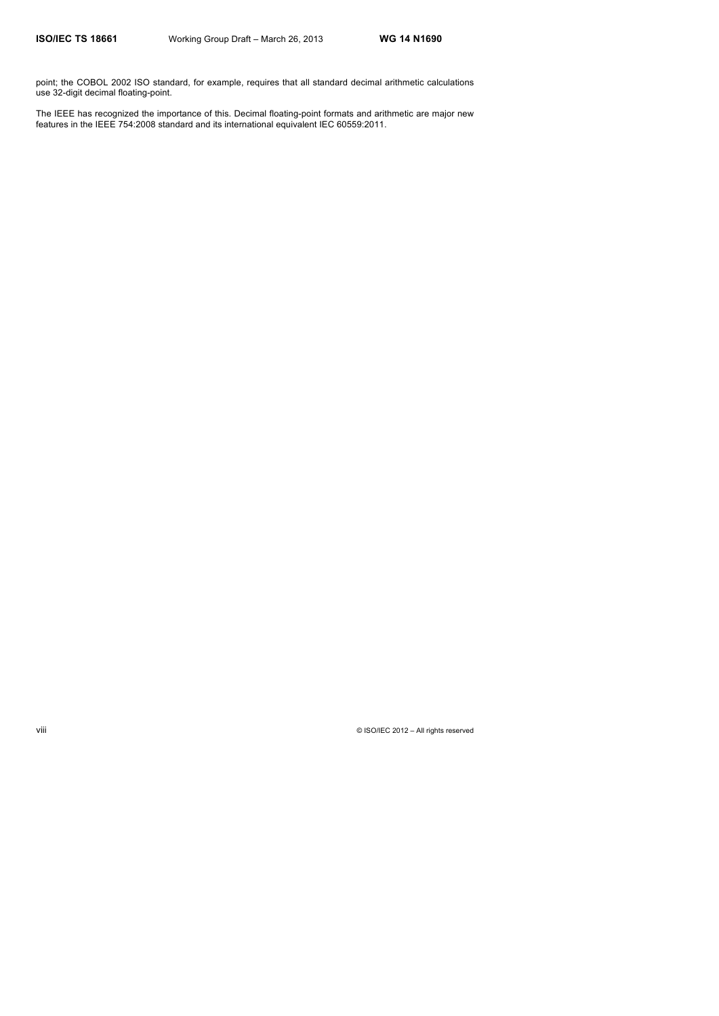point; the COBOL 2002 ISO standard, for example, requires that all standard decimal arithmetic calculations use 32-digit decimal floating-point.

The IEEE has recognized the importance of this. Decimal floating-point formats and arithmetic are major new features in the IEEE 754:2008 standard and its international equivalent IEC 60559:2011.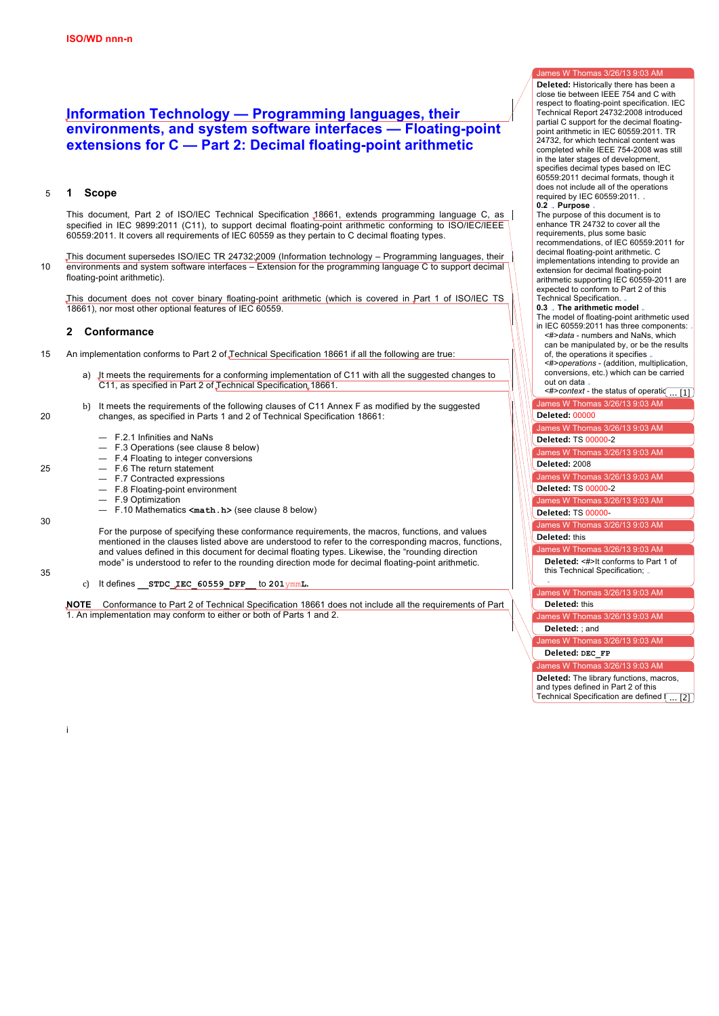# **Information Technology — Programming languages, their environments, and system software interfaces — Floating-point extensions for C — Part 2: Decimal floating-point arithmetic**

# 5 **1 Scope**

This document, Part 2 of ISO/IEC Technical Specification 18661, extends programming language C, as | specified in IEC 9899:2011 (C11), to support decimal floating-point arithmetic conforming to ISO/IEC/IEEE 60559:2011. It covers all requirements of IEC 60559 as they pertain to C decimal floating types.

This document supersedes ISO/IEC TR 24732:2009 (Information technology – Programming languages, their 10 environments and system software interfaces – Extension for the programming language C to support decimal floating-point arithmetic).

This document does not cover binary floating-point arithmetic (which is covered in Part 1 of ISO/IEC TS 18661), nor most other optional features of IEC 60559.

# **2 Conformance**

- 15 An implementation conforms to Part 2 of Technical Specification 18661 if all the following are true:
	- It meets the requirements for a conforming implementation of C11 with all the suggested changes to C11, as specified in Part 2 of Technical Specification 18661.
- b) It meets the requirements of the following clauses of C11 Annex F as modified by the suggested 20 changes, as specified in Parts 1 and 2 of Technical Specification 18661:
	- F.2.1 Infinities and NaNs
	- F.3 Operations (see clause 8 below)
	- F.4 Floating to integer conversions
- $25 F_6$  The return statement

i

30

35

- F.7 Contracted expressions
- F.8 Floating-point environment
- F.9 Optimization
- F.10 Mathematics **<math.h>** (see clause 8 below)

For the purpose of specifying these conformance requirements, the macros, functions, and values mentioned in the clauses listed above are understood to refer to the corresponding macros, functions, and values defined in this document for decimal floating types. Likewise, the "rounding direction mode" is understood to refer to the rounding direction mode for decimal floating-point arithmetic.

c) It defines **\_\_STDC\_IEC\_60559\_DFP\_\_** to **201**ymm**L.**

**NOTE** Conformance to Part 2 of Technical Specification 18661 does not include all the requirements of Part 1. An implementation may conform to either or both of Parts 1 and 2.

James W Thomas 3/26/13 9:03 AM **Deleted:** Historically there has been a close tie between IEEE 754 and C with respect to floating-point specification. IEC Technical Report 24732:2008 introduced partial C support for the decimal floatingpoint arithmetic in IEC 60559:2011. TR 24732, for which technical content was completed while IEEE 754-2008 was still in the later stages of development, specifies decimal types based on IEC 60559:2011 decimal formats, though it does not include all of the operations

required by IEC 60559:2011. **0.2 Purpose** The purpose of this document is to enhance TR 24732 to cover all the requirements, plus some basic recommendations, of IEC 60559:2011 for decimal floating-point arithmetic. C implementations intending to provide an

extension for decimal floating-point arithmetic supporting IEC 60559-2011 are expected to conform to Part 2 of this Technical Specification. **0.3 The arithmetic model**

The model of floating-point arithmetic used in IEC 60559:2011 has three components: <#>*data* - numbers and NaNs, which can be manipulated by, or be the results of, the operations it specifies

<#>*operations* - (addition, multiplication, conversions, etc.) which can be carried out on data

James W Thomas 3/26/13 9:03 AM  $\leq \#$ > context - the status of operations ... [1]

# to govern the results of operations (for example, rounding modes). (IEC 60559 **Deleted:** 00000

James W Thomas 3/26/13 9:03 AM

**Deleted: TS 00000-2** 

James W Thomas  $3/26/13$  9:03 AM

**Deleted:** 2008

James W Thomas 3/26/13 9:03 AM **Deleted: TS 00000-2** 

James W Thomas 3/26/13 9:03 AM

**Deleted:** TS 00000-

James W Thomas 3/26/13 9:03 AM

James W Thomas 3/26/13 9:03 AM **Deleted:** this

**Deleted:** <#>It conforms to Part 1 of the specification. this Technical Specification; From the perspective of the C language,  $\frac{1}{2}$ 

James W Thomas 3/26/13 9:03 AM

**Deleted:** this **contrary environment is the floating environment of**  $\mathbf{r}$ 

James W Thomas 3/26/13 9:03 AM **Deleted:** ; and

James W Thomas 3/26/13 9:03 AM

**0.4 The formats Deleted: DEC\_FP**

James W Thomas 3/26/13 9:03 AM

banies w Thomas 5/20/15 9.00 Am<br>**Deleted:** The library functions, macros, and types defined in Part 2 of this \_\_ Technical Specification are defined  $\left( \dots \right[ 2 \right]$  $\overline{121}$ 

their respective headers in the macroscopic field  $\alpha$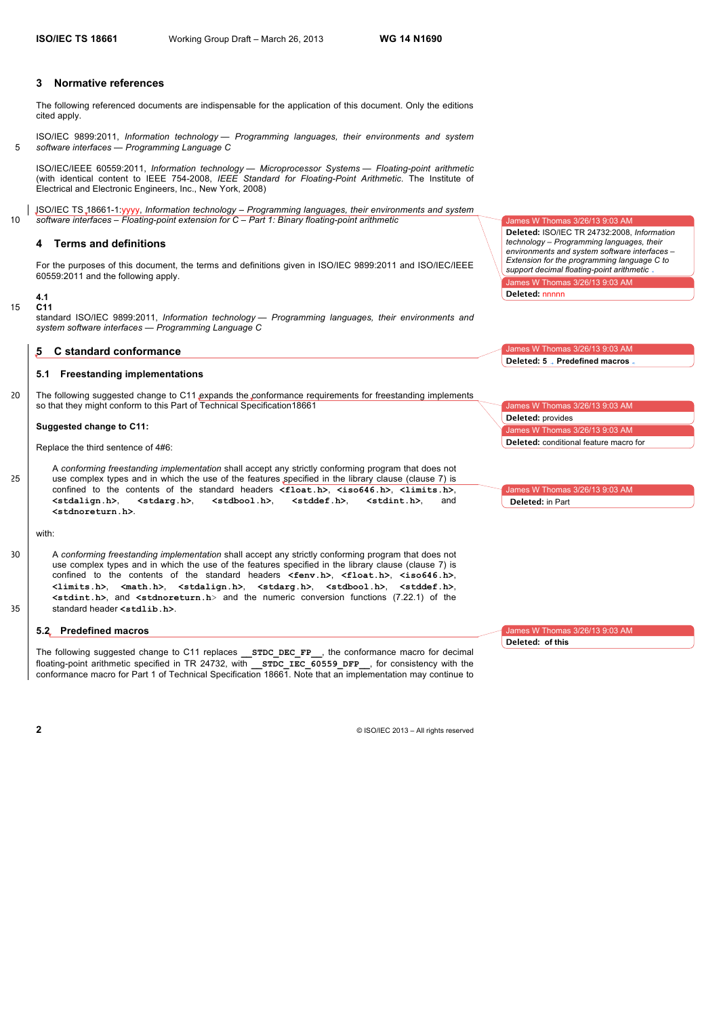# **3 Normative references**

The following referenced documents are indispensable for the application of this document. Only the editions cited apply.

ISO/IEC 9899:2011, *Information technology — Programming languages, their environments and system*  5 *software interfaces — Programming Language C*

ISO/IEC/IEEE 60559:2011, *Information technology — Microprocessor Systems — Floating-point arithmetic* (with identical content to IEEE 754-2008, *IEEE Standard for Floating-Point Arithmetic*. The Institute of Electrical and Electronic Engineers, Inc., New York, 2008)

ISO/IEC TS 18661-1:yyyy, *Information technology – Programming languages, their environments and system*  10 *software interfaces – Floating-point extension for C – Part 1: Binary floating-point arithmetic*

# **4 Terms and definitions**

For the purposes of this document, the terms and definitions given in ISO/IEC 9899:2011 and ISO/IEC/IEEE 60559:2011 and the following apply.

#### **4.1** 15 **C11**

standard ISO/IEC 9899:2011, *Information technology — Programming languages, their environments and system software interfaces — Programming Language C*

#### **5 C standard conformance**

### **5.1 Freestanding implementations**

20 The following suggested change to C11 expands the conformance requirements for freestanding implements so that they might conform to this Part of Technical Specification18661

#### **Suggested change to C11:**

Replace the third sentence of 4#6:

A *conforming freestanding implementation* shall accept any strictly conforming program that does not 25 use complex types and in which the use of the features specified in the library clause (clause 7) is confined to the contents of the standard headers  $\langle$ **float.h>**,  $\langle$ **iso646.h>**,  $\langle$ **limits.h>**,  $\langle$ **stdalign.h>**,  $\langle$ **stdalign.h>**,  $\langle$ **stdalign.h>**,  $\langle$ **stdalign.h <stdalign.h>**, **<stdarg.h>**, **<stdbool.h>**, **<stddef.h>**, **<stdint.h>**, and **<stdnoreturn.h>**.

with:

30 A *conforming freestanding implementation* shall accept any strictly conforming program that does not use complex types and in which the use of the features specified in the library clause (clause 7) is confined to the contents of the standard headers **<fenv.h>**, **<float.h>**, **<iso646.h>**, **<limits.h>**, **<math.h>**, **<stdalign.h>**, **<stdarg.h>**, **<stdbool.h>**, **<stddef.h>**, **<stdint.h>**, and **<stdnoreturn.h**> and the numeric conversion functions (7.22.1) of the 35 standard header <stdlib.h>.

# **5.2 Predefined macros**

The following suggested change to C11 replaces **\_\_STDC\_DEC\_FP\_\_**, the conformance macro for decimal floating-point arithmetic specified in TR 24732, with **STDC\_IEC\_60559\_DFP\_\_\_,** for consistency with the conformance macro for Part 1 of Technical Specification 18661. Note that an implementation may continue to James W Thomas 3/26/13 9:03 AM

W Thomas 3/26/13 9:03 AM **Deleted:** ISO/IEC TR 24732:2008, *Information technology – Programming languages, their environments and system software interfaces – Extension for the programming language C to support decimal floating-point arithmetic*

**Deleted:** nnnnn

 $\texttt{es}$  W Thomas 3/26/13 9:03 AM **Deleted: 5 Predefined macros**

James W Thomas 3/26/13 9:03 AM omas 3/26/13 9:03 AM **Deleted:** provides **Deleted:** conditional feature macro for

James W Thomas 3/26/13 9:03 AM **Deleted:** in Part

W Thomas 3/26/13 9:03 AM

**Deleted: of this**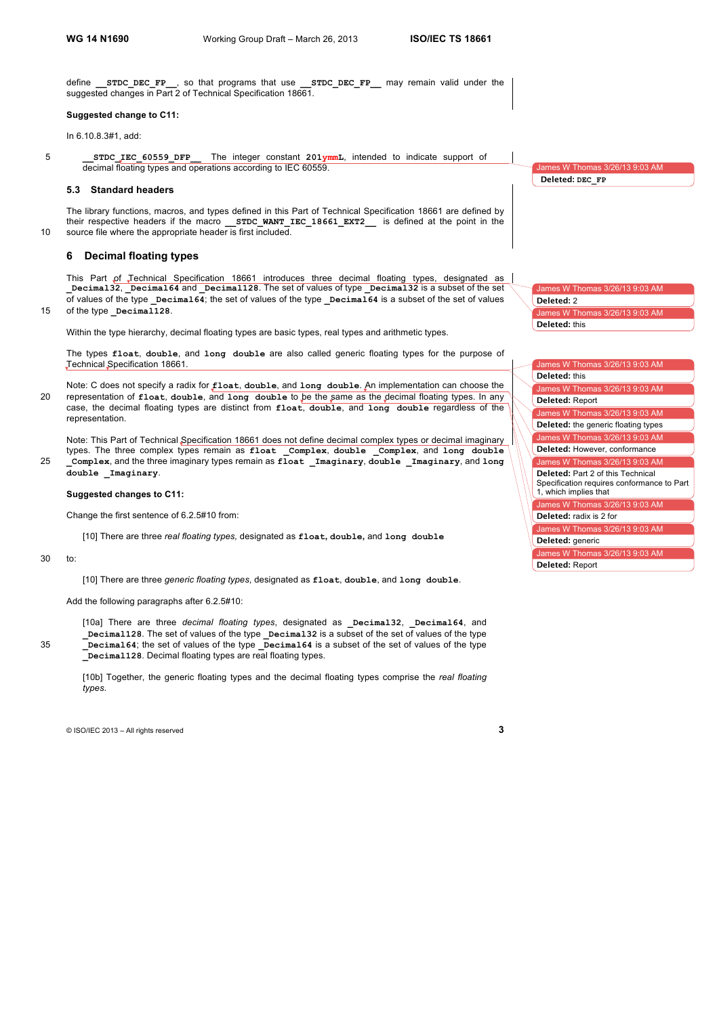define **\_\_STDC\_DEC\_FP\_\_**, so that programs that use **\_\_STDC\_DEC\_FP\_\_** may remain valid under the suggested changes in Part 2 of Technical Specification 18661.

#### **Suggested change to C11:**

In 6.10.8.3#1, add:

5 **\_\_STDC\_IEC\_60559\_DFP\_\_** The integer constant **201ymmL**, intended to indicate support of decimal floating types and operations according to IEC 60559.

#### **5.3 Standard headers**

The library functions, macros, and types defined in this Part of Technical Specification 18661 are defined by their respective headers if the macro **STDC WANT IEC 18661 EXT2** is defined at the point in the 10 source file where the appropriate header is first included.

# **6 Decimal floating types**

This Part of Technical Specification 18661 introduces three decimal floating types, designated as **\_Decimal32**, **\_Decimal64** and **\_Decimal128**. The set of values of type **\_Decimal32** is a subset of the set of values of the type **\_Decimal64**; the set of values of the type **\_Decimal64** is a subset of the set of values

# 15 of the type **Decimal128**.

Within the type hierarchy, decimal floating types are basic types, real types and arithmetic types.

The types **float**, **double**, and **long double** are also called generic floating types for the purpose of Technical Specification 18661.

Note: C does not specify a radix for **float**, **double**, and **long double**. An implementation can choose the 20 representation of **float**, **double**, and **long double** to be the same as the decimal floating types. In any case, the decimal floating types are distinct from **float**, **double**, and **long double** regardless of the representation.

Note: This Part of Technical Specification 18661 does not define decimal complex types or decimal imaginary types. The three complex types remain as **float \_Complex**, **double \_Complex**, and **long double**  25 **\_Complex**, and the three imaginary types remain as **float \_Imaginary**, **double \_Imaginary**, and **long double \_Imaginary**.

### **Suggested changes to C11:**

Change the first sentence of 6.2.5#10 from:

[10] There are three *real floating types,* designated as **float, double,** and **long double**

### 30 to:

[10] There are three *generic floating types*, designated as **float**, **double**, and **long double**.

# Add the following paragraphs after 6.2.5#10:

[10a] There are three *decimal floating types*, designated as **\_Decimal32**, **\_Decimal64**, and **\_Decimal128**. The set of values of the type **\_Decimal32** is a subset of the set of values of the type 35 **\_Decimal64**; the set of values of the type **\_Decimal64** is a subset of the set of values of the type **\_Decimal128**. Decimal floating types are real floating types.

[10b] Together, the generic floating types and the decimal floating types comprise the *real floating types*.

© ISO/IEC 2013 – All rights reserved **3**

nes W Thomas 3/26/13 9:03 AM **Deleted: DEC\_FP**

James W Thomas 3/26/13 9:03 AM James W Tho **Deleted:** 2 **Deleted:** this

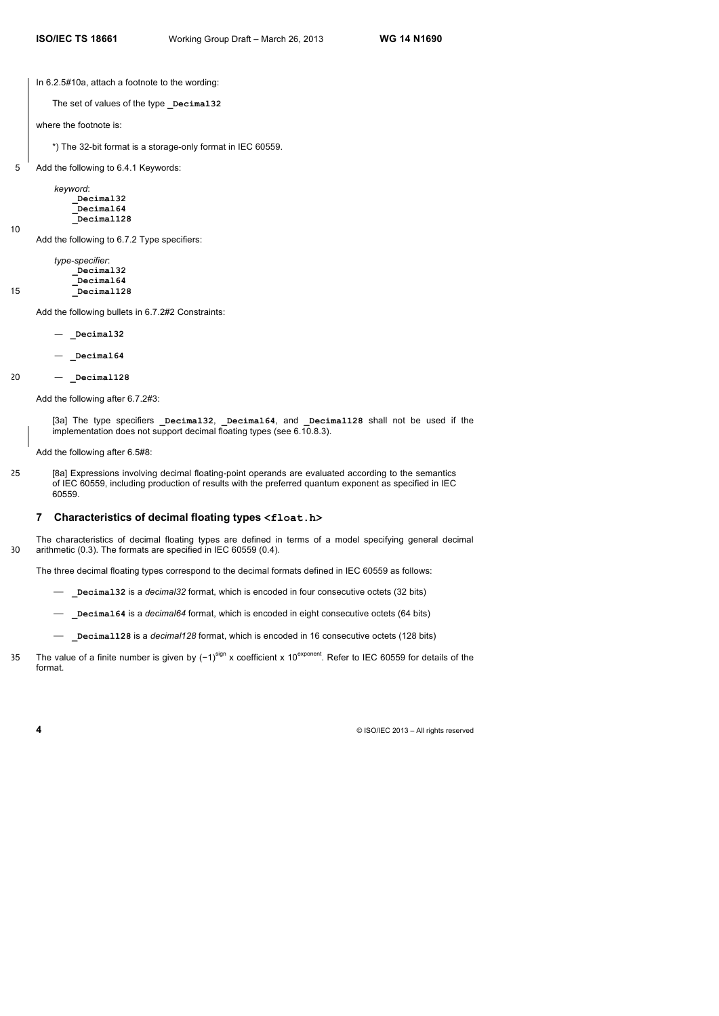In 6.2.5#10a, attach a footnote to the wording:

The set of values of the type **\_Decimal32**

where the footnote is:

\*) The 32-bit format is a storage-only format in IEC 60559.

5 Add the following to 6.4.1 Keywords:

*keyword*: **\_Decimal32 \_Decimal64 \_Decimal128**

Add the following to 6.7.2 Type specifiers:

*type-specifier*: **\_Decimal32 \_Decimal64** 15 **\_Decimal128**

Add the following bullets in 6.7.2#2 Constraints:

— **\_Decimal32**

— **\_Decimal64**

20 — **\_Decimal128**

10

Add the following after 6.7.2#3:

[3a] The type specifiers **\_Decimal32**, **\_Decimal64**, and **\_Decimal128** shall not be used if the implementation does not support decimal floating types (see 6.10.8.3).

Add the following after 6.5#8:

25 [8a] Expressions involving decimal floating-point operands are evaluated according to the semantics of IEC 60559, including production of results with the preferred quantum exponent as specified in IEC 60559.

#### **7 Characteristics of decimal floating types <float.h>**

The characteristics of decimal floating types are defined in terms of a model specifying general decimal 30 arithmetic (0.3). The formats are specified in IEC 60559 (0.4).

The three decimal floating types correspond to the decimal formats defined in IEC 60559 as follows:

- ⎯ **\_Decimal32** is a *decimal32* format, which is encoded in four consecutive octets (32 bits)
- ⎯ **\_Decimal64** is a *decimal64* format, which is encoded in eight consecutive octets (64 bits)
- ⎯ **\_Decimal128** is a *decimal128* format, which is encoded in 16 consecutive octets (128 bits)
- The value of a finite number is given by  $(-1)^{sign}$  x coefficient x 10<sup>exponent</sup>. Refer to IEC 60559 for details of the format.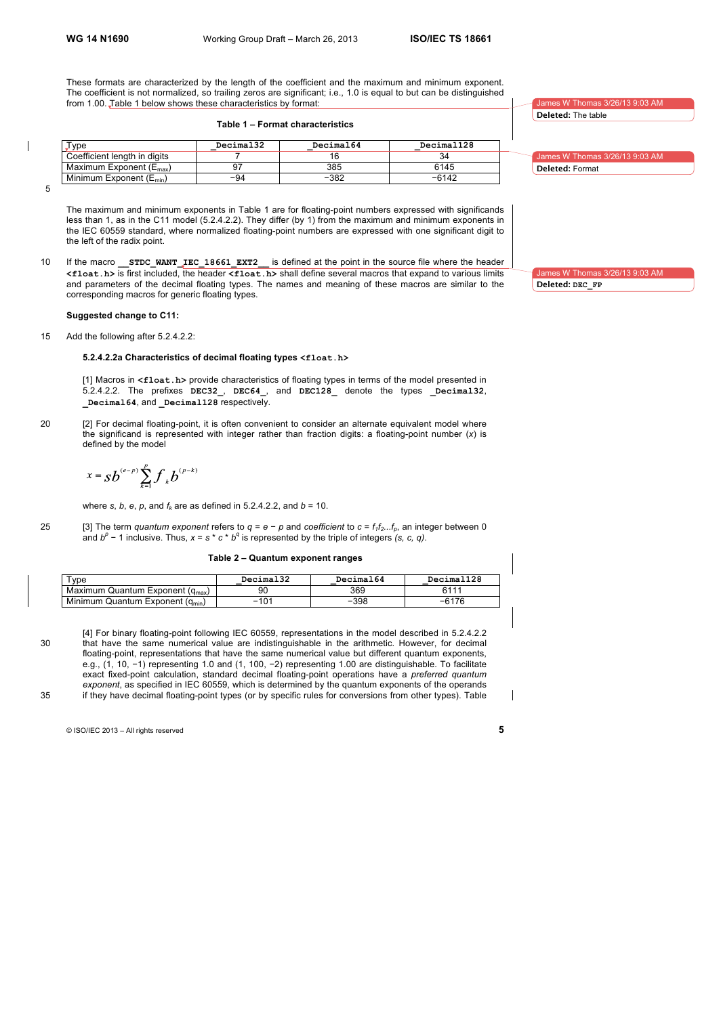These formats are characterized by the length of the coefficient and the maximum and minimum exponent. The coefficient is not normalized, so trailing zeros are significant; i.e., 1.0 is equal to but can be distinguished from 1.00. Table 1 below shows these characteristics by format:

# **Table 1 – Format characteristics**

| Type                                | Decimal32 | Decimal64 | Decimal128 |
|-------------------------------------|-----------|-----------|------------|
| Coefficient length in digits        |           |           |            |
| Maximum Exponent $(E_{\text{max}})$ |           | 385       | 6145       |
| Minimum Exponent $(E_{min})$        | $-94$     | $-382$    | $-6142$    |

5

 $\overline{\phantom{a}}$ 

The maximum and minimum exponents in Table 1 are for floating-point numbers expressed with significands less than 1, as in the C11 model (5.2.4.2.2). They differ (by 1) from the maximum and minimum exponents in the IEC 60559 standard, where normalized floating-point numbers are expressed with one significant digit to the left of the radix point.

10 If the macro **\_\_STDC\_WANT\_IEC\_18661\_EXT2\_\_** is defined at the point in the source file where the header **<float.h>** is first included, the header **<float.h>** shall define several macros that expand to various limits and parameters of the decimal floating types. The names and meaning of these macros are similar to the corresponding macros for generic floating types.

#### **Suggested change to C11:**

15 Add the following after 5.2.4.2.2:

#### **5.2.4.2.2a Characteristics of decimal floating types <float.h>**

[1] Macros in **<float.h>** provide characteristics of floating types in terms of the model presented in 5.2.4.2.2. The prefixes **DEC32\_**, **DEC64\_**, and **DEC128\_** denote the types **\_Decimal32**, **\_Decimal64**, and **\_Decimal128** respectively.

20 [2] For decimal floating-point, it is often convenient to consider an alternate equivalent model where the significand is represented with integer rather than fraction digits: a floating-point number (*x*) is defined by the model

$$
x = Sb^{(e-p)}\sum_{k=1}^{p} f_{k}b^{(p-k)}
$$

where *s*, *b*, *e*, *p*, and  $f_k$  are as defined in 5.2.4.2.2, and  $b = 10$ .

25 [3] The term *quantum exponent* refers to  $q = e - p$  and *coefficient* to  $c = f_1 f_2... f_p$ , an integer between 0 and *b<sup>p</sup>* − 1 inclusive. Thus, *x* = *s* \* *c* \* *b<sup>q</sup>* is represented by the triple of integers *(s, c, q)*.

#### **Table 2 – Quantum exponent ranges**

| $T$ vpe                                      | Decimal32 | Decimal64 | Decimal128 |
|----------------------------------------------|-----------|-----------|------------|
| Maximum Quantum Exponent (q <sub>max</sub> ) | 9С        | 369       | 6111       |
| Minimum Quantum Exponent (q <sub>min</sub> ) | $-104$    | $-398$    | $-6176$    |

[4] For binary floating-point following IEC 60559, representations in the model described in 5.2.4.2.2 30 that have the same numerical value are indistinguishable in the arithmetic. However, for decimal floating-point, representations that have the same numerical value but different quantum exponents, e.g., (1, 10, −1) representing 1.0 and (1, 100, −2) representing 1.00 are distinguishable. To facilitate exact fixed-point calculation, standard decimal floating-point operations have a *preferred quantum exponent*, as specified in IEC 60559, which is determined by the quantum exponents of the operands 35 if they have decimal floating-point types (or by specific rules for conversions from other types). Table

© ISO/IEC 2013 – All rights reserved **5**

**Deleted:** The table

es W Thomas 3/2

James W Thomas 3/26/13 9:03 AM **Deleted:** Format

es W Thomas 3/26/13 9:03 AM **Deleted: DEC\_FP**

 $\overline{\phantom{a}}$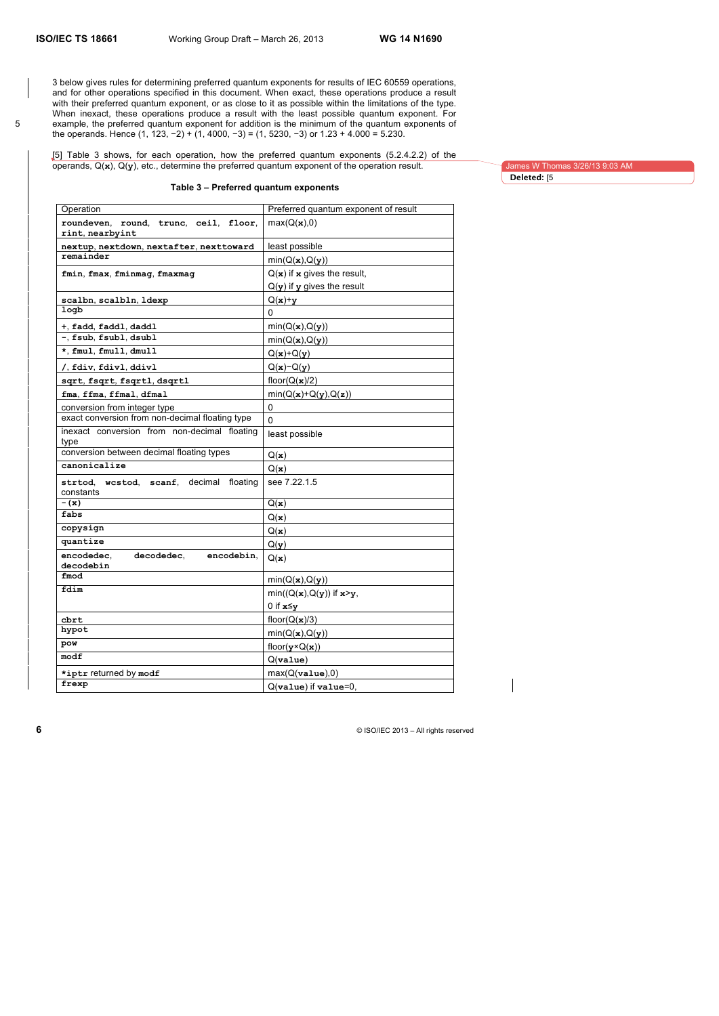3 below gives rules for determining preferred quantum exponents for results of IEC 60559 operations, and for other operations specified in this document. When exact, these operations produce a result with their preferred quantum exponent, or as close to it as possible within the limitations of the type. When inexact, these operations produce a result with the least possible quantum exponent. For 5 example, the preferred quantum exponent for addition is the minimum of the quantum exponents of the operands. Hence (1, 123, −2) + (1, 4000, −3) = (1, 5230, −3) or 1.23 + 4.000 = 5.230.

#### [5] Table 3 shows, for each operation, how the preferred quantum exponents (5.2.4.2.2) of the operands, Q(**x**), Q(**y**), etc., determine the preferred quantum exponent of the operation result.

James W Thomas 3/26/13 9:03 AM **Deleted:** [5

# **Table 3 – Preferred quantum exponents**

| Operation                                                | Preferred quantum exponent of result |
|----------------------------------------------------------|--------------------------------------|
| roundeven, round, trunc, ceil, floor,<br>rint, nearbyint | $max(Q(\mathbf{x}),0)$               |
| nextup, nextdown, nextafter, nexttoward                  | least possible                       |
| remainder                                                | min(Q(x), Q(y))                      |
| fmin, fmax, fminmag, fmaxmag                             | $Q(x)$ if x gives the result,        |
|                                                          | $Q(y)$ if y gives the result         |
| scalbn, scalbln, ldexp                                   | $Q(x)+y$                             |
| logb                                                     | 0                                    |
| +, fadd, faddl, daddl                                    | min(Q(x), Q(y))                      |
| -, fsub, fsubl, dsubl                                    | min(Q(x), Q(y))                      |
| *, fmul, fmull, dmull                                    | $Q(x)+Q(y)$                          |
| /, fdiv, fdivl, ddivl                                    | $Q(x)-Q(y)$                          |
| sqrt, fsqrt, fsqrtl, dsqrtl                              | floor( $Q(\mathbf{x})/2$ )           |
| fma, ffma, ffmal, dfmal                                  | $min(Q(x)+Q(y),Q(z))$                |
| conversion from integer type                             | 0                                    |
| exact conversion from non-decimal floating type          | $\mathbf{0}$                         |
| inexact conversion from non-decimal floating<br>type     | least possible                       |
| conversion between decimal floating types                | Q(x)                                 |
| canonicalize                                             | Q(x)                                 |
| strtod, westod, scanf, decimal<br>floating<br>constants  | see 7.22.1.5                         |
| $-(x)$                                                   | Q(x)                                 |
| fabs                                                     | Q(x)                                 |
| copysign                                                 | Q(x)                                 |
| quantize                                                 | Q(y)                                 |
| encodedec.<br>decodedec.<br>encodebin,<br>decodebin      | Q(x)                                 |
| fmod                                                     | min(Q(x), Q(y))                      |
| fdim                                                     | $min((Q(x), Q(y))$ if $x > y$ ,      |
|                                                          | 0 if $x \leq y$                      |
| cbrt                                                     | floor( $Q(\mathbf{x})/3$ )           |
| hypot                                                    | min(Q(x), Q(y))                      |
| pow                                                      | floor( $y \times Q(x)$ )             |
| modf                                                     | Q( <b>value</b> )                    |
| *iptr returned by modf                                   | max(Q(vvalue),0)                     |
| frexp                                                    | Q(value) if value=0.                 |
|                                                          |                                      |

 $\overline{\phantom{a}}$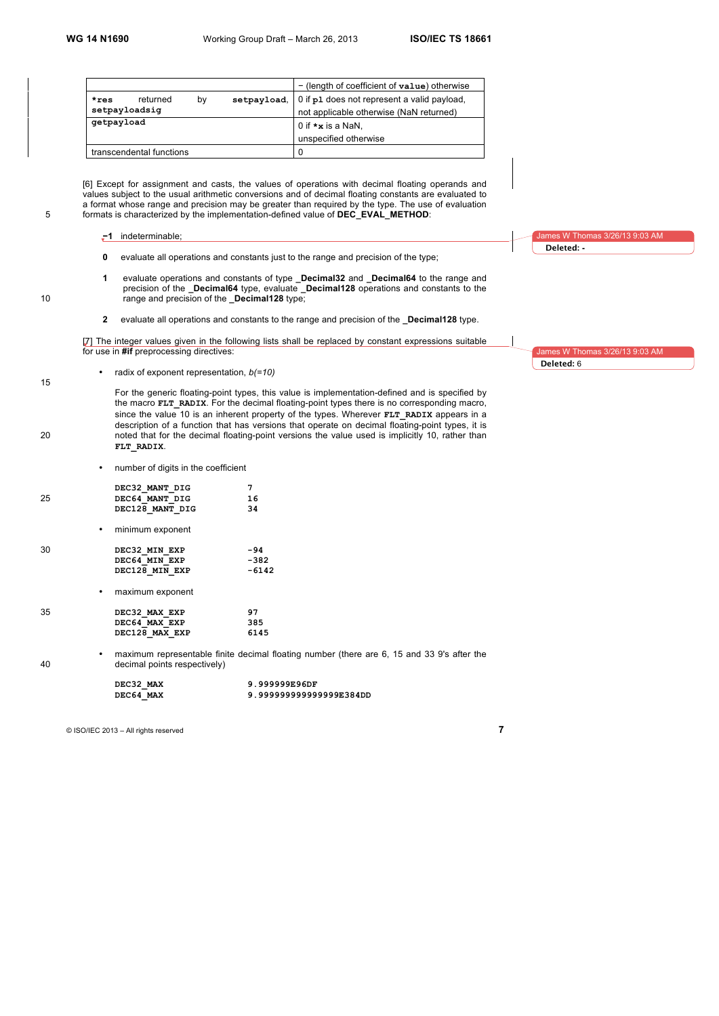|               |                          |    |                                         | $-$ (length of coefficient of $value$ ) otherwise |
|---------------|--------------------------|----|-----------------------------------------|---------------------------------------------------|
| $*res$        | returned                 | bv | setpayload,                             | 0 if p1 does not represent a valid payload,       |
| setpayloadsig |                          |    | not applicable otherwise (NaN returned) |                                                   |
| getpayload    |                          |    | 0 if $\star$ <b>x</b> is a NaN,         |                                                   |
|               |                          |    |                                         | unspecified otherwise                             |
|               | transcendental functions |    |                                         | 0                                                 |

[6] Except for assignment and casts, the values of operations with decimal floating operands and values subject to the usual arithmetic conversions and of decimal floating constants are evaluated to a format whose range and precision may be greater than required by the type. The use of evaluation 5 formats is characterized by the implementation-defined value of **DEC\_EVAL\_METHOD**:

- **−1** indeterminable;
- **0** evaluate all operations and constants just to the range and precision of the type;
- **1** evaluate operations and constants of type **\_Decimal32** and **\_Decimal64** to the range and precision of the **\_Decimal64** type, evaluate **\_Decimal128** operations and constants to the 10 range and precision of the **\_Decimal128** type;
	- **2** evaluate all operations and constants to the range and precision of the **\_Decimal128** type.

[7] The integer values given in the following lists shall be replaced by constant expressions suitable for use in **#if** preprocessing directives:

- 15
- radix of exponent representation, *b(=10)*

For the generic floating-point types, this value is implementation-defined and is specified by the macro **FLT** RADIX. For the decimal floating-point types there is no corresponding macro, since the value 10 is an inherent property of the types. Wherever **FLT\_RADIX** appears in a description of a function that has versions that operate on decimal floating-point types, it is 20 noted that for the decimal floating-point versions the value used is implicitly 10, rather than **FLT\_RADIX**.

• number of digits in the coefficient

|    | DEC32 MANT DIG   |         |
|----|------------------|---------|
| 25 | DEC64 MANT DIG   | 16      |
|    | DEC128 MANT DIG  | 34      |
|    | minimum exponent |         |
| 30 | DEC32 MIN EXP    | -94     |
|    | DEC64 MIN EXP    | $-382$  |
|    | DEC128 MIN EXP   | $-6142$ |
|    | maximum exponent |         |
| 35 | DEC32 MAX EXP    | 97      |

**DEC128\_MAX\_EXP 6145**

**DEC64\_MAX\_EXP** 385<br> **DEC128 MAX EXP** 6145

• maximum representable finite decimal floating number (there are 6, 15 and 33 9's after the 40 decimal points respectively)

| DEC32 MAX | 9.999999E96DF          |
|-----------|------------------------|
| DEC64 MAX | 9.99999999999999E384DD |

<sup>©</sup> ISO/IEC 2013 – All rights reserved **7**

W Thomas 3/26/13 9:03 AM **Deleted: -**

es W Thomas 3/26/13 9:03 AM **Deleted:** 6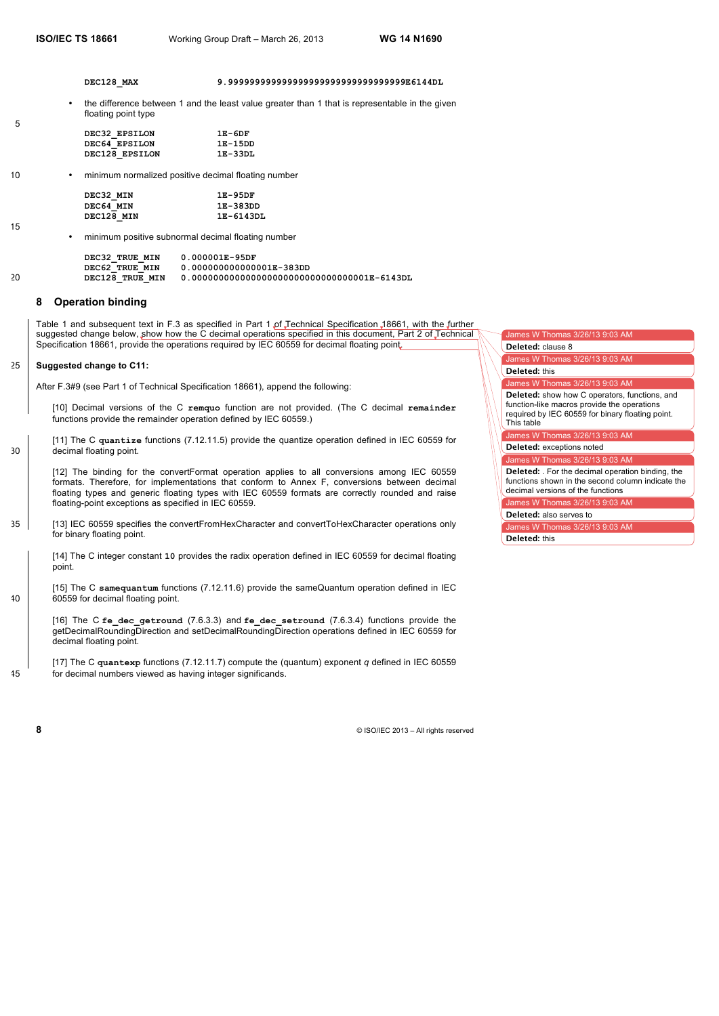5

15

**DEC128\_MAX 9.999999999999999999999999999999999E6144DL**

• the difference between 1 and the least value greater than 1 that is representable in the given floating point type

| $1E-6DF$  |
|-----------|
| 1E-15DD   |
| $1E-33DL$ |
|           |

10 • minimum normalized positive decimal floating number

| DEC32 MIN  | $1E-95DF$ |
|------------|-----------|
| DEC64 MIN  | 1E-383DD  |
| DEC128 MIN | 1E-6143DL |

• minimum positive subnormal decimal floating number

|    | DEC32 TRUE MIN  | $0.000001E - 95DF$       |
|----|-----------------|--------------------------|
|    | DEC62 TRUE MIN  | 0.000000000000001E-383DD |
| 20 | DEC128 TRUE MIN |                          |

### **8 Operation binding**

Table 1 and subsequent text in F.3 as specified in Part 1 of Technical Specification 18661, with the further suggested change below, show how the C decimal operations specified in this document, Part 2 of Technical Specification 18661, provide the operations required by IEC 60559 for decimal floating point.

### 25 **Suggested change to C11:**

After F.3#9 (see Part 1 of Technical Specification 18661), append the following:

[10] Decimal versions of the C **remquo** function are not provided. (The C decimal **remainder** functions provide the remainder operation defined by IEC 60559.)

[11] The C **quantize** functions (7.12.11.5) provide the quantize operation defined in IEC 60559 for 30 decimal floating point.

[12] The binding for the convertFormat operation applies to all conversions among IEC 60559 formats. Therefore, for implementations that conform to Annex F, conversions between decimal floating types and generic floating types with IEC 60559 formats are correctly rounded and raise floating-point exceptions as specified in IEC 60559.

35 [13] IEC 60559 specifies the convertFromHexCharacter and convertToHexCharacter operations only for binary floating point.

[14] The C integer constant **10** provides the radix operation defined in IEC 60559 for decimal floating point.

[15] The C **samequantum** functions (7.12.11.6) provide the sameQuantum operation defined in IEC 40 60559 for decimal floating point.

[16] The C **fe\_dec\_getround** (7.6.3.3) and **fe\_dec\_setround** (7.6.3.4) functions provide the getDecimalRoundingDirection and setDecimalRoundingDirection operations defined in IEC 60559 for decimal floating point.

[17] The C **quantexp** functions (7.12.11.7) compute the (quantum) exponent *q* defined in IEC 60559 45 for decimal numbers viewed as having integer significands.

| James W Thomas 3/26/13 9:03 AM                                                                                                                                        |
|-----------------------------------------------------------------------------------------------------------------------------------------------------------------------|
| Deleted: clause 8                                                                                                                                                     |
| James W Thomas 3/26/13 9:03 AM                                                                                                                                        |
| <b>Deleted: this</b>                                                                                                                                                  |
| James W Thomas 3/26/13 9:03 AM                                                                                                                                        |
| <b>Deleted:</b> show how C operators, functions, and<br>function-like macros provide the operations<br>required by IEC 60559 for binary floating point.<br>This table |
| James W Thomas 3/26/13 9:03 AM                                                                                                                                        |
| Deleted: exceptions noted                                                                                                                                             |
| James W Thomas 3/26/13 9:03 AM                                                                                                                                        |
| <b>Deleted:</b> For the decimal operation binding, the<br>functions shown in the second column indicate the<br>decimal versions of the functions                      |
| James W Thomas 3/26/13 9:03 AM                                                                                                                                        |
| Deleted: also serves to                                                                                                                                               |
| James W Thomas 3/26/13 9:03 AM                                                                                                                                        |
| <b>Deleted: this</b>                                                                                                                                                  |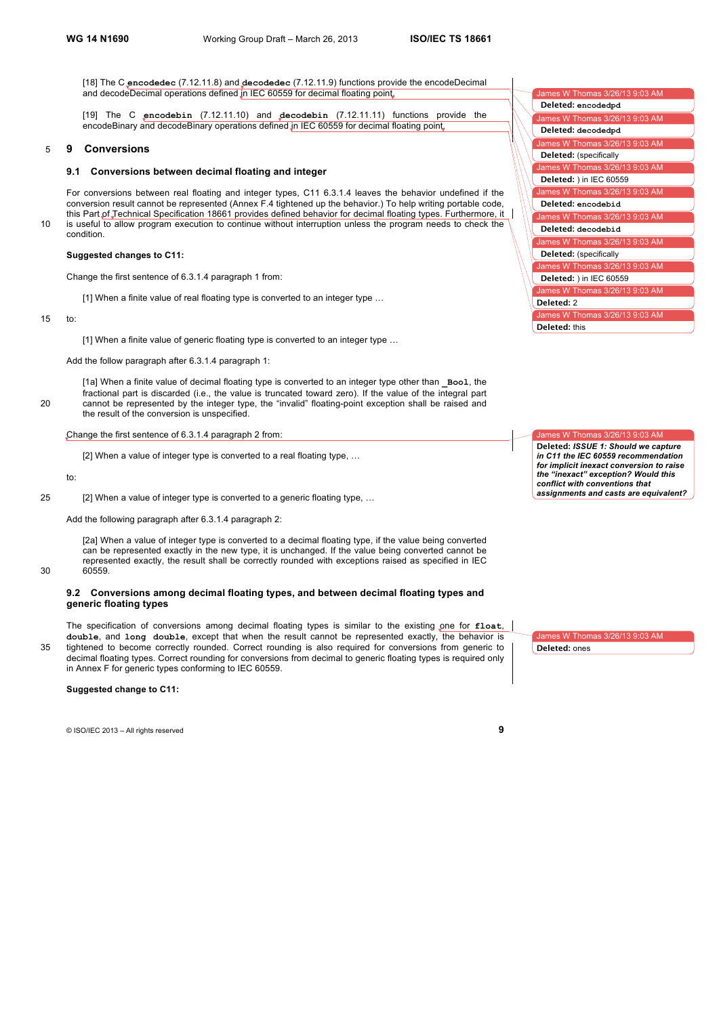[18] The C **encodedec** (7.12.11.8) and **decodedec** (7.12.11.9) functions provide the encodeDecimal and decodeDecimal operations defined in IEC 60559 for decimal floating point.

[19] The C **encodebin** (7.12.11.10) and **decodebin** (7.12.11.11) functions provide the encodeBinary and decodeBinary operations defined in IEC 60559 for decimal floating point.

#### 5 **9 Conversions**

#### **9.1 Conversions between decimal floating and integer**

For conversions between real floating and integer types, C11 6.3.1.4 leaves the behavior undefined if the conversion result cannot be represented (Annex F.4 tightened up the behavior.) To help writing portable code, this Part of Technical Specification 18661 provides defined behavior for decimal floating types. Furthermore, it 10 is useful to allow program execution to continue without interruption unless the program needs to check the condition.

# **Suggested changes to C11:**

Change the first sentence of 6.3.1.4 paragraph 1 from:

[1] When a finite value of real floating type is converted to an integer type …

#### 15 to:

[1] When a finite value of generic floating type is converted to an integer type ...

Add the follow paragraph after 6.3.1.4 paragraph 1:

[1a] When a finite value of decimal floating type is converted to an integer type other than **\_Bool**, the fractional part is discarded (i.e., the value is truncated toward zero). If the value of the integral part 20 cannot be represented by the integer type, the "invalid" floating-point exception shall be raised and the result of the conversion is unspecified.

#### Change the first sentence of 6.3.1.4 paragraph 2 from:

[2] When a value of integer type is converted to a real floating type, …

to:

25 [2] When a value of integer type is converted to a generic floating type, …

Add the following paragraph after 6.3.1.4 paragraph 2:

[2a] When a value of integer type is converted to a decimal floating type, if the value being converted can be represented exactly in the new type, it is unchanged. If the value being converted cannot be represented exactly, the result shall be correctly rounded with exceptions raised as specified in IEC 30 60559.

#### **9.2 Conversions among decimal floating types, and between decimal floating types and generic floating types**

The specification of conversions among decimal floating types is similar to the existing one for **float**, **double**, and **long double**, except that when the result cannot be represented exactly, the behavior is 35 tightened to become correctly rounded. Correct rounding is also required for conversions from generic to decimal floating types. Correct rounding for conversions from decimal to generic floating types is required only in Annex F for generic types conforming to IEC 60559.

#### **Suggested change to C11:**

© ISO/IEC 2013 – All rights reserved **9**

| James W Thomas 3/26/13 9:03 AM |
|--------------------------------|
| Deleted: encodedpd             |
| James W Thomas 3/26/13 9:03 AM |
| Deleted: decodedpd             |
| James W Thomas 3/26/13 9:03 AM |
| Deleted: (specifically         |
| James W Thomas 3/26/13 9:03 AM |
| Deleted: ) in IEC 60559        |
| James W Thomas 3/26/13 9:03 AM |
| Deleted: encodebid             |
| James W Thomas 3/26/13 9:03 AM |
| Deleted: decodebid             |
| James W Thomas 3/26/13 9:03 AM |
| Deleted: (specifically         |
| James W Thomas 3/26/13 9:03 AM |
| Deleted: ) in IEC 60559        |
| James W Thomas 3/26/13 9:03 AM |
| Deleted: 2                     |
| James W Thomas 3/26/13 9:03 AM |
| <b>Deleted:</b> this           |

James W Thomas 3/26/13 9:03 AM **Deleted:** *ISSUE 1: Should we capture in C11 the IEC 60559 recommendation for implicit inexact conversion to raise the "inexact" exception? Would this conflict with conventions that assignments and casts are equivalent?* 

ames W Thomas 3/26/13 9:03 AM **Deleted:** ones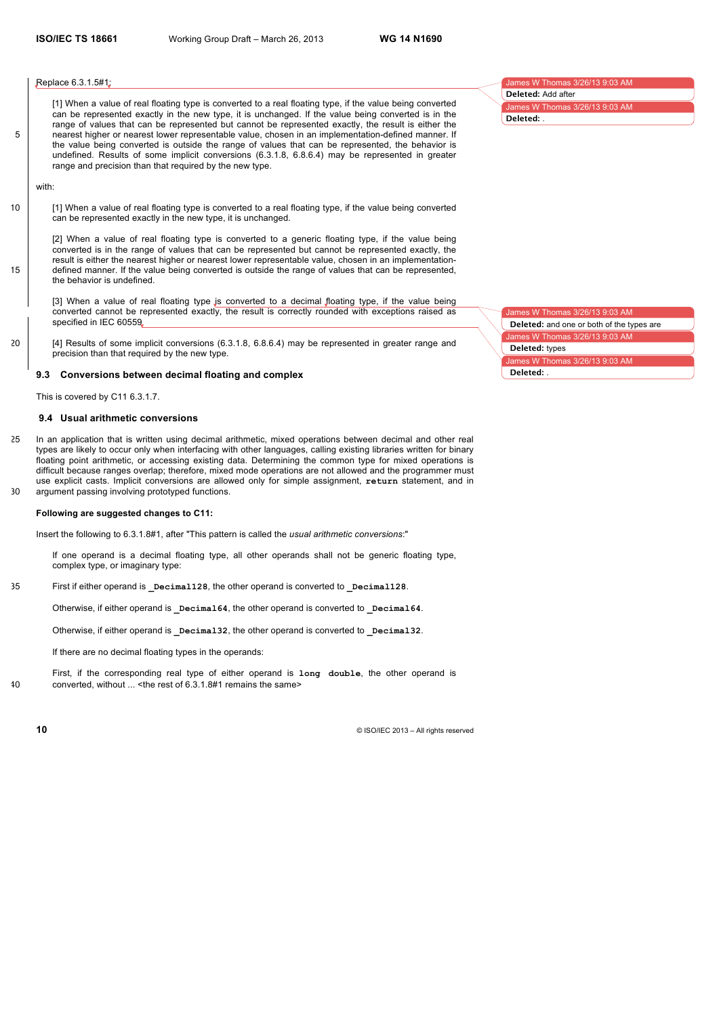#### Replace 6.3.1.5#1:

[1] When a value of real floating type is converted to a real floating type, if the value being converted can be represented exactly in the new type, it is unchanged. If the value being converted is in the range of values that can be represented but cannot be represented exactly, the result is either the 5 nearest higher or nearest lower representable value, chosen in an implementation-defined manner. If the value being converted is outside the range of values that can be represented, the behavior is undefined. Results of some implicit conversions (6.3.1.8, 6.8.6.4) may be represented in greater range and precision than that required by the new type.

#### with:

10 [1] When a value of real floating type is converted to a real floating type, if the value being converted can be represented exactly in the new type, it is unchanged.

[2] When a value of real floating type is converted to a generic floating type, if the value being converted is in the range of values that can be represented but cannot be represented exactly, the result is either the nearest higher or nearest lower representable value, chosen in an implementation-15 defined manner. If the value being converted is outside the range of values that can be represented, the behavior is undefined.

[3] When a value of real floating type is converted to a decimal floating type, if the value being converted cannot be represented exactly, the result is correctly rounded with exceptions raised as specified in IEC 60559.

20 [4] Results of some implicit conversions (6.3.1.8, 6.8.6.4) may be represented in greater range and precision than that required by the new type.

# **9.3 Conversions between decimal floating and complex**

This is covered by C11 6.3.1.7.

#### **9.4 Usual arithmetic conversions**

25 In an application that is written using decimal arithmetic, mixed operations between decimal and other real types are likely to occur only when interfacing with other languages, calling existing libraries written for binary floating point arithmetic, or accessing existing data. Determining the common type for mixed operations is difficult because ranges overlap; therefore, mixed mode operations are not allowed and the programmer must use explicit casts. Implicit conversions are allowed only for simple assignment, **return** statement, and in 30 argument passing involving prototyped functions.

#### **Following are suggested changes to C11:**

Insert the following to 6.3.1.8#1, after "This pattern is called the *usual arithmetic conversions*:"

If one operand is a decimal floating type, all other operands shall not be generic floating type, complex type, or imaginary type:

35 First if either operand is **\_Decimal128**, the other operand is converted to **\_Decimal128**.

Otherwise, if either operand is **Decimal64**, the other operand is converted to **Decimal64**.

Otherwise, if either operand is **Decimal32**, the other operand is converted to **Decimal32**.

If there are no decimal floating types in the operands:

First, if the corresponding real type of either operand is **long double**, the other operand is 40 converted, without ... <the rest of 6.3.1.8#1 remains the same>

**10** © ISO/IEC 2013 – All rights reserved

James W Thomas 3/26/13 9:0 ames W Thomas 3/26/13 9:03 AM **Deleted:** Add after **Deleted:** .

James W Thomas 3/26/13 9:03 AM es W Thomas 3/26/13 9:03 AM James W Thomas 3/26/13 9:03 AM **Deleted:** and one or both of the types are **Deleted:** types **Deleted:** .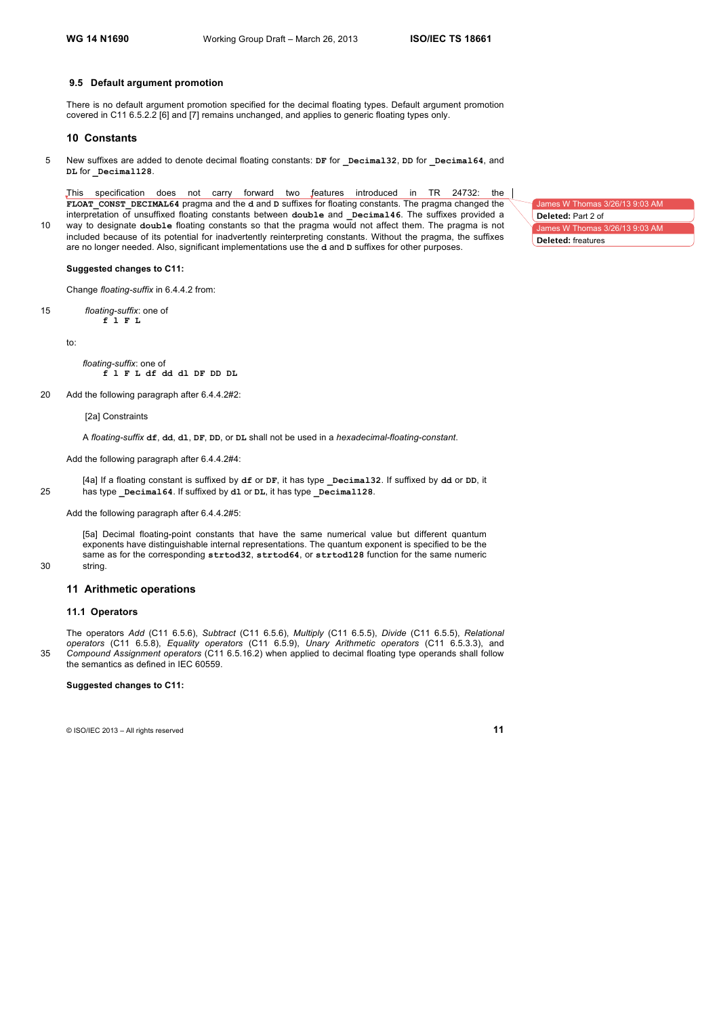#### **9.5 Default argument promotion**

There is no default argument promotion specified for the decimal floating types. Default argument promotion covered in C11 6.5.2.2 [6] and [7] remains unchanged, and applies to generic floating types only.

# **10 Constants**

5 New suffixes are added to denote decimal floating constants: **DF** for **\_Decimal32**, **DD** for **\_Decimal64**, and **DL** for **\_Decimal128**.

This specification does not carry forward two features introduced in TR 24732: the **FLOAT\_CONST\_DECIMAL64** pragma and the **d** and **D** suffixes for floating constants. The pragma changed the interpretation of unsuffixed floating constants between **double** and **\_Decimal46**. The suffixes provided a 10 way to designate **double** floating constants so that the pragma would not affect them. The pragma is not included because of its potential for inadvertently reinterpreting constants. Without the pragma, the suffixes are no longer needed. Also, significant implementations use the **d** and **D** suffixes for other purposes.

**Suggested changes to C11:**

Change *floating-suffix* in 6.4.4.2 from:

15 *floating-suffix*: one of **f l F L**

to:

*floating-suffix*: one of **f l F L df dd dl DF DD DL**

20 Add the following paragraph after 6.4.4.2#2:

[2a] Constraints

A *floating-suffix* **df**, **dd**, **dl**, **DF**, **DD**, or **DL** shall not be used in a *hexadecimal-floating-constant*.

Add the following paragraph after 6.4.4.2#4:

[4a] If a floating constant is suffixed by **df** or **DF**, it has type **\_Decimal32**. If suffixed by **dd** or **DD**, it 25 has type **\_Decimal64**. If suffixed by **dl** or **DL**, it has type **\_Decimal128**.

Add the following paragraph after 6.4.4.2#5:

[5a] Decimal floating-point constants that have the same numerical value but different quantum exponents have distinguishable internal representations. The quantum exponent is specified to be the same as for the corresponding **strtod32**, **strtod64**, or **strtod128** function for the same numeric 30 string.

### **11 Arithmetic operations**

#### **11.1 Operators**

The operators *Add* (C11 6.5.6), *Subtract* (C11 6.5.6), *Multiply* (C11 6.5.5), *Divide* (C11 6.5.5), *Relational operators* (C11 6.5.8), *Equality operators* (C11 6.5.9), *Unary Arithmetic operators* (C11 6.5.3.3), and 35 *Compound Assignment operators* (C11 6.5.16.2) when applied to decimal floating type operands shall follow the semantics as defined in IEC 60559.

#### **Suggested changes to C11:**

© ISO/IEC 2013 – All rights reserved **11**

James W Thomas 3/26/13 9:03 AM  $mes W$  Thomas 3/2 **Deleted:** Part 2 of **Deleted:** freatures

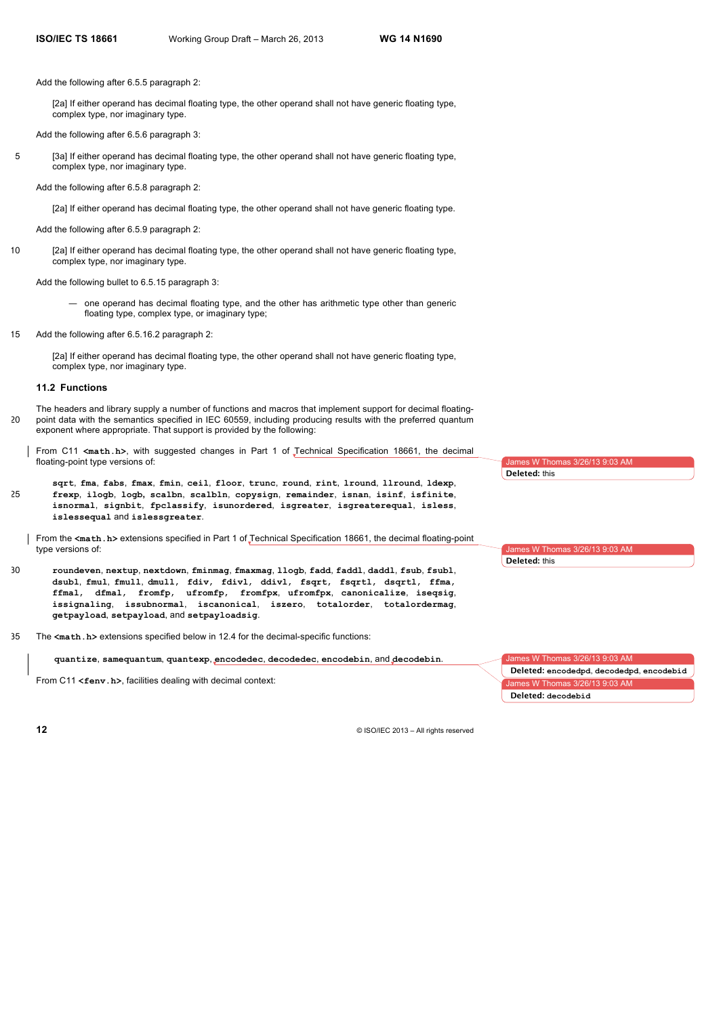Add the following after 6.5.5 paragraph 2:

[2a] If either operand has decimal floating type, the other operand shall not have generic floating type, complex type, nor imaginary type.

Add the following after 6.5.6 paragraph 3:

5 [3a] If either operand has decimal floating type, the other operand shall not have generic floating type, complex type, nor imaginary type.

Add the following after 6.5.8 paragraph 2:

- [2a] If either operand has decimal floating type, the other operand shall not have generic floating type.
- Add the following after 6.5.9 paragraph 2:
- 10 [2a] If either operand has decimal floating type, the other operand shall not have generic floating type, complex type, nor imaginary type.

Add the following bullet to 6.5.15 paragraph 3:

- one operand has decimal floating type, and the other has arithmetic type other than generic floating type, complex type, or imaginary type;
- 15 Add the following after 6.5.16.2 paragraph 2:

[2a] If either operand has decimal floating type, the other operand shall not have generic floating type, complex type, nor imaginary type.

# **11.2 Functions**

The headers and library supply a number of functions and macros that implement support for decimal floating-20 point data with the semantics specified in IEC 60559, including producing results with the preferred quantum exponent where appropriate. That support is provided by the following:

From C11 **<math.h>**, with suggested changes in Part 1 of Technical Specification 18661, the decimal floating-point type versions of:

**sqrt**, **fma**, **fabs**, **fmax**, **fmin**, **ceil**, **floor**, **trunc**, **round**, **rint**, **lround**, **llround**, **ldexp**, 25 **frexp**, **ilogb**, **logb, scalbn**, **scalbln**, **copysign**, **remainder**, **isnan**, **isinf**, **isfinite**, **isnormal**, **signbit**, **fpclassify**, **isunordered**, **isgreater**, **isgreaterequal**, **isless**, **islessequal** and **islessgreater**.

From the **<math.h>** extensions specified in Part 1 of Technical Specification 18661, the decimal floating-point type versions of:

- 30 **roundeven**, **nextup**, **nextdown**, **fminmag**, **fmaxmag**, **llogb**, **fadd**, **faddl**, **daddl**, **fsub**, **fsubl**, **dsubl**, **fmul**, **fmull**, **dmull**, **fdiv**, **fdivl**, **ddivl**, **fsqrt**, **fsqrtl**, **dsqrtl**, **ffma**, **ffmal**, **dfmal**, **fromfp**, **ufromfp**, **fromfpx**, **ufromfpx**, **canonicalize**, **iseqsig**, **issignaling**, **issubnormal**, **iscanonical**, **iszero**, **totalorder**, **totalordermag**, **getpayload**, **setpayload**, and **setpayloadsig**.
- 35 The **<math.h>** extensions specified below in 12.4 for the decimal-specific functions:

**quantize**, **samequantum**, **quantexp**, **encodedec**, **decodedec**, **encodebin**, and **decodebin**.

From C11 <fenv.h>, facilities dealing with decimal context:



James W Thomas 3/26/13 9:03 AM

**Deleted:** this

**Deleted:** this

James W Thomas 3/26/13 9:03 AM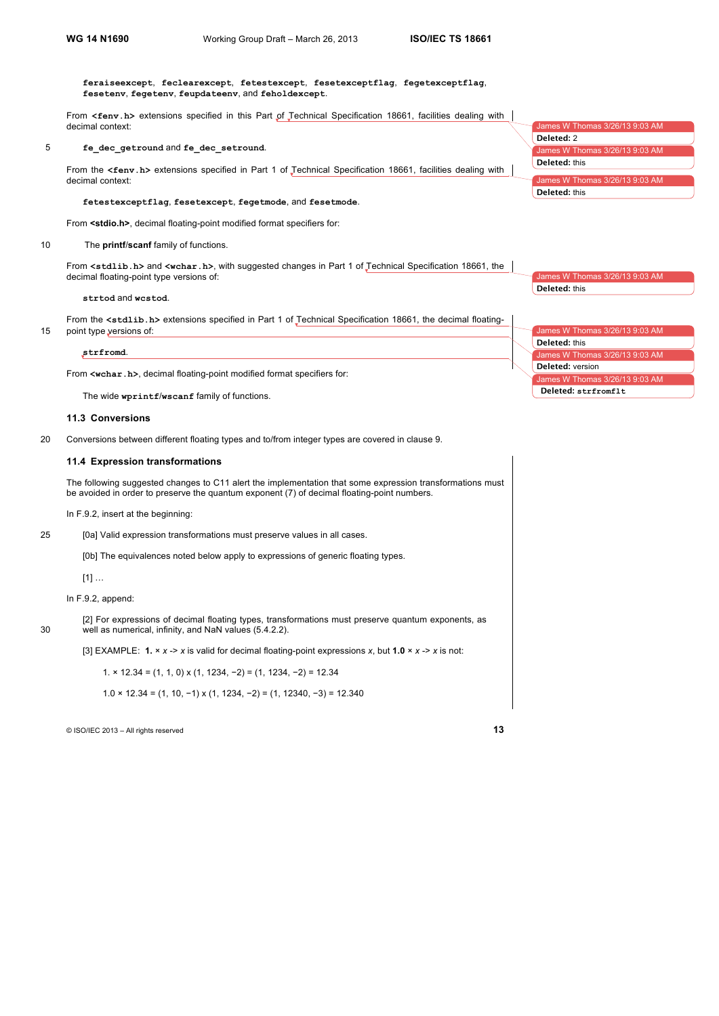**feraiseexcept**, **feclearexcept**, **fetestexcept**, **fesetexceptflag**, **fegetexceptflag**, **fesetenv**, **fegetenv**, **feupdateenv**, and **feholdexcept**.

From **<fenv.h>** extensions specified in this Part of Technical Specification 18661, facilities dealing with decimal context:

#### 5 **fe\_dec\_getround** and **fe\_dec\_setround**.

From the **<fenv.h>** extensions specified in Part 1 of Technical Specification 18661, facilities dealing with decimal context:

# **fetestexceptflag**, **fesetexcept**, **fegetmode**, and **fesetmode**.

From **<stdio.h>**, decimal floating-point modified format specifiers for:

#### 10 The **printf**/**scanf** family of functions.

From **<stdlib.h>** and **<wchar.h>**, with suggested changes in Part 1 of Technical Specification 18661, the decimal floating-point type versions of:

#### **strtod** and **wcstod**.

From the **<stdlib.h>** extensions specified in Part 1 of Technical Specification 18661, the decimal floating-15 point type versions of:

#### **strfromd**.

From **<wchar.h>**, decimal floating-point modified format specifiers for:

The wide **wprintf**/**wscanf** family of functions.

# **11.3 Conversions**

20 Conversions between different floating types and to/from integer types are covered in clause 9.

#### **11.4 Expression transformations**

The following suggested changes to C11 alert the implementation that some expression transformations must be avoided in order to preserve the quantum exponent (7) of decimal floating-point numbers.

In F.9.2, insert at the beginning:

25 [0a] Valid expression transformations must preserve values in all cases.

[0b] The equivalences noted below apply to expressions of generic floating types.

[1] …

# In F.9.2, append:

[2] For expressions of decimal floating types, transformations must preserve quantum exponents, as 30 well as numerical, infinity, and NaN values (5.4.2.2).

[3] EXAMPLE: **1.** × *x* -> *x* is valid for decimal floating-point expressions *x*, but **1.0** × *x* -> *x* is not:

1. × 12.34 = (1, 1, 0) x (1, 1234, −2) = (1, 1234, −2) = 12.34

1.0 × 12.34 = (1, 10, −1) x (1, 1234, −2) = (1, 12340, −3) = 12.340

© ISO/IEC 2013 – All rights reserved **13**

|                      | James W Thomas 3/26/13 9:03 AM |
|----------------------|--------------------------------|
| Deleted: 2           |                                |
|                      | James W Thomas 3/26/13 9:03 AM |
| Deleted: this        |                                |
|                      |                                |
|                      | James W Thomas 3/26/13 9:03 AM |
| <b>Deleted:</b> this |                                |

 $\overline{\text{es W}}$  Thomas 3/26/13 9:03 AM **Deleted:** this

James W Thomas 3/26/13 9:03 AM James W Thomas 3/26/13 9:03 AM <u>s W Th</u>omas 3/26/13 9:03 **Deleted:** this **Deleted:** version **Deleted: strfromflt**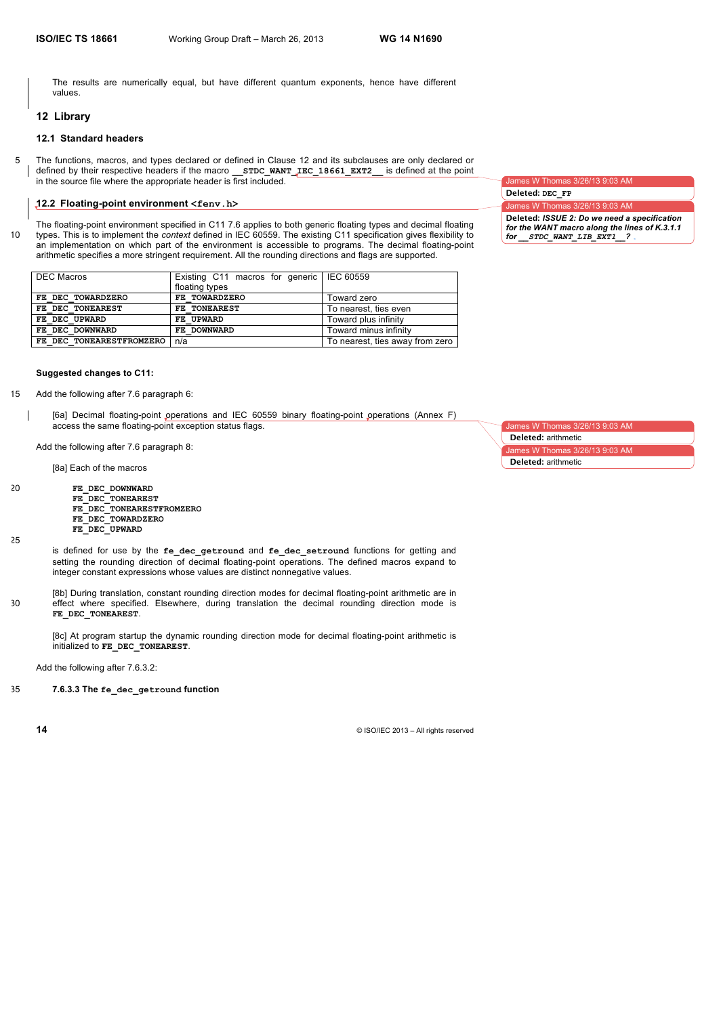The results are numerically equal, but have different quantum exponents, hence have different values.

#### **12 Library**

# **12.1 Standard headers**

5 The functions, macros, and types declared or defined in Clause 12 and its subclauses are only declared or defined by their respective headers if the macro **\_\_STDC\_WANT\_IEC\_18661\_EXT2\_\_** is defined at the point in the source file where the appropriate header is first included.

# **12.2 Floating-point environment <fenv.h>**

The floating-point environment specified in C11 7.6 applies to both generic floating types and decimal floating 10 types. This is to implement the *context* defined in IEC 60559. The existing C11 specification gives flexibility to an implementation on which part of the environment is accessible to programs. The decimal floating-point arithmetic specifies a more stringent requirement. All the rounding directions and flags are supported.

| FE TOWARDZERO<br>FE DEC TOWARDZERO<br>Toward zero<br>FE DEC TONEAREST<br>FE TONEAREST<br>To nearest, ties even | <b>DEC Macros</b> | Existing C11 macros for generic   IEC 60559<br>floating types |                                 |
|----------------------------------------------------------------------------------------------------------------|-------------------|---------------------------------------------------------------|---------------------------------|
|                                                                                                                |                   |                                                               |                                 |
|                                                                                                                |                   |                                                               |                                 |
|                                                                                                                | FE DEC UPWARD     | FE UPWARD                                                     | Toward plus infinity            |
| Toward minus infinity<br>FE DEC DOWNWARD<br>FE DOWNWARD                                                        |                   |                                                               |                                 |
| FE DEC TONEARESTFROMZERO<br>n/a                                                                                |                   |                                                               | To nearest, ties away from zero |

### **Suggested changes to C11:**

- 15 Add the following after 7.6 paragraph 6:
	- [6a] Decimal floating-point operations and IEC 60559 binary floating-point operations (Annex F) access the same floating-point exception status flags.

Add the following after 7.6 paragraph 8:

[8a] Each of the macros

- 20 **FE\_DEC\_DOWNWARD** FE\_DEC\_TONEAREST **FE\_DEC\_TONEARESTFROMZERO FE\_DEC\_TOWARDZERO FE\_DEC\_UPWARD**
- 25

- is defined for use by the **fe\_dec\_getround** and **fe\_dec\_setround** functions for getting and setting the rounding direction of decimal floating-point operations. The defined macros expand to integer constant expressions whose values are distinct nonnegative values.
- [8b] During translation, constant rounding direction modes for decimal floating-point arithmetic are in 30 effect where specified. Elsewhere, during translation the decimal rounding direction mode is FE\_DEC\_TONEAREST.

[8c] At program startup the dynamic rounding direction mode for decimal floating-point arithmetic is initialized to **FE\_DEC\_TONEAREST**.

Add the following after 7.6.3.2:

35 **7.6.3.3 The fe\_dec\_getround function**

James W Thomas 3/26/13 9:03 AM

James W Thomas 3/26/13 9:03 AM James W Thomas 3/26/13 9:03 AM

**Deleted:** arithmetic

**Deleted:** arithmetic

James W Thomas 3/26/13 9:03 AM **Deleted: DEC\_FP**

**Deleted:** *ISSUE 2: Do we need a specification for the WANT macro along the lines of K.3.1.1 for \_\_STDC\_WANT\_LIB\_EXT1\_\_?*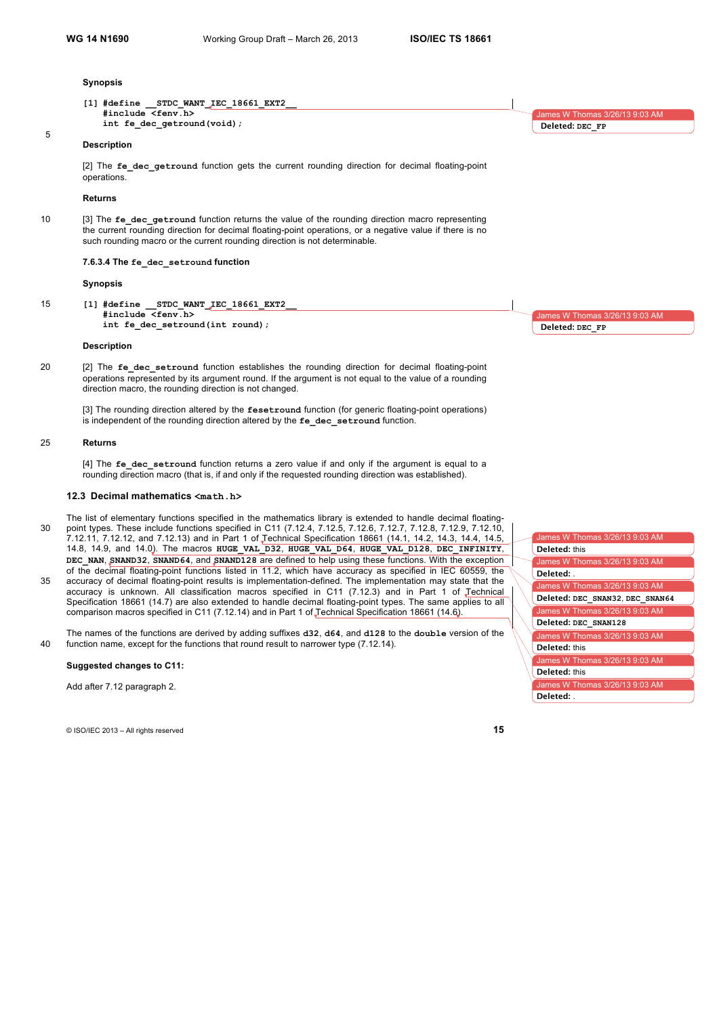#### **Synopsis**

**Description**

**[1] #define \_\_STDC\_WANT\_IEC\_18661\_EXT2\_\_ #include <fenv.h> int fe\_dec\_getround(void);**

5

[2] The fe dec getround function gets the current rounding direction for decimal floating-point operations.

#### **Returns**

10 [3] The **fe\_dec\_getround** function returns the value of the rounding direction macro representing the current rounding direction for decimal floating-point operations, or a negative value if there is no such rounding macro or the current rounding direction is not determinable.

**7.6.3.4 The fe\_dec\_setround function**

#### **Synopsis**

15 **[1] #define \_\_STDC\_WANT\_IEC\_18661\_EXT2\_\_ #include <fenv.h> int fe\_dec\_setround(int round);**

## **Description**

20 [2] The **fe\_dec\_setround** function establishes the rounding direction for decimal floating-point operations represented by its argument round. If the argument is not equal to the value of a rounding direction macro, the rounding direction is not changed.

[3] The rounding direction altered by the **fesetround** function (for generic floating-point operations) is independent of the rounding direction altered by the **fe\_dec\_setround** function.

#### 25 **Returns**

[4] The fe dec setround function returns a zero value if and only if the argument is equal to a rounding direction macro (that is, if and only if the requested rounding direction was established).

# **12.3 Decimal mathematics <math.h>**

- The list of elementary functions specified in the mathematics library is extended to handle decimal floating-30 point types. These include functions specified in C11 (7.12.4, 7.12.5, 7.12.6, 7.12.7, 7.12.8, 7.12.9, 7.12.10, 7.12.11, 7.12.12, and 7.12.13) and in Part 1 of Technical Specification 18661 (14.1, 14.2, 14.3, 14.4, 14.5, 14.8, 14.9, and 14.0). The macros **HUGE\_VAL\_D32**, **HUGE\_VAL\_D64**, **HUGE\_VAL\_D128**, **DEC\_INFINITY**, **DEC\_NAN**, **SNAND32**, **SNAND64**, and **SNAND128** are defined to help using these functions. With the exception of the decimal floating-point functions listed in 11.2, which have accuracy as specified in IEC 60559, the
- 35 accuracy of decimal floating-point results is implementation-defined. The implementation may state that the accuracy is unknown. All classification macros specified in C11 (7.12.3) and in Part 1 of Technical Specification 18661 (14.7) are also extended to handle decimal floating-point types. The same applies to all comparison macros specified in C11 (7.12.14) and in Part 1 of Technical Specification 18661 (14.6).

The names of the functions are derived by adding suffixes **d32**, **d64**, and **d128** to the **double** version of the 40 function name, except for the functions that round result to narrower type (7.12.14).

#### **Suggested changes to C11:**

Add after 7.12 paragraph 2.

© ISO/IEC 2013 – All rights reserved **15**



Imes W Thomas 3/26/13 9:03 AM

**Deleted: DEC\_FP**

James W Thomas 3/26/13 9:03 AM **Deleted: DEC\_FP**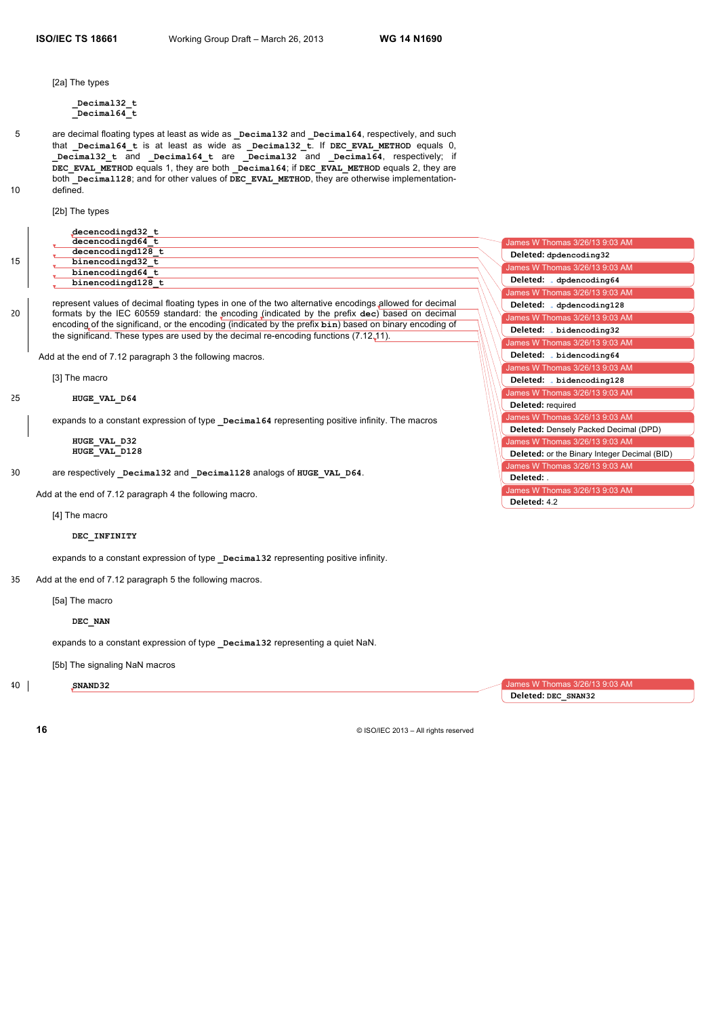[2a] The types

**\_Decimal32\_t \_Decimal64\_t**

5 are decimal floating types at least as wide as **\_Decimal32** and **\_Decimal64**, respectively, and such that **\_Decimal64\_t** is at least as wide as **\_Decimal32\_t**. If **DEC\_EVAL\_METHOD** equals 0, **\_Decimal32\_t** and **\_Decimal64\_t** are **\_Decimal32** and **\_Decimal64**, respectively; if DEC EVAL METHOD equals 1, they are both **Decimal64**; if DEC EVAL METHOD equals 2, they are both **\_Decimal128**; and for other values of **DEC\_EVAL\_METHOD**, they are otherwise implementation-10 defined.

[2b] The types

|    | decencodingd32 t  |                                |
|----|-------------------|--------------------------------|
| 15 | decencodingd64 t  | James W Thomas 3/26/13 9:03 AM |
|    | decencodingd128 t | Deleted: dpdencoding32         |
|    | binencodingd32 t  |                                |
|    | binencodingd64 t  | James W Thomas 3/26/13 9:03 AM |
|    | binencodingd128 t | Deleted: dpdencoding64         |
|    |                   | James W Thomas 3/26/13 9:03 AM |

represent values of decimal floating types in one of the two alternative encodings allowed for decimal 20 formats by the IEC 60559 standard: the encoding (indicated by the prefix **dec**) based on decimal encoding of the significand, or the encoding (indicated by the prefix **bin**) based on binary encoding of the significand. These types are used by the decimal re-encoding functions (7.12.11).

Add at the end of 7.12 paragraph 3 the following macros.

[3] The macro

#### 25 **HUGE\_VAL\_D64**

expands to a constant expression of type **Decimal64** representing positive infinity. The macros

**HUGE\_VAL\_D32 HUGE\_VAL\_D128**

30 are respectively **\_Decimal32** and **\_Decimal128** analogs of **HUGE\_VAL\_D64**.

Add at the end of 7.12 paragraph 4 the following macro.

#### [4] The macro

#### **DEC\_INFINITY**

expands to a constant expression of type **\_Decimal32** representing positive infinity.

35 Add at the end of 7.12 paragraph 5 the following macros.

[5a] The macro

#### **DEC\_NAN**

expands to a constant expression of type **Decimal32** representing a quiet NaN.

[5b] The signaling NaN macros

40 **SNAND32**

W Thomas 3/26/13 9:03 AM **Deleted: DEC\_SNAN32**

James W Thomas 3/26/13 9:03 AM ames W Thomas  $3/26/13$  9:03 A

**Deleted: bidencoding32**

**Deleted: dpdencoding128**

James W Thomas  $3/26/13$  9:03 A

**Deleted: bidencoding128**

**Deleted: bidencoding64**

James W Thomas 3/26/13 9:03 AI

**Deleted:** required

**Deleted:** . **Deleted:** 4.2

mes W Thomas 3/26/13 9:03 AM

**Deleted:** Densely Packed Decimal (DPD)

**Deleted:** or the Binary Integer Decimal (BID)

James W Thomas 3/26/13 9:03 AM

James W Thomas 3/26/13 9:03 AM

James W Thomas 3/26/13 9:03 AM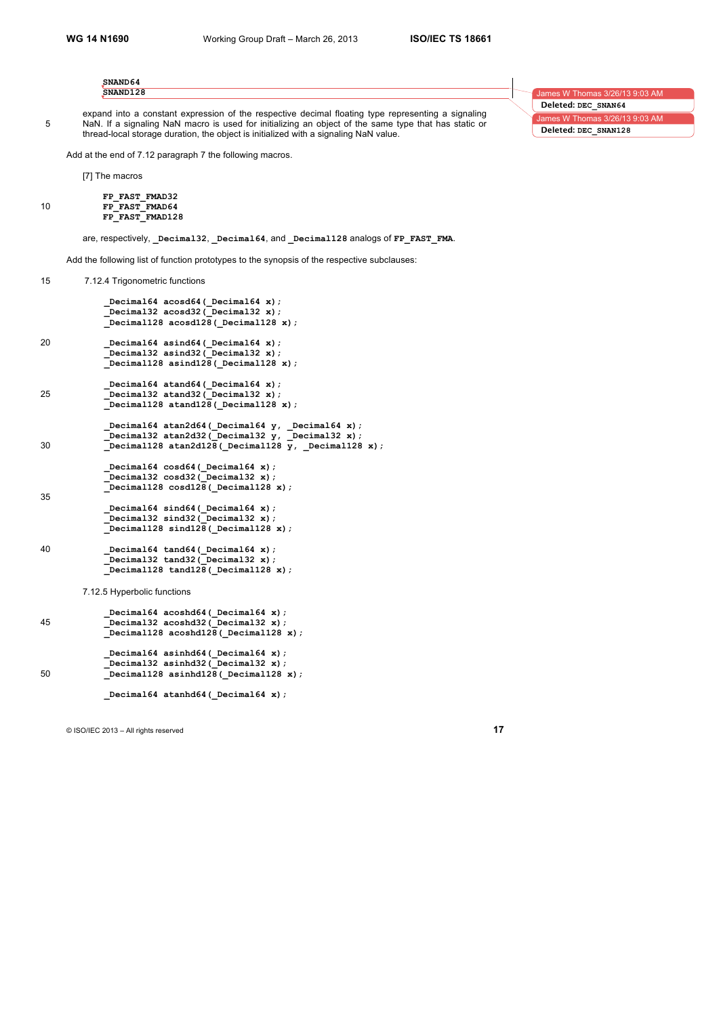| SNAND64<br>SNAND128                                                                                                                                                                                        |  | James W Thomas 3/26/13 9:03 AM |
|------------------------------------------------------------------------------------------------------------------------------------------------------------------------------------------------------------|--|--------------------------------|
|                                                                                                                                                                                                            |  | Deleted: DEC SNAN64            |
| expand into a constant expression of the respective decimal floating type representing a signaling<br>NaN. If a signaling NaN macro is used for initializing an object of the same type that has static or |  | James W Thomas 3/26/13 9:03 AM |
| thread-local storage duration, the object is initialized with a signaling NaN value.                                                                                                                       |  | Deleted: DEC SNAN128           |

Add at the end of 7.12 paragraph 7 the following macros.

[7] The macros

```
FP_FAST_FMAD32
10 FP_FAST_FMAD64
         FP_FAST_FMAD128
```
are, respectively, **\_Decimal32**, **\_Decimal64**, and **\_Decimal128** analogs of **FP\_FAST\_FMA**.

Add the following list of function prototypes to the synopsis of the respective subclauses:

15 7.12.4 Trigonometric functions

```
 _Decimal64 acosd64(_Decimal64 x);
     _Decimal32 acosd32(_Decimal32 x);
           _Decimal128 acosd128(_Decimal128 x);
20 _Decimal64 asind64(_Decimal64 x);
     _Decimal32 asind32(_Decimal32 x);
     _Decimal128 asind128(_Decimal128 x);
    Decimal64 atand64( Decimal64 x);
25 _Decimal32 atand32(_Decimal32 x);
            _Decimal128 atand128(_Decimal128 x);
           _Decimal64 atan2d64(_Decimal64 y, _Decimal64 x);
     _Decimal32 atan2d32(_Decimal32 y, _Decimal32 x);
30 Decimal128 atan2d128( Decimal128 y, Decimal128 x);
            _Decimal64 cosd64(_Decimal64 x);
           _Decimal32 cosd32(_Decimal32 x);
            _Decimal128 cosd128(_Decimal128 x);
35
     _Decimal64 sind64(_Decimal64 x);
     _Decimal32 sind32(_Decimal32 x);
            _Decimal128 sind128(_Decimal128 x);
40 _Decimal64 tand64(_Decimal64 x);
     _Decimal32 tand32(_Decimal32 x);
           _Decimal128 tand128(_Decimal128 x);
```
7.12.5 Hyperbolic functions

```
Decimal64 acoshd64(Decimal64 x);
45 _Decimal32 acoshd32(_Decimal32 x);
           _Decimal128 acoshd128(_Decimal128 x);
            _Decimal64 asinhd64(_Decimal64 x);
            _Decimal32 asinhd32(_Decimal32 x);
50 _Decimal128 asinhd128(_Decimal128 x);
```
Decimal64 atanhd64 (Decimal64 x);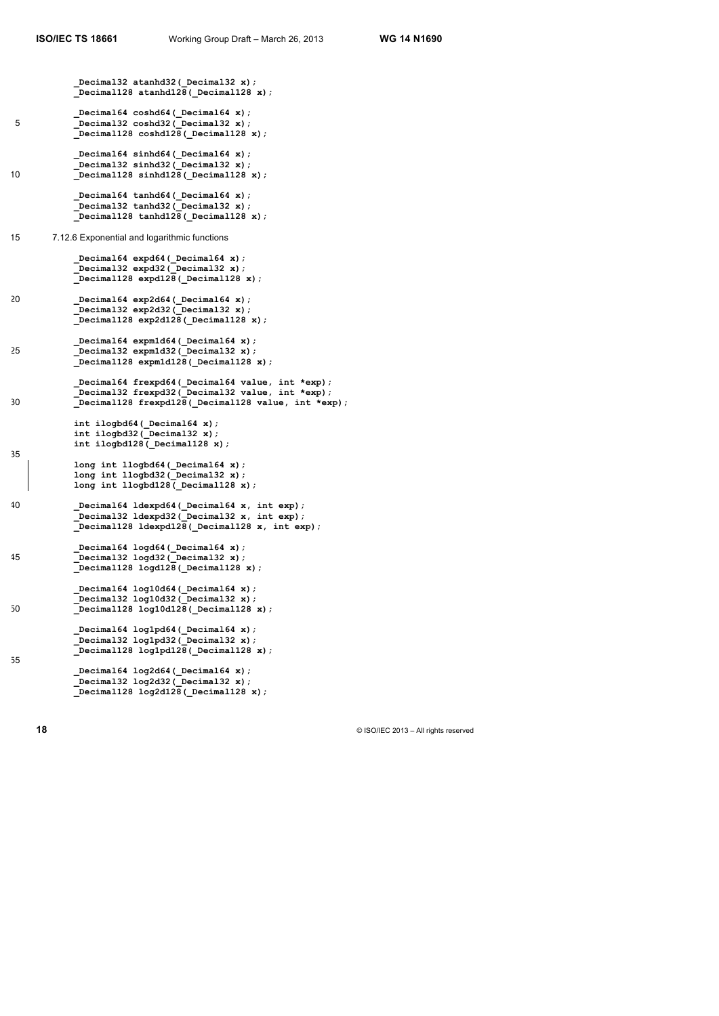**\_Decimal32 atanhd32(\_Decimal32 x); \_Decimal128 atanhd128(\_Decimal128 x); \_Decimal64 coshd64(\_Decimal64 x);** 5 **\_Decimal32 coshd32(\_Decimal32 x); \_Decimal128 coshd128(\_Decimal128 x); \_Decimal64 sinhd64(\_Decimal64 x); \_Decimal32 sinhd32(\_Decimal32 x);** 10 **Decimal128 sinhd128(** Decimal128 x); Decimal64 tanhd64 ( Decimal64 x);  **\_Decimal32 tanhd32(\_Decimal32 x); \_Decimal128 tanhd128(\_Decimal128 x);** 15 7.12.6 Exponential and logarithmic functions  **\_Decimal64 expd64(\_Decimal64 x); \_Decimal32 expd32(\_Decimal32 x); \_Decimal128 expd128(\_Decimal128 x);** 20 **\_Decimal64 exp2d64(\_Decimal64 x); \_Decimal32 exp2d32(\_Decimal32 x); \_Decimal128 exp2d128(\_Decimal128 x); \_Decimal64 expm1d64(\_Decimal64 x);** 25 **\_Decimal32 expm1d32(\_Decimal32 x); \_Decimal128 expm1d128(\_Decimal128 x); \_Decimal64 frexpd64(\_Decimal64 value, int \*exp); \_Decimal32 frexpd32(\_Decimal32 value, int \*exp);** 30 **\_Decimal128 frexpd128(\_Decimal128 value, int \*exp); int ilogbd64(\_Decimal64 x); int ilogbd32(\_Decimal32 x); int ilogbd128(\_Decimal128 x);** 35  **long int llogbd64(\_Decimal64 x); long int llogbd32(\_Decimal32 x); long int llogbd128(\_Decimal128 x);** 40 **\_Decimal64 ldexpd64(\_Decimal64 x, int exp); \_Decimal32 ldexpd32(\_Decimal32 x, int exp); \_Decimal128 ldexpd128(\_Decimal128 x, int exp); \_Decimal64 logd64(\_Decimal64 x);** 45 **\_Decimal32 logd32(\_Decimal32 x); \_Decimal128 logd128(\_Decimal128 x); \_Decimal64 log10d64(\_Decimal64 x); \_Decimal32 log10d32(\_Decimal32 x);** 50 **\_Decimal128 log10d128(\_Decimal128 x);** Decimal64 log1pd64( Decimal64 x);  **\_Decimal32 log1pd32(\_Decimal32 x); \_Decimal128 log1pd128(\_Decimal128 x);** 55 Decimal64 log2d64( Decimal64 x);  **\_Decimal32 log2d32(\_Decimal32 x); \_Decimal128 log2d128(\_Decimal128 x);**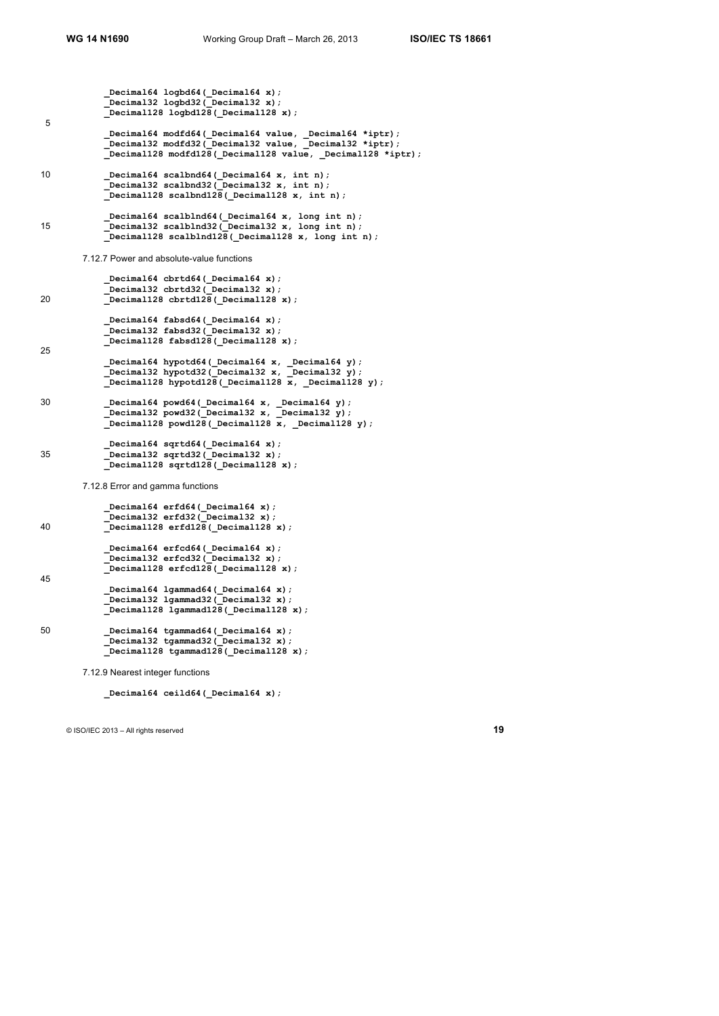```
Decimal64 logbd64( Decimal64 x);
     Decimal32 logbd32( Decimal32 x);
      _Decimal128 logbd128(_Decimal128 x);
5
            _Decimal64 modfd64(_Decimal64 value, _Decimal64 *iptr);
            _Decimal32 modfd32(_Decimal32 value, _Decimal32 *iptr);
            _Decimal128 modfd128(_Decimal128 value, _Decimal128 *iptr);
10 _Decimal64 scalbnd64(_Decimal64 x, int n);
      _Decimal32 scalbnd32(_Decimal32 x, int n);
      _Decimal128 scalbnd128(_Decimal128 x, int n);
             _Decimal64 scalblnd64(_Decimal64 x, long int n);
15 becimal32 scalblnd32 lecimal32 x, long int n);
           \overline{\bigcirc} Decimal128 scalblnd128 (Decimal128 x, long int n);
       7.12.7 Power and absolute-value functions
            _Decimal64 cbrtd64(_Decimal64 x);
           Decimal32 cbrtd32(Decimal32 x);
20 _Decimal128 cbrtd128(_Decimal128 x);
            _Decimal64 fabsd64(_Decimal64 x);
             _Decimal32 fabsd32(_Decimal32 x);
            _Decimal128 fabsd128(_Decimal128 x);
25
             _Decimal64 hypotd64(_Decimal64 x, _Decimal64 y);
      _Decimal32 hypotd32(_Decimal32 x, _Decimal32 y);
      _Decimal128 hypotd128(_Decimal128 x, _Decimal128 y);
30 _Decimal64 powd64(_Decimal64 x, _Decimal64 y);
      _Decimal32 powd32(_Decimal32 x, _Decimal32 y);
      _Decimal128 powd128(_Decimal128 x, _Decimal128 y);
      _Decimal64 sqrtd64(_Decimal64 x);
35 _Decimal32 sqrtd32(_Decimal32 x);
            _Decimal128 sqrtd128(_Decimal128 x);
       7.12.8 Error and gamma functions
            _Decimal64 erfd64(_Decimal64 x);
```

```
 _Decimal32 erfd32(_Decimal32 x);
40 _Decimal128 erfd128(_Decimal128 x);
            _Decimal64 erfcd64(_Decimal64 x);
            _Decimal32 erfcd32(_Decimal32 x);
            _Decimal128 erfcd128(_Decimal128 x);
45
     _Decimal64 lgammad64(_Decimal64 x);
     _Decimal32 lgammad32(_Decimal32 x);
           Decimal128 lgammad128 (Decimal128 x);
50 _Decimal64 tgammad64(_Decimal64 x);
     _Decimal32 tgammad32(_Decimal32 x);
```
7.12.9 Nearest integer functions

 **\_Decimal64 ceild64(\_Decimal64 x);**

 **\_Decimal128 tgammad128(\_Decimal128 x);**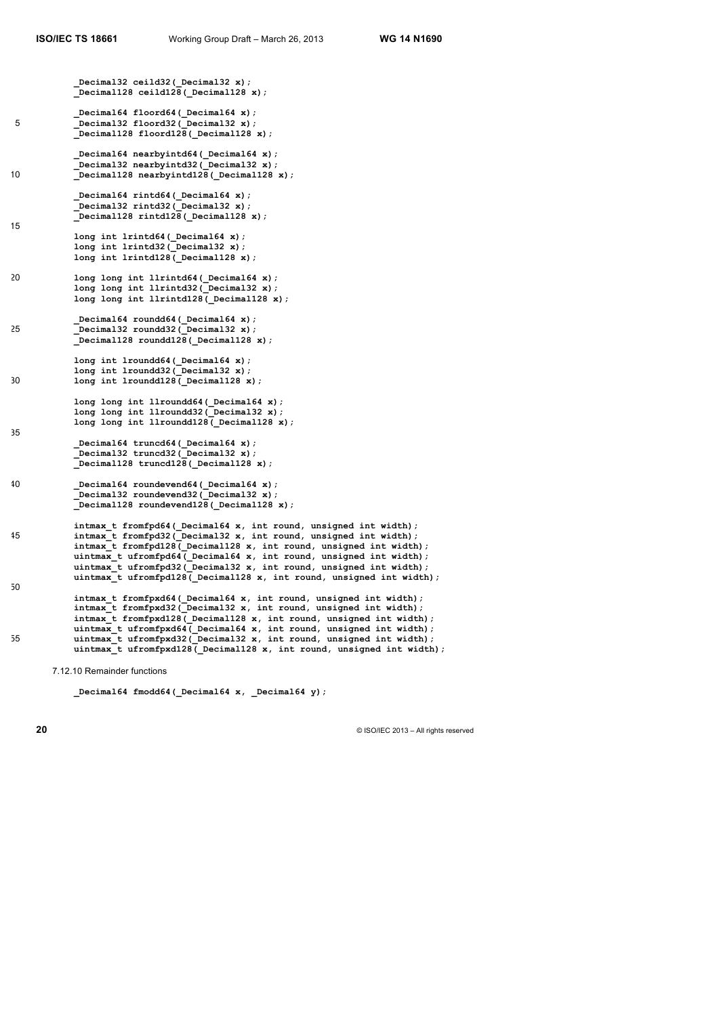15

 **\_Decimal32 ceild32(\_Decimal32 x); \_Decimal128 ceild128(\_Decimal128 x);**

- **\_Decimal64 floord64(\_Decimal64 x);** 5 **\_Decimal32 floord32(\_Decimal32 x); \_Decimal128 floord128(\_Decimal128 x);**
- **\_Decimal64 nearbyintd64(\_Decimal64 x); \_Decimal32 nearbyintd32(\_Decimal32 x);** 10 Decimal128 nearbyintd128 (Decimal128 x);
	- Decimal64 rintd64( Decimal64 x);  **\_Decimal32 rintd32(\_Decimal32 x); \_Decimal128 rintd128(\_Decimal128 x);**
	- **long int lrintd64(\_Decimal64 x); long int lrintd32(\_Decimal32 x); long int lrintd128(\_Decimal128 x);**
- 20 **long long int llrintd64(** Decimal64 x);  **long long int llrintd32(\_Decimal32 x);** long long int llrintd128( Decimal128 x);
- **\_Decimal64 roundd64(\_Decimal64 x);** 25 **\_Decimal32 roundd32(\_Decimal32 x); \_Decimal128 roundd128(\_Decimal128 x);**
- **long int lroundd64(\_Decimal64 x); long int lroundd32(\_Decimal32 x);** 30 long int lroundd128 (Decimal128 x);
- **long long int llroundd64(\_Decimal64 x); long long int llroundd32(\_Decimal32 x);** long long int llroundd128 (Decimal128 x); 35
	- **\_Decimal64 truncd64(\_Decimal64 x); \_Decimal32 truncd32(\_Decimal32 x); \_Decimal128 truncd128(\_Decimal128 x);**
- 40 **\_Decimal64 roundevend64(\_Decimal64 x); \_Decimal32 roundevend32(\_Decimal32 x); \_Decimal128 roundevend128(\_Decimal128 x);**
- intmax t fromfpd64( Decimal64 x, int round, unsigned int width); 45 **intmax\_t fromfpd32(\_Decimal32 x, int round, unsigned int width); intmax\_t fromfpd128(\_Decimal128 x, int round, unsigned int width); uintmax\_t ufromfpd64(\_Decimal64 x, int round, unsigned int width); uintmax\_t ufromfpd32(\_Decimal32 x, int round, unsigned int width); uintmax\_t ufromfpd128(\_Decimal128 x, int round, unsigned int width);** 50
- **intmax\_t fromfpxd64(\_Decimal64 x, int round, unsigned int width);** intmax<sup>t</sup> fromfpxd32(Decimal32 x, int round, unsigned int width);  **intmax\_t fromfpxd128(\_Decimal128 x, int round, unsigned int width); uintmax\_t ufromfpxd64(\_Decimal64 x, int round, unsigned int width);** 55 **uintmax\_t ufromfpxd32** (Decimal32 x, int round, unsigned int width);  **uintmax\_t ufromfpxd128(\_Decimal128 x, int round, unsigned int width);**

7.12.10 Remainder functions

```
 _Decimal64 fmodd64(_Decimal64 x, _Decimal64 y);
```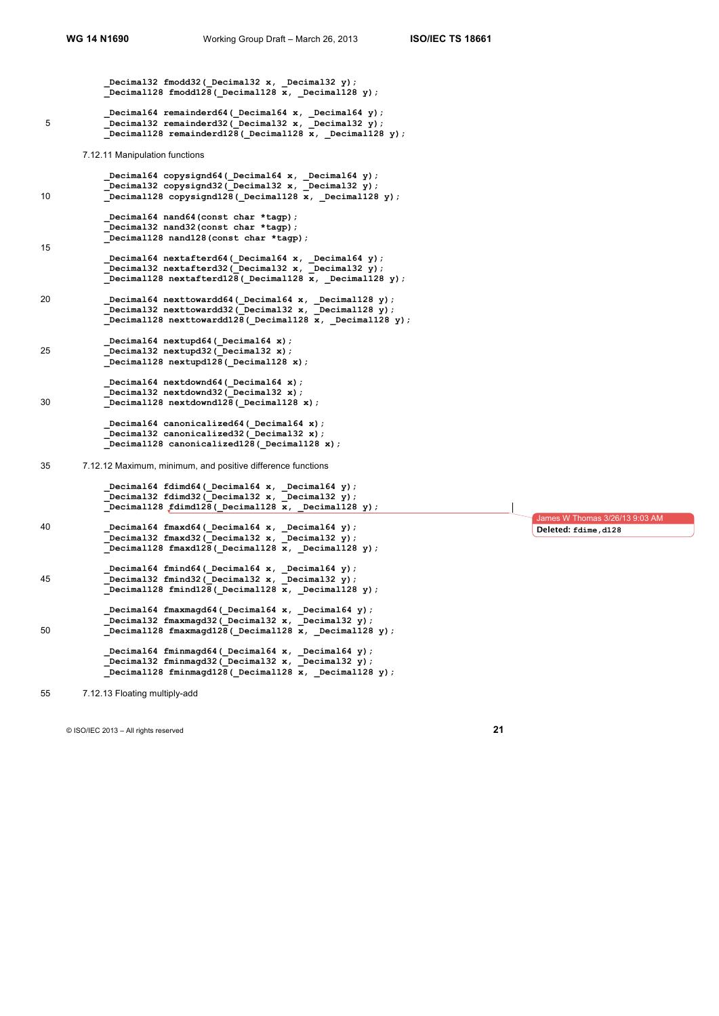**\_Decimal32 fmodd32(\_Decimal32 x, \_Decimal32 y); \_Decimal128 fmodd128(\_Decimal128 x, \_Decimal128 y); \_Decimal64 remainderd64(\_Decimal64 x, \_Decimal64 y);** 5 **\_Decimal32 remainderd32(\_Decimal32 x, \_Decimal32 y); Decimal128 remainderd128( Decimal128 x, Decimal128 y);** 7.12.11 Manipulation functions  **\_Decimal64 copysignd64(\_Decimal64 x, \_Decimal64 y); \_Decimal32 copysignd32(\_Decimal32 x, \_Decimal32 y);** 10 **b**ecimal128 copysignd128 (\_Decimal128 x, \_Decimal128 y);  **\_Decimal64 nand64(const char \*tagp); \_Decimal32 nand32(const char \*tagp); \_Decimal128 nand128(const char \*tagp);** 15  **\_Decimal64 nextafterd64(\_Decimal64 x, \_Decimal64 y); \_Decimal32 nextafterd32(\_Decimal32 x, \_Decimal32 y); \_Decimal128 nextafterd128(\_Decimal128 x, \_Decimal128 y);** 20 **Decimal64 nexttowardd64(** Decimal64 x, Decimal128 y);  **\_Decimal32 nexttowardd32(\_Decimal32 x, \_Decimal128 y); \_Decimal128 nexttowardd128(\_Decimal128 x, \_Decimal128 y); \_Decimal64 nextupd64(\_Decimal64 x);** 25 **\_Decimal32 nextupd32(\_Decimal32 x); \_Decimal128 nextupd128(\_Decimal128 x);** Decimal64 nextdownd64 ( Decimal64 x);  **\_Decimal32 nextdownd32(\_Decimal32 x);** 30 **\_Decimal128 nextdownd128(\_Decimal128 x); \_Decimal64 canonicalized64(\_Decimal64 x); \_Decimal32 canonicalized32(\_Decimal32 x); \_Decimal128 canonicalized128(\_Decimal128 x);** 35 7.12.12 Maximum, minimum, and positive difference functions  **\_Decimal64 fdimd64(\_Decimal64 x, \_Decimal64 y); \_Decimal32 fdimd32(\_Decimal32 x, \_Decimal32 y); \_Decimal128 fdimd128(\_Decimal128 x, \_Decimal128 y);** 40 **\_Decimal64 fmaxd64(\_Decimal64 x, \_Decimal64 y); \_Decimal32 fmaxd32(\_Decimal32 x, \_Decimal32 y); \_Decimal128 fmaxd128(\_Decimal128 x, \_Decimal128 y); \_Decimal64 fmind64(\_Decimal64 x, \_Decimal64 y);** 45 **\_Decimal32 fmind32(\_Decimal32 x, \_Decimal32 y); \_Decimal128 fmind128(\_Decimal128 x, \_Decimal128 y); \_Decimal64 fmaxmagd64(\_Decimal64 x, \_Decimal64 y);** Decimal32 fmaxmagd32(Decimal32 x, Decimal32 y); 50 **Decimal128 fmaxmagd128 (Decimal128 x, Decimal128 y)**; Decimal64 fminmagd64( Decimal64 x, Decimal64 y); Decimal32 fminmagd32(Decimal32 x, Decimal32 y);  **\_Decimal128 fminmagd128(\_Decimal128 x, \_Decimal128 y);** ames W Thomas 3/26/13 9:03 AM **Deleted: fdime,d128**

55 7.12.13 Floating multiply-add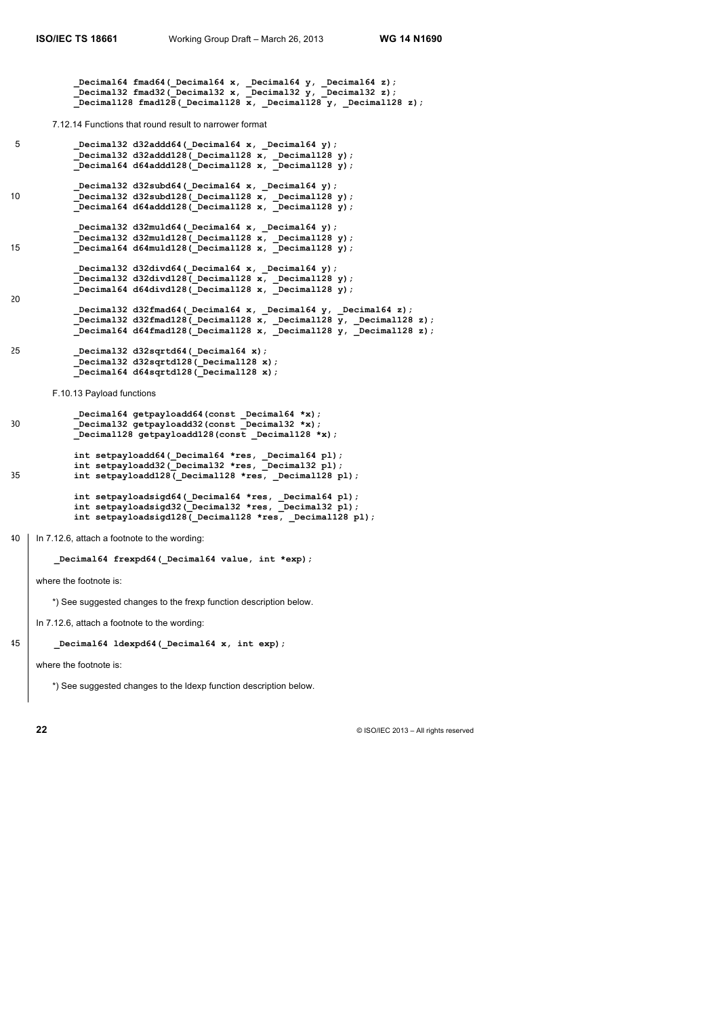**\_Decimal64 fmad64(\_Decimal64 x, \_Decimal64 y, \_Decimal64 z); \_Decimal32 fmad32(\_Decimal32 x, \_Decimal32 y, \_Decimal32 z); Decimal128 fmad128( Decimal128 x, Decimal128 y, Decimal128 z);** 7.12.14 Functions that round result to narrower format 5 **\_Decimal32 d32addd64(\_Decimal64 x, \_Decimal64 y); \_Decimal32 d32addd128(\_Decimal128 x, \_Decimal128 y); \_Decimal64 d64addd128(\_Decimal128 x, \_Decimal128 y); \_Decimal32 d32subd64(\_Decimal64 x, \_Decimal64 y);** 10 **\_Decimal32 d32subd128(\_Decimal128 x, \_Decimal128 y); \_Decimal64 d64addd128(\_Decimal128 x, \_Decimal128 y); \_Decimal32 d32muld64(\_Decimal64 x, \_Decimal64 y); \_Decimal32 d32muld128(\_Decimal128 x, \_Decimal128 y);** 15 **\_Decimal64 d64muld128(\_Decimal128 x, \_Decimal128 y); \_Decimal32 d32divd64(\_Decimal64 x, \_Decimal64 y); \_Decimal32 d32divd128(\_Decimal128 x, \_Decimal128 y); \_Decimal64 d64divd128(\_Decimal128 x, \_Decimal128 y);** 20  **\_Decimal32 d32fmad64(\_Decimal64 x, \_Decimal64 y, \_Decimal64 z); \_Decimal32 d32fmad128(\_Decimal128 x, \_Decimal128 y, \_Decimal128 z); \_Decimal64 d64fmad128(\_Decimal128 x, \_Decimal128 y, \_Decimal128 z);** 25 **\_Decimal32 d32sqrtd64(\_Decimal64 x); \_Decimal32 d32sqrtd128(\_Decimal128 x); \_Decimal64 d64sqrtd128(\_Decimal128 x);** F.10.13 Payload functions  **\_Decimal64 getpayloadd64(const \_Decimal64 \*x);** 30 **\_Decimal32 getpayloadd32(const \_Decimal32 \*x); \_Decimal128 getpayloadd128(const \_Decimal128 \*x);** int setpayloadd64( Decimal64 \*res, Decimal64 pl);  **int setpayloadd32(\_Decimal32 \*res, \_Decimal32 pl);** 35 **int setpayloadd128(\_Decimal128 \*res, \_Decimal128 pl); int setpayloadsigd64(\_Decimal64 \*res, \_Decimal64 pl); int setpayloadsigd32(\_Decimal32 \*res, \_Decimal32 pl); int setpayloadsigd128(\_Decimal128 \*res, \_Decimal128 pl);** 40 In 7.12.6, attach a footnote to the wording: **\_Decimal64 frexpd64(\_Decimal64 value, int \*exp);** where the footnote is: \*) See suggested changes to the frexp function description below. In 7.12.6, attach a footnote to the wording

45 **\_Decimal64 ldexpd64(\_Decimal64 x, int exp);**

where the footnote is:

\*) See suggested changes to the ldexp function description below.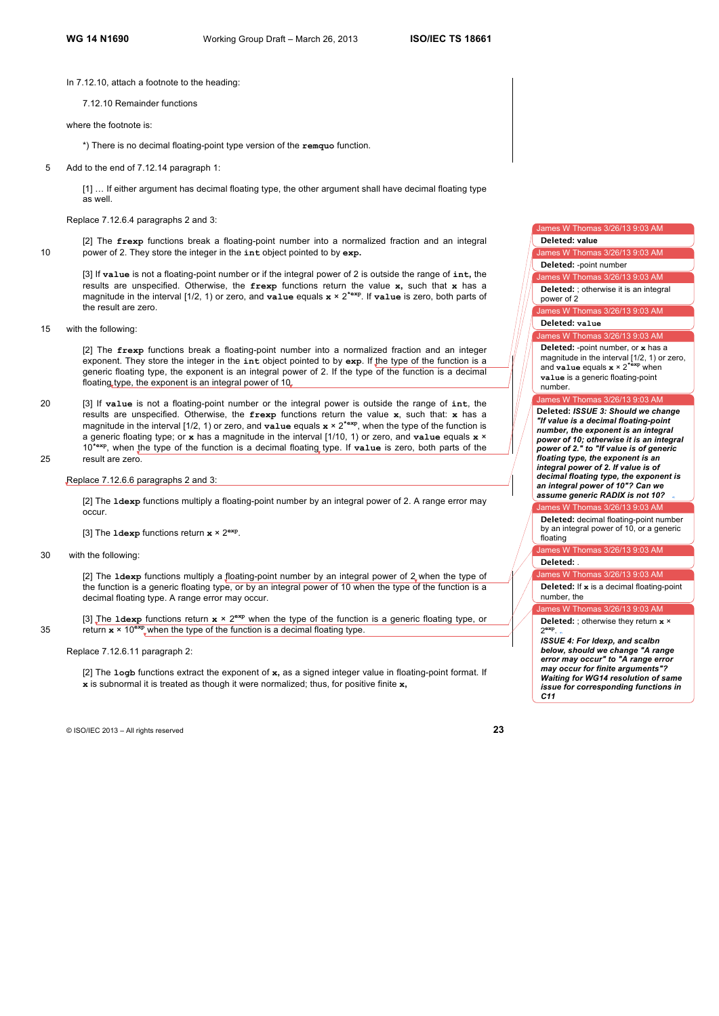In 7.12.10, attach a footnote to the heading:

7.12.10 Remainder functions

where the footnote is:

\*) There is no decimal floating-point type version of the **remquo** function.

5 Add to the end of 7.12.14 paragraph 1:

[1] … If either argument has decimal floating type, the other argument shall have decimal floating type as well.

Replace 7.12.6.4 paragraphs 2 and 3:

[2] The **frexp** functions break a floating-point number into a normalized fraction and an integral 10 power of 2. They store the integer in the **int** object pointed to by **exp.**

[3] If **value** is not a floating-point number or if the integral power of 2 is outside the range of **int,** the results are unspecified. Otherwise, the **frexp** functions return the value **x,** such that **x** has a magnitude in the interval [1/2, 1) or zero, and **value** equals **x** × 2**\*exp**. If **value** is zero, both parts of the result are zero.

15 with the following:

[2] The **frexp** functions break a floating-point number into a normalized fraction and an integer exponent. They store the integer in the **int** object pointed to by **exp**. If the type of the function is a generic floating type, the exponent is an integral power of 2. If the type of the function is a decimal floating type, the exponent is an integral power of 10.

- 20 [3] If **value** is not a floating-point number or the integral power is outside the range of **int**, the results are unspecified. Otherwise, the **frexp** functions return the value **x**, such that: **x** has a magnitude in the interval  $[1/2, 1)$  or zero, and **value** equals  $x \times 2^{*exp}$ , when the type of the function is a generic floating type; or **x** has a magnitude in the interval [1/10, 1) or zero, and **value** equals **x** × 10**\*exp**, when the type of the function is a decimal floating type. If **value** is zero, both parts of the 25 result are zero.
- 

Replace 7.12.6.6 paragraphs 2 and 3:

[2] The **ldexp** functions multiply a floating-point number by an integral power of 2. A range error may occur.

[3] The **ldexp** functions return **x** × 2**exp**.

30 with the following:

[2] The **ldexp** functions multiply a floating-point number by an integral power of 2 when the type of the function is a generic floating type, or by an integral power of 10 when the type of the function is a decimal floating type. A range error may occur.

[3] The **ldexp** functions return  $x \times 2^{exp}$  when the type of the function is a generic floating type, or 35 return  $x \times 10^{exp}$  when the type of the function is a decimal floating type.

Replace 7.12.6.11 paragraph 2:

[2] The **logb** functions extract the exponent of **x,** as a signed integer value in floating-point format. If **x** is subnormal it is treated as though it were normalized; thus, for positive finite **x,**

© ISO/IEC 2013 – All rights reserved **23**

# es W Thomas 3/26/13 9:03 AM

**Deleted: value**

James W Thomas 3/26/13 9:03 AM **Deleted:** -point number

James W Thomas 3/26/13 9:03 AM

**Deleted:** ; otherwise it is an integral power of 2

ames W Thomas 3/26/13 9:03 AM

**Deleted: value**

es W Thomas 3/26/13 9:03 AM

**Deleted:** -point number, or **x** has a magnitude in the interval [1/2, 1) or zero, and **value** equals **x** × 2**\*exp** when **value** is a generic floating-point number.

#### nes W Thomas 3/26/13 9:03 A

**Deleted:** *ISSUE 3: Should we change "If value is a decimal floating-point number, the exponent is an integral power of 10; otherwise it is an integral power of 2." to "If value is of generic floating type, the exponent is an integral power of 2. If value is of decimal floating type, the exponent is an integral power of 10"? Can we assume generic RADIX is not 10?* 

W Thomas 3/26/13 9:03 A

**Deleted:** decimal floating-point number by an integral power of 10, or a generic floating

1es W Thomas 3/26/13 9:03 AM **Deleted:** .

James W Thomas 3/26/13 9:03 AM **Deleted:** If **x** is a decimal floating-point

les W Thomas 3/26/13 9:03 AM

number, the

**Deleted:** ; otherwise they return **x** × 2**exp**.

*ISSUE 4: For ldexp, and scalbn below, should we change "A range error may occur" to "A range error may occur for finite arguments"? Waiting for WG14 resolution of same issue for corresponding functions in C11*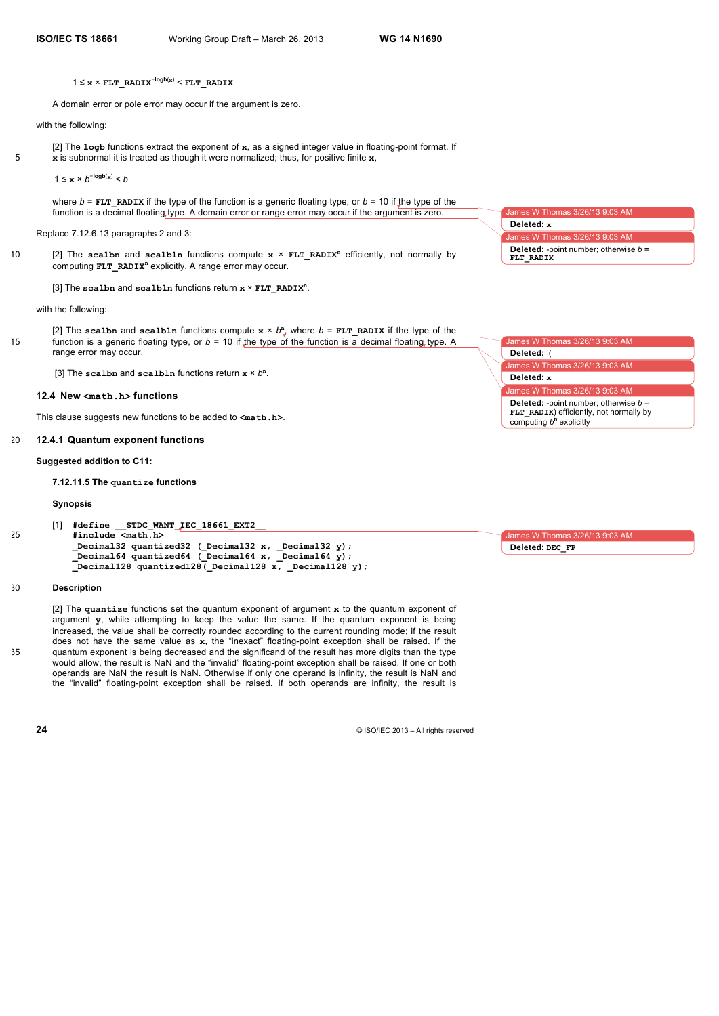A domain error or pole error may occur if the argument is zero.

#### with the following:

[2] The **logb** functions extract the exponent of **x**, as a signed integer value in floating-point format. If 5 **x** is subnormal it is treated as though it were normalized; thus, for positive finite **x**,

1 ≤  $\mathbf{x} \times b^{-\log b(\mathbf{x})} < b$ 

where *b* = **FLT\_RADIX** if the type of the function is a generic floating type, or *b* = 10 if the type of the function is a decimal floating type. A domain error or range error may occur if the argument is zero.

Replace 7.12.6.13 paragraphs 2 and 3:

[2] The **scalbn** and **scalbln** functions compute **x** × **FLT\_RADIX<sup>n</sup>** 10 efficiently, not normally by computing **FLT\_RADIX<sup>n</sup>** explicitly. A range error may occur.

[3] The **scalbn** and **scalbln** functions return **x** × **FLT\_RADIX<sup>n</sup>** .

with the following:

[2] The scalbn and scalbln functions compute  $x \times b^n$ , where  $b = FLT$  RADIX if the type of the 15 function is a generic floating type, or *b* = 10 if the type of the function is a decimal floating type. A range error may occur.

[3] The **scalbn** and **scalbln** functions return **x** × *b***<sup>n</sup>** .

#### **12.4 New <math.h> functions**

This clause suggests new functions to be added to **<math.h>**.

#### 20 **12.4.1 Quantum exponent functions**

#### **Suggested addition to C11:**

**7.12.11.5 The quantize functions**

#### **Synopsis**

```
[1] #define __STDC_WANT_IEC_18661_EXT2__
25 #include <math.h>
           _Decimal32 quantized32 (_Decimal32 x, _Decimal32 y);
           _Decimal64 quantized64 (_Decimal64 x, _Decimal64 y);
           Decimal128 quantized128 (Decimal128 x, Decimal128 y);
```
#### 30 **Description**

[2] The **quantize** functions set the quantum exponent of argument **x** to the quantum exponent of argument **y**, while attempting to keep the value the same*.* If the quantum exponent is being increased, the value shall be correctly rounded according to the current rounding mode; if the result does not have the same value as **x**, the "inexact" floating-point exception shall be raised. If the 35 quantum exponent is being decreased and the significand of the result has more digits than the type would allow, the result is NaN and the "invalid" floating-point exception shall be raised. If one or both operands are NaN the result is NaN. Otherwise if only one operand is infinity, the result is NaN and the "invalid" floating-point exception shall be raised. If both operands are infinity, the result is

**24** © ISO/IEC 2013 – All rights reserved

| James W Thomas 3/26/13 9:03 AM                 |
|------------------------------------------------|
| Deleted: x                                     |
| James W Thomas 3/26/13 9:03 AM                 |
| <b>Deleted:</b> -point number; otherwise $b =$ |
| FLT RADIX                                      |

James W Thomas  $3/26/13$  9:0 James W Tho es W Thomas 3/26/13 9:03 AM **Deleted:** ( **Deleted: x Deleted:** -point number; otherwise *b* = **FLT\_RADIX**) efficiently, not normally by computing  $b^n$  explicitly

James W Thomas 3/26/13 9:03 AM

**Deleted: DEC\_FP**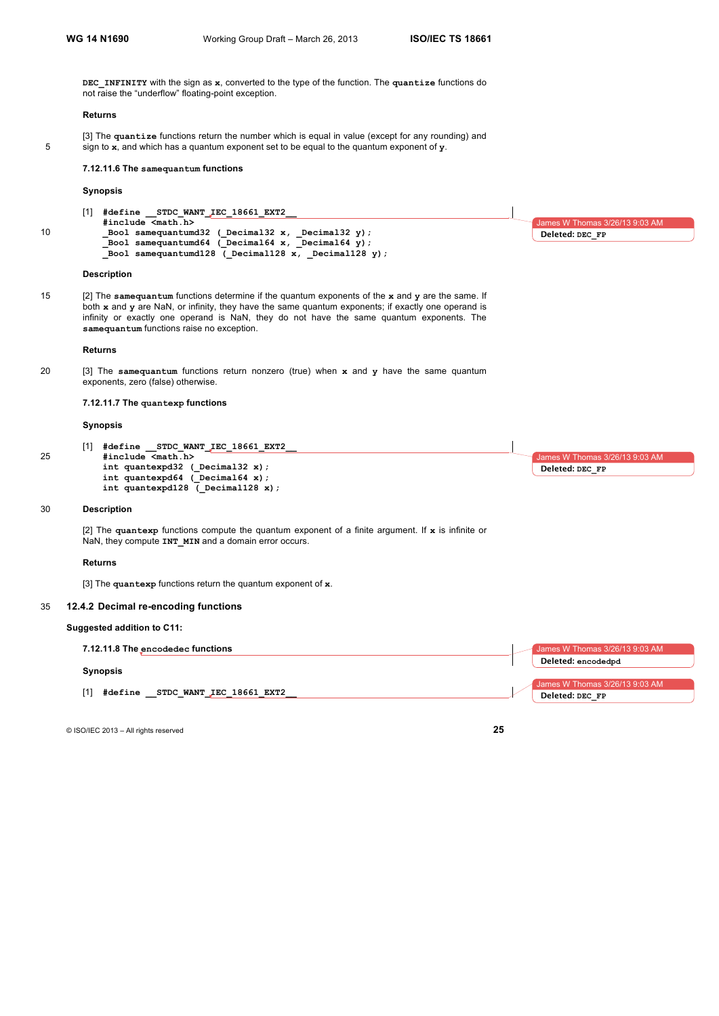$nes$  W Thomas 3/26/13 9:03 AM

**Deleted: DEC\_FP**

**DEC\_INFINITY** with the sign as **x**, converted to the type of the function. The **quantize** functions do not raise the "underflow" floating-point exception.

#### **Returns**

[3] The **quantize** functions return the number which is equal in value (except for any rounding) and 5 sign to **x**, and which has a quantum exponent set to be equal to the quantum exponent of **y**.

#### **7.12.11.6 The samequantum functions**

# **Synopsis**

| #define STDC WANT IEC 18661 EXT2                          |
|-----------------------------------------------------------|
| #include <math.h></math.h>                                |
| Bool samequantumd32 ( $Decimal32 x$ , $Decimal32 y$ ;     |
| Bool samequantumd64 ( $Decimal64 x$ , $Decimal64 y$ ;     |
| Bool samequantumd128 ( $Decimal128 x$ , $Decimal128 y$ ); |
|                                                           |

#### **Description**

15 [2] The **samequantum** functions determine if the quantum exponents of the **x** and **y** are the same. If both **x** and **y** are NaN, or infinity, they have the same quantum exponents; if exactly one operand is infinity or exactly one operand is NaN, they do not have the same quantum exponents. The **samequantum** functions raise no exception.

#### **Returns**

20 [3] The **samequantum** functions return nonzero (true) when **x** and **y** have the same quantum exponents, zero (false) otherwise.

# **7.12.11.7 The quantexp functions**

#### **Synopsis**

[1] **#define \_\_STDC\_WANT\_IEC\_18661\_EXT2\_\_** 25 **#include <math.h> int quantexpd32 (\_Decimal32 x); int quantexpd64 (\_Decimal64 x);** int quantexpd128 ( Decimal128 x);  $3$ ames W Thomas  $3/26/13$  9:03 AM **Deleted: DEC\_FP**

# 30 **Description**

[2] The **quantexp** functions compute the quantum exponent of a finite argument. If **x** is infinite or NaN, they compute **INT MIN** and a domain error occurs.

#### **Returns**

[3] The **quantexp** functions return the quantum exponent of **x**.

#### 35 **12.4.2 Decimal re-encoding functions**

# **Suggested addition to C11:**

| 7.12.11.8 The encodedec functions                   | James W Thomas 3/26/13 9:03 AM |
|-----------------------------------------------------|--------------------------------|
|                                                     | Deleted: encodedpd             |
| <b>Synopsis</b>                                     |                                |
|                                                     | James W Thomas 3/26/13 9:03 AM |
|                                                     | Deleted: DEC FP                |
| $[1]$<br><b>#define</b><br>STDC WANT IEC 18661 EXT2 |                                |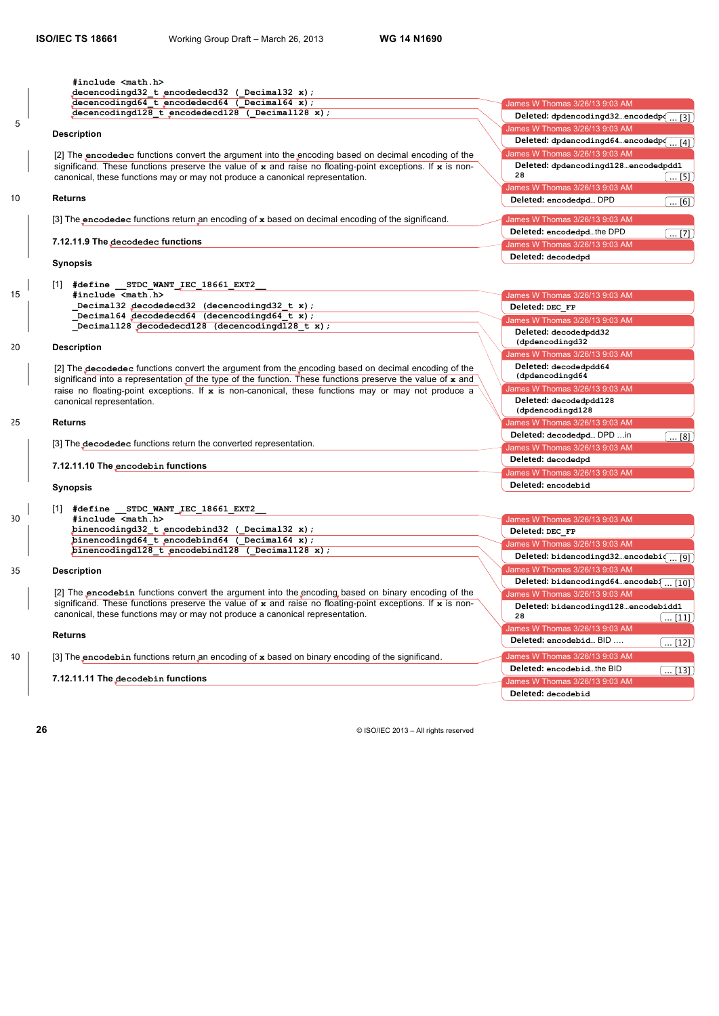|    | #include <math.h><br/><math>decencoding d32_t encodedec d32 (Decimal 32 x);</math></math.h>                                                                                                                              |                                                                      |
|----|--------------------------------------------------------------------------------------------------------------------------------------------------------------------------------------------------------------------------|----------------------------------------------------------------------|
|    | $decencodingd64$ t encodedecd64 ( Decimal64 x);                                                                                                                                                                          | James W Thomas 3/26/13 9:03 AM                                       |
|    | $decencodingd128 t_encodedecd128 (Decimal128 x);$                                                                                                                                                                        | Deleted: dpdencodingd32encodedpo                                     |
| 5  |                                                                                                                                                                                                                          | [3]                                                                  |
|    | <b>Description</b>                                                                                                                                                                                                       | James W Thomas 3/26/13 9:03 AM                                       |
|    |                                                                                                                                                                                                                          | Deleted: dpdencodingd64encodedpo<br>$\dots$ [4]                      |
|    | [2] The encodedec functions convert the argument into the encoding based on decimal encoding of the                                                                                                                      | James W Thomas 3/26/13 9:03 AM                                       |
|    | significand. These functions preserve the value of $x$ and raise no floating-point exceptions. If $x$ is non-                                                                                                            | Deleted: dpdencodingd128encodedpdd1<br>28                            |
|    | canonical, these functions may or may not produce a canonical representation.                                                                                                                                            | $\ldots$ [5]                                                         |
| 10 | <b>Returns</b>                                                                                                                                                                                                           | James W Thomas 3/26/13 9:03 AM                                       |
|    |                                                                                                                                                                                                                          | Deleted: encodedpd DPD<br>$\ldots$ [6]                               |
|    | [3] The encodedec functions return an encoding of $x$ based on decimal encoding of the significand.                                                                                                                      | James W Thomas 3/26/13 9:03 AM                                       |
|    |                                                                                                                                                                                                                          | Deleted: encodedpdthe DPD<br>$\left(\dots [7]\right)$                |
|    | 7.12.11.9 The decodedec functions                                                                                                                                                                                        | James W Thomas 3/26/13 9:03 AM                                       |
|    |                                                                                                                                                                                                                          | Deleted: decodedpd                                                   |
|    | <b>Synopsis</b>                                                                                                                                                                                                          |                                                                      |
|    | [1] #define STDC WANT IEC 18661 EXT2                                                                                                                                                                                     |                                                                      |
| 15 | #include <math.h></math.h>                                                                                                                                                                                               | James W Thomas 3/26/13 9:03 AM                                       |
|    | Decimal32 decodedecd32 (decencodingd32 t x);                                                                                                                                                                             | Deleted: DEC FP                                                      |
|    | Decimal64 decodedecd64 (decencodingd64 t x);                                                                                                                                                                             | James W Thomas 3/26/13 9:03 AM                                       |
|    | Decimal128 decodedecd128 (decencodingd128 t x);                                                                                                                                                                          | Deleted: decodedpdd32                                                |
|    |                                                                                                                                                                                                                          | (dpdencodingd32                                                      |
| 20 | <b>Description</b>                                                                                                                                                                                                       | James W Thomas 3/26/13 9:03 AM                                       |
|    |                                                                                                                                                                                                                          | Deleted: decodedpdd64                                                |
|    | [2] The decodedec functions convert the argument from the encoding based on decimal encoding of the<br>significand into a representation of the type of the function. These functions preserve the value of $\bf{x}$ and | (dpdencodingd64                                                      |
|    | raise no floating-point exceptions. If $x$ is non-canonical, these functions may or may not produce a                                                                                                                    | James W Thomas 3/26/13 9:03 AM                                       |
|    | canonical representation.                                                                                                                                                                                                | Deleted: decodedpdd128                                               |
|    |                                                                                                                                                                                                                          | (dpdencodingd128                                                     |
| 25 | <b>Returns</b>                                                                                                                                                                                                           | James W Thomas 3/26/13 9:03 AM                                       |
|    |                                                                                                                                                                                                                          | Deleted: decodedpd DPD  in<br>$\left( \dots \left[ 8\right] \right)$ |
|    | [3] The decodedec functions return the converted representation.                                                                                                                                                         | James W Thomas 3/26/13 9:03 AM                                       |
|    |                                                                                                                                                                                                                          | Deleted: decodedpd                                                   |
|    | 7.12.11.10 The encodebin functions                                                                                                                                                                                       | James W Thomas 3/26/13 9:03 AM                                       |
|    |                                                                                                                                                                                                                          | Deleted: encodebid                                                   |
|    | <b>Synopsis</b>                                                                                                                                                                                                          |                                                                      |
|    | [1] #define STDC WANT IEC 18661 EXT2                                                                                                                                                                                     |                                                                      |
| 30 | #include <math.h></math.h>                                                                                                                                                                                               | James W Thomas 3/26/13 9:03 AM                                       |
|    | $binencodingd32$ t encodebind32 (Decimal32 x);                                                                                                                                                                           | Deleted: DEC FP                                                      |
|    | binencodingd64 t encodebind64 ( Decimal64 x);                                                                                                                                                                            | James W Thomas 3/26/13 9:03 AM                                       |
|    | binencodingd128 t encodebind128 (Decimal128 x);                                                                                                                                                                          | Deleted: bidencodingd32encodebi $\left(\ldots [9]\right)$            |
|    |                                                                                                                                                                                                                          | James W Thomas 3/26/13 9:03 AM                                       |
| 35 | <b>Description</b>                                                                                                                                                                                                       | Deleted: bidencodingd64encodeb $\left[\ldots\left[10\right]\right]$  |
|    | [2] The encodebin functions convert the argument into the encoding based on binary encoding of the                                                                                                                       |                                                                      |
|    | significand. These functions preserve the value of $x$ and raise no floating-point exceptions. If $x$ is non-                                                                                                            | James W Thomas 3/26/13 9:03 AM                                       |
|    | canonical, these functions may or may not produce a canonical representation.                                                                                                                                            | Deleted: bidencodingd128encodebidd1<br>28<br>$\ldots$ [11]           |
|    |                                                                                                                                                                                                                          | James W Thomas 3/26/13 9:03 AM                                       |
|    | <b>Returns</b>                                                                                                                                                                                                           | Deleted: encodebid BID                                               |
|    |                                                                                                                                                                                                                          | $\ldots$ [12]                                                        |
| 40 | [3] The encodebin functions return an encoding of $x$ based on binary encoding of the significand.                                                                                                                       | James W Thomas 3/26/13 9:03 AM                                       |
|    |                                                                                                                                                                                                                          | Deleted: encodebidthe BID<br>$\ldots$ [13]                           |
|    | 7.12.11.11 The decodebin functions                                                                                                                                                                                       | James W Thomas 3/26/13 9:03 AM                                       |

**7.12.11.11 The decodebin functions**

**26** © ISO/IEC 2013 – All rights reserved

**Deleted: decodebid**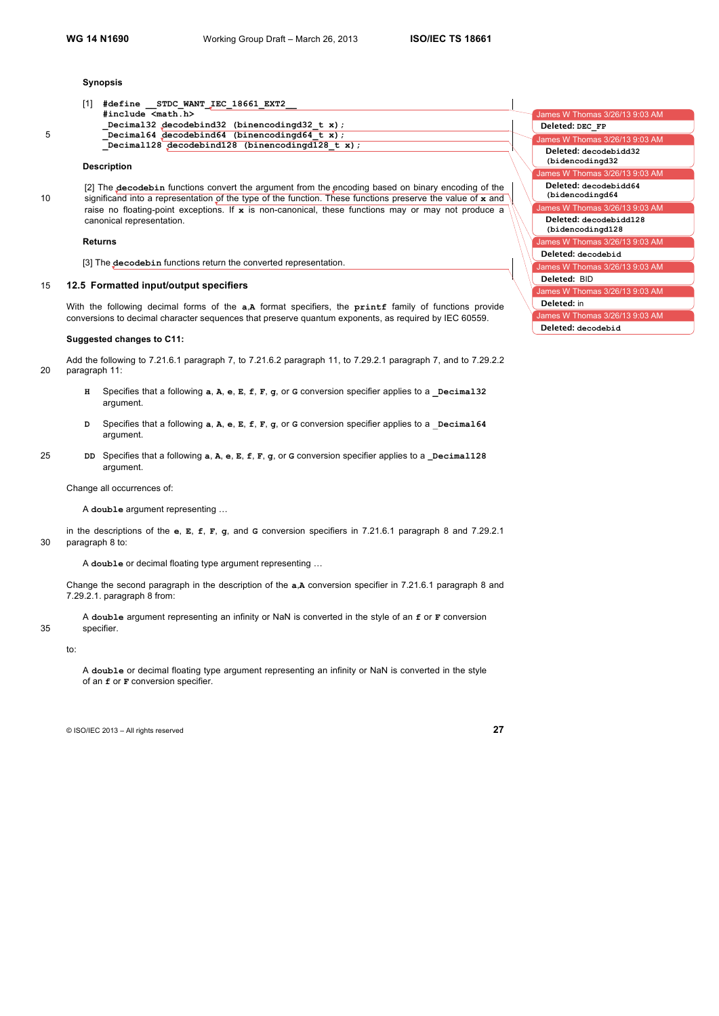#### **Synopsis**

| - 11 | #define STDC WANT IEC 18661 EXT2                        |                               |
|------|---------------------------------------------------------|-------------------------------|
|      | #include <math.h></math.h>                              | James W Thomas 3/26/13 9:03 / |
|      | Decimal32 decodebind32 (binencodingd32 t x);            | Deleted: DEC FP               |
|      | Decimal64 decodebind64 (binencodingd64 t x);            | James W Thomas 3/26/13 9:03 / |
|      | Decimal128 decodebind128 (binencodingd128 $t \times$ ); |                               |
|      |                                                         | Deleted: decodebidd32         |

# **Description**

[2] The **decodebin** functions convert the argument from the encoding based on binary encoding of the 10 significand into a representation of the type of the function. These functions preserve the value of **x** and raise no floating-point exceptions. If **x** is non-canonical, these functions may or may not produce a canonical representation.

#### **Returns**

[3] The **decodebin** functions return the converted representation.

## 15 **12.5 Formatted input/output specifiers**

With the following decimal forms of the **a**,**A** format specifiers, the **printf** family of functions provide conversions to decimal character sequences that preserve quantum exponents, as required by IEC 60559.

#### **Suggested changes to C11:**

Add the following to 7.21.6.1 paragraph 7, to 7.21.6.2 paragraph 11, to 7.29.2.1 paragraph 7, and to 7.29.2.2 20 paragraph 11:

- **H** Specifies that a following **a**, **A**, **e**, **E**, **f**, **F**, **g**, or **G** conversion specifier applies to a **\_Decimal32** argument.
- **D** Specifies that a following **a**, **A**, **e**, **E**, **f**, **F**, **g**, or **G** conversion specifier applies to a \_**Decimal64** argument.
- 25 **DD** Specifies that a following **a**, **A**, **e**, **E**, **f**, **F**, **g**, or **G** conversion specifier applies to a **\_Decimal128** argument.

Change all occurrences of:

A **double** argument representing …

in the descriptions of the **e**, **E**, **f**, **F**, **g**, and **G** conversion specifiers in 7.21.6.1 paragraph 8 and 7.29.2.1 30 paragraph 8 to:

A **double** or decimal floating type argument representing …

Change the second paragraph in the description of the **a**,**A** conversion specifier in 7.21.6.1 paragraph 8 and 7.29.2.1. paragraph 8 from:

A **double** argument representing an infinity or NaN is converted in the style of an **f** or **F** conversion 35 specifier.

#### to:

A **double** or decimal floating type argument representing an infinity or NaN is converted in the style of an **f** or **F** conversion specifier.

| James W Thomas 3/26/13 9:03 AM             |
|--------------------------------------------|
| Deleted: DEC FP                            |
| James W Thomas 3/26/13 9:03 AM             |
| Deleted: decodebidd32<br>(bidencodingd32   |
| James W Thomas 3/26/13 9:03 AM             |
| Deleted: decodebidd64<br>(bidencodingd64   |
| James W Thomas 3/26/13 9:03 AM             |
| Deleted: decodebidd128<br>(bidencodingd128 |
| James W Thomas 3/26/13 9:03 AM             |
| Deleted: decodebid                         |
| James W Thomas 3/26/13 9:03 AM             |
| Deleted: BID                               |
| James W Thomas 3/26/13 9:03 AM             |
| Deleted: in                                |
| James W Thomas 3/26/13 9:03 AM             |
| Deleted: decodebid                         |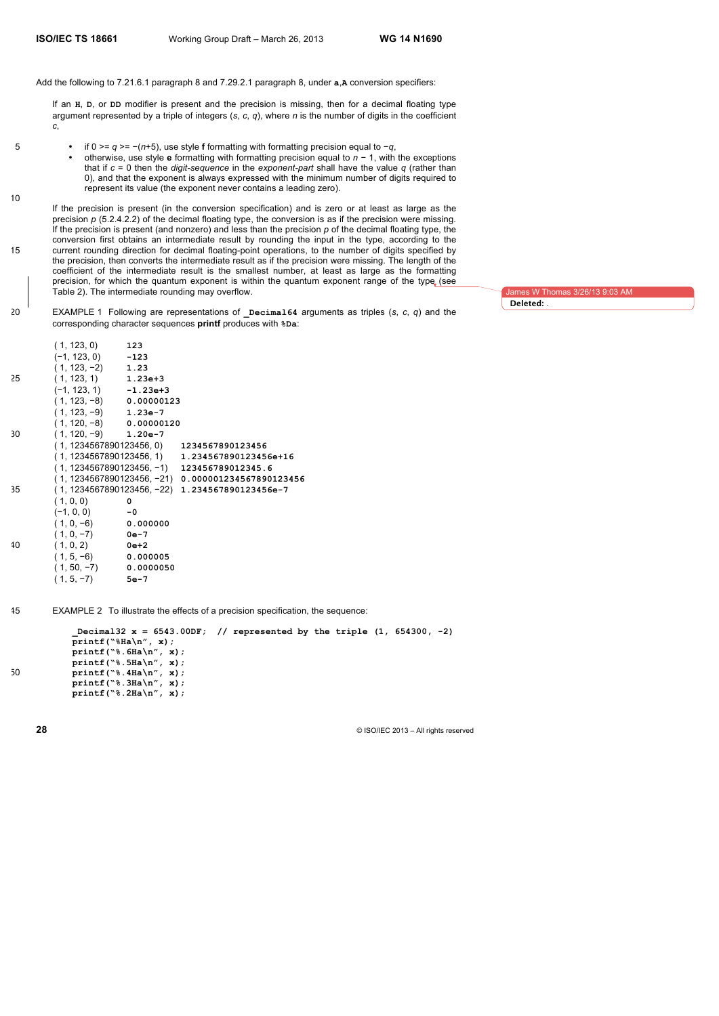10

Add the following to 7.21.6.1 paragraph 8 and 7.29.2.1 paragraph 8, under **a**,**A** conversion specifiers:

If an **H**, **D**, or **DD** modifier is present and the precision is missing, then for a decimal floating type argument represented by a triple of integers (*s*, *c*, *q*), where *n* is the number of digits in the coefficient *c*,

- 5 if 0 >= *q* >= −(*n*+5), use style **f** formatting with formatting precision equal to −*q*,
	- otherwise, use style **e** formatting with formatting precision equal to *n* − 1, with the exceptions that if *c* = 0 then the *digit-sequence* in the *exponent-part* shall have the value *q* (rather than 0), and that the exponent is always expressed with the minimum number of digits required to represent its value (the exponent never contains a leading zero).

If the precision is present (in the conversion specification) and is zero or at least as large as the precision  $p$  (5.2.4.2.2) of the decimal floating type, the conversion is as if the precision were missing. If the precision is present (and nonzero) and less than the precision *p* of the decimal floating type, the conversion first obtains an intermediate result by rounding the input in the type, according to the 15 current rounding direction for decimal floating-point operations, to the number of digits specified by the precision, then converts the intermediate result as if the precision were missing. The length of the coefficient of the intermediate result is the smallest number, at least as large as the formatting precision, for which the quantum exponent is within the quantum exponent range of the type (see Table 2). The intermediate rounding may overflow.

20 EXAMPLE 1 Following are representations of **\_Decimal64** arguments as triples (*s*, *c*, *q*) and the corresponding character sequences **printf** produces with **%Da**:

James W Thomas 3/26/13 9:03 AM

**Deleted:** .

| (1, 123, 0)   | 123 |                                                                                                                                                                                                                                                                                                                                                                                                                                                                                                                                             |
|---------------|-----|---------------------------------------------------------------------------------------------------------------------------------------------------------------------------------------------------------------------------------------------------------------------------------------------------------------------------------------------------------------------------------------------------------------------------------------------------------------------------------------------------------------------------------------------|
|               |     |                                                                                                                                                                                                                                                                                                                                                                                                                                                                                                                                             |
|               |     |                                                                                                                                                                                                                                                                                                                                                                                                                                                                                                                                             |
|               |     |                                                                                                                                                                                                                                                                                                                                                                                                                                                                                                                                             |
|               |     |                                                                                                                                                                                                                                                                                                                                                                                                                                                                                                                                             |
|               |     |                                                                                                                                                                                                                                                                                                                                                                                                                                                                                                                                             |
|               |     |                                                                                                                                                                                                                                                                                                                                                                                                                                                                                                                                             |
|               |     |                                                                                                                                                                                                                                                                                                                                                                                                                                                                                                                                             |
|               |     |                                                                                                                                                                                                                                                                                                                                                                                                                                                                                                                                             |
|               |     |                                                                                                                                                                                                                                                                                                                                                                                                                                                                                                                                             |
|               |     |                                                                                                                                                                                                                                                                                                                                                                                                                                                                                                                                             |
|               |     |                                                                                                                                                                                                                                                                                                                                                                                                                                                                                                                                             |
|               |     | (1, 1234567890123456, -21) 0.000001234567890123456                                                                                                                                                                                                                                                                                                                                                                                                                                                                                          |
|               |     |                                                                                                                                                                                                                                                                                                                                                                                                                                                                                                                                             |
| (1, 0, 0)     | 0   |                                                                                                                                                                                                                                                                                                                                                                                                                                                                                                                                             |
| $(-1, 0, 0)$  |     |                                                                                                                                                                                                                                                                                                                                                                                                                                                                                                                                             |
|               |     |                                                                                                                                                                                                                                                                                                                                                                                                                                                                                                                                             |
|               |     |                                                                                                                                                                                                                                                                                                                                                                                                                                                                                                                                             |
|               |     |                                                                                                                                                                                                                                                                                                                                                                                                                                                                                                                                             |
|               |     |                                                                                                                                                                                                                                                                                                                                                                                                                                                                                                                                             |
| $(1, 50, -7)$ |     |                                                                                                                                                                                                                                                                                                                                                                                                                                                                                                                                             |
| $(1, 5, -7)$  |     |                                                                                                                                                                                                                                                                                                                                                                                                                                                                                                                                             |
|               |     | $(-1, 123, 0)$ $-123$<br>$(1, 123, -2)$ 1.23<br>$(1, 123, 1)$ 1.23e+3<br>$(-1, 123, 1)$ $-1.23e+3$<br>$(1, 123, -8)$ 0.00000123<br>$(1, 123, -9)$ 1.23e-7<br>$(1, 120, -8)$ 0.00000120<br>$(1, 120, -9)$ 1.20e-7<br>(1, 1234567890123456, 0) 1234567890123456<br>$(1, 1234567890123456, 1)$ 1.234567890123456e+16<br>$(1, 1234567890123456, -1)$ 123456789012345.6<br>(1, 1234567890123456, -22) 1.234567890123456e-7<br>-0<br>$(1, 0, -6)$ 0.000000<br>$(1, 0, -7)$ 0e-7<br>$(1, 0, 2)$ 0e+2<br>$(1, 5, -6)$ 0.000005<br>0.0000050<br>5e-7 |

45 EXAMPLE 2 To illustrate the effects of a precision specification, the sequence:

**\_Decimal32 x = 6543.00DF; // represented by the triple (1, 654300, -2) printf("%Ha\n", x); printf("%.6Ha\n", x); printf("%.5Ha\n", x);** 50 **printf("%.4Ha\n", x); printf("%.3Ha\n", x); printf("%.2Ha\n", x);**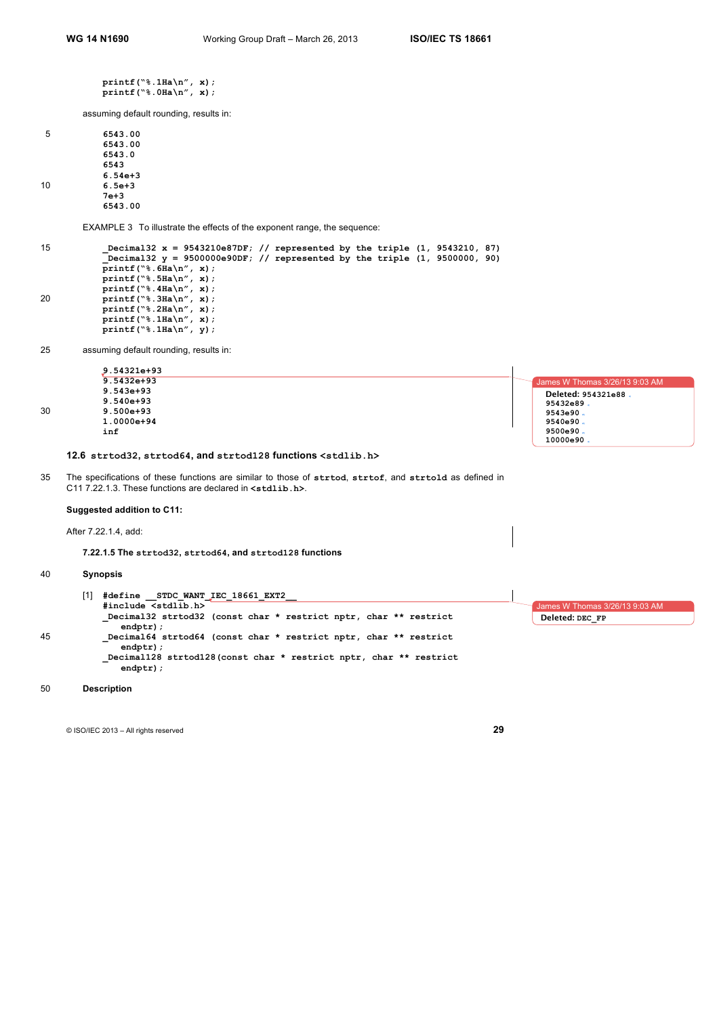**printf("%.1Ha\n", x); printf("%.0Ha\n", x);**

assuming default rounding, results in:

| 5  | 6543.00     |
|----|-------------|
|    | 6543.00     |
|    | 6543.0      |
|    | 6543        |
|    | $6.54e + 3$ |
| 10 | $6.5e + 3$  |
|    | 7e+3        |
|    | 6543.00     |

EXAMPLE 3 To illustrate the effects of the exponent range, the sequence:

```
15 _Decimal32 x = 9543210e87DF; // represented by the triple (1, 9543210, 87)
           _Decimal32 y = 9500000e90DF; // represented by the triple (1, 9500000, 90)
           printf("%.6Ha\n", x);
           printf("%.5Ha\n", x);
           printf("%.4Ha\n", x);
20 printf("%.3Ha\n", x);
           printf("%.2Ha\n", x);
           printf("%.1Ha\n", x);
           printf("%.1Ha\n", y);
```
25 assuming default rounding, results in:

|    | 9.54321e+93                                                                                                                                                                                                                                                                                                                                                           |                                |
|----|-----------------------------------------------------------------------------------------------------------------------------------------------------------------------------------------------------------------------------------------------------------------------------------------------------------------------------------------------------------------------|--------------------------------|
|    | $9.5432 + 93$                                                                                                                                                                                                                                                                                                                                                         | James W Thomas 3/26/13 9:03 AM |
|    | $9.543e+93$                                                                                                                                                                                                                                                                                                                                                           | Deleted: 954321e88.            |
|    | $9.540e+93$                                                                                                                                                                                                                                                                                                                                                           | 95432e89.                      |
| 30 | $9.500e + 93$                                                                                                                                                                                                                                                                                                                                                         | 9543e90.                       |
|    | $1.0000e + 94$                                                                                                                                                                                                                                                                                                                                                        | 9540e90.                       |
|    | inf                                                                                                                                                                                                                                                                                                                                                                   | 9500e90.                       |
|    |                                                                                                                                                                                                                                                                                                                                                                       | 10000e90.                      |
|    | 12.6 strtod32, strtod64, and strtod128 functions <std1ib.h></std1ib.h>                                                                                                                                                                                                                                                                                                |                                |
| 35 | The specifications of these functions are similar to those of strtod, strtof, and strtold as defined in<br>$C11$ 7.22.1.3. These functions are declared in $\leq$ $\leq$ $\leq$ $\leq$ $\leq$ $\leq$ $\leq$ $\leq$ $\leq$ $\leq$ $\leq$ $\leq$ $\leq$ $\leq$ $\leq$ $\leq$ $\leq$ $\leq$ $\leq$ $\leq$ $\leq$ $\leq$ $\leq$ $\leq$ $\leq$ $\leq$ $\leq$ $\leq$ $\leq$ |                                |
|    | Suggested addition to C11:                                                                                                                                                                                                                                                                                                                                            |                                |
|    | After 7.22.1.4, add:                                                                                                                                                                                                                                                                                                                                                  |                                |
|    | 7.22.1.5 The strtod32, strtod64, and strtod128 functions                                                                                                                                                                                                                                                                                                              |                                |

# 40 **Synopsis**

|    | #define STDC WANT IEC 18661 EXT2                                                  |                                |
|----|-----------------------------------------------------------------------------------|--------------------------------|
|    | #include <stdlib.h></stdlib.h>                                                    | James W Thomas 3/26/13 9:03 AM |
|    | Decimal32 strtod32 (const char * restrict nptr, char ** restrict<br>$endptr)$ :   | Deleted: DEC FP                |
| 45 | Decimal64 strtod64 (const char * restrict nptr, char ** restrict<br>$endptr)$ :   |                                |
|    | Decimal128 strtod128 (const char * restrict nptr, char ** restrict<br>$endptr)$ ; |                                |

# 50 **Description**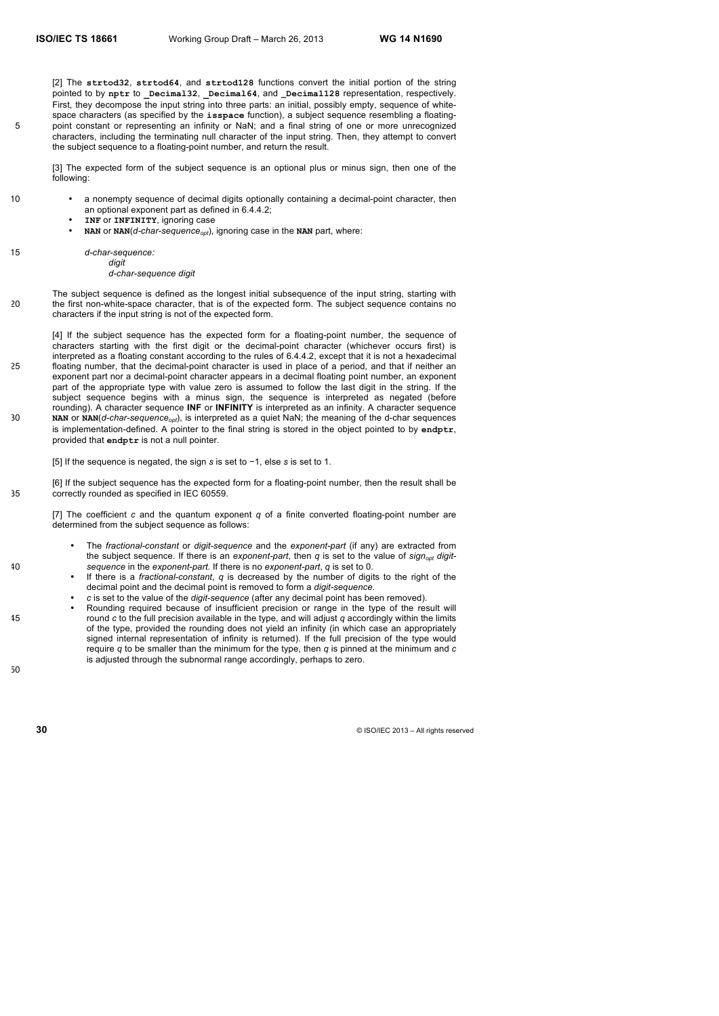[2] The **strtod32**, **strtod64**, and **strtod128** functions convert the initial portion of the string pointed to by **nptr** to **\_Decimal32**, **\_Decimal64**, and **\_Decimal128** representation, respectively. First, they decompose the input string into three parts: an initial, possibly empty, sequence of whitespace characters (as specified by the **isspace** function), a subject sequence resembling a floating-5 point constant or representing an infinity or NaN; and a final string of one or more unrecognized characters, including the terminating null character of the input string. Then, they attempt to convert the subject sequence to a floating-point number, and return the result.

[3] The expected form of the subject sequence is an optional plus or minus sign, then one of the following:

| 10 |  | • a nonempty sequence of decimal digits optionally containing a decimal-point character, then |
|----|--|-----------------------------------------------------------------------------------------------|
|    |  | an optional exponent part as defined in 6.4.4.2;                                              |

- **INF** or **INFINITY**, ignoring case
- **NAN** or **NAN**( $d$ -char-sequence<sub>opt</sub>), ignoring case in the **NAN** part, where:
- 15 *d-char-sequence:*

*digit d-char-sequence digit*

The subject sequence is defined as the longest initial subsequence of the input string, starting with 20 the first non-white-space character, that is of the expected form. The subject sequence contains no characters if the input string is not of the expected form.

[4] If the subject sequence has the expected form for a floating-point number, the sequence of characters starting with the first digit or the decimal-point character (whichever occurs first) is interpreted as a floating constant according to the rules of 6.4.4.2, except that it is not a hexadecimal 25 floating number, that the decimal-point character is used in place of a period, and that if neither an exponent part nor a decimal-point character appears in a decimal floating point number, an exponent part of the appropriate type with value zero is assumed to follow the last digit in the string. If the subject sequence begins with a minus sign, the sequence is interpreted as negated (before rounding). A character sequence **INF** or **INFINITY** is interpreted as an infinity. A character sequence 30 **NAN** or **NAN**(*d-char-sequence<sub>opt</sub>*), is interpreted as a quiet NaN; the meaning of the d-char sequences is implementation-defined. A pointer to the final string is stored in the object pointed to by **endptr**, provided that **endptr** is not a null pointer.

[5] If the sequence is negated, the sign *s* is set to −1, else *s* is set to 1.

[6] If the subject sequence has the expected form for a floating-point number, then the result shall be 35 correctly rounded as specified in IEC 60559.

[7] The coefficient *c* and the quantum exponent *q* of a finite converted floating-point number are determined from the subject sequence as follows:

- The *fractional-constant* or *digit-sequence* and the *exponent-part* (if any) are extracted from the subject sequence. If there is an *exponent-part*, then *q* is set to the value of *sign<sub>opt</sub>* digit-40 *sequence* in the *exponent-part*. If there is no *exponent-part*, *q* is set to 0.
	- If there is a *fractional-constant*, *q* is decreased by the number of digits to the right of the decimal point and the decimal point is removed to form a *digit-sequence*.
	- *c* is set to the value of the *digit-sequence* (after any decimal point has been removed).
- Rounding required because of insufficient precision or range in the type of the result will 45 round *c* to the full precision available in the type, and will adjust *q* accordingly within the limits of the type, provided the rounding does not yield an infinity (in which case an appropriately signed internal representation of infinity is returned). If the full precision of the type would require *q* to be smaller than the minimum for the type, then *q* is pinned at the minimum and *c* is adjusted through the subnormal range accordingly, perhaps to zero.

50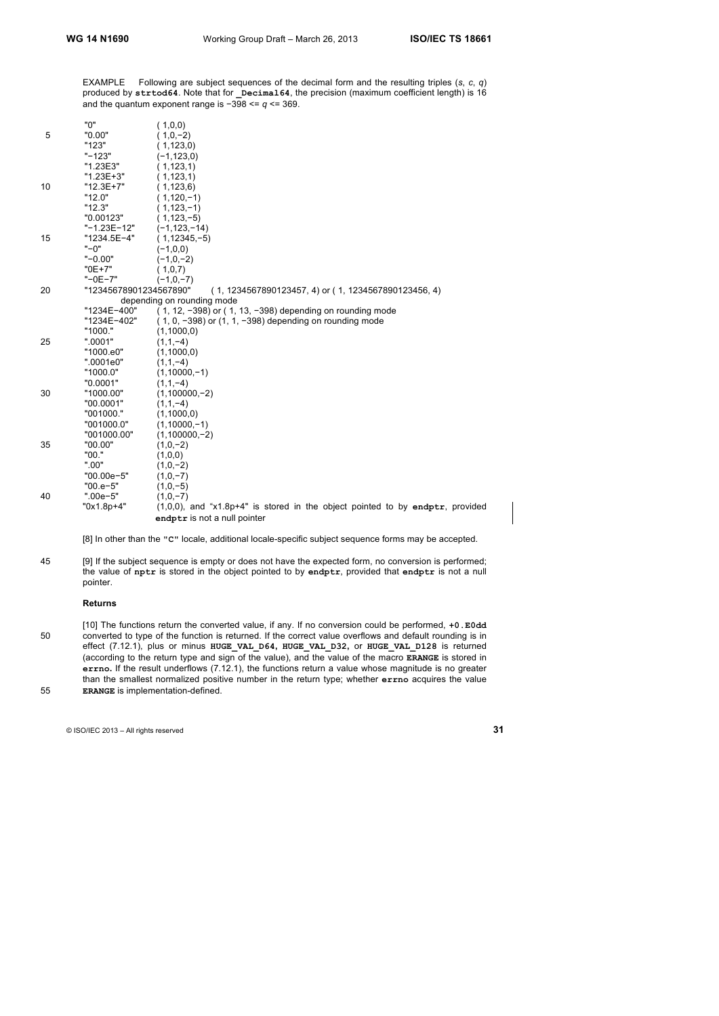EXAMPLE Following are subject sequences of the decimal form and the resulting triples (*s*, *c*, *q*) produced by **strtod64**. Note that for **\_Decimal64**, the precision (maximum coefficient length) is 16 and the quantum exponent range is −398 <= *q* <= 369.

|    | "0"                    | (1,0,0)                                                                          |
|----|------------------------|----------------------------------------------------------------------------------|
| 5  | "0.00"                 | $(1,0,-2)$                                                                       |
|    | "123"                  | (1, 123, 0)                                                                      |
|    | $" - 123"$             | $(-1, 123, 0)$                                                                   |
|    | "1.23E3"               | (1, 123, 1)                                                                      |
|    | "1.23E+3"              | (1, 123, 1)                                                                      |
| 10 | "12.3E+7"              | (1, 123, 6)                                                                      |
|    | "12.0"                 | $(1, 120, -1)$                                                                   |
|    | "12.3"                 | $(1, 123, -1)$                                                                   |
|    | "0.00123"              | $(1, 123, -5)$                                                                   |
|    | "-1.23E-12"            | $(-1, 123, -14)$                                                                 |
| 15 | "1234.5E-4"            | $(1, 12345, -5)$                                                                 |
|    | $"$ -0"                | $(-1,0,0)$                                                                       |
|    | $" -0.00"$             | $(-1,0,-2)$                                                                      |
|    | $"0E+7"$               | (1,0,7)                                                                          |
|    | $"$ -0E-7"             | $(-1,0,-7)$                                                                      |
| 20 | "12345678901234567890" | (1, 1234567890123457, 4) or (1, 1234567890123456, 4)                             |
|    |                        | depending on rounding mode                                                       |
|    | "1234E-400"            | (1, 12, -398) or (1, 13, -398) depending on rounding mode                        |
|    | "1234E-402"            | $(1, 0, -398)$ or $(1, 1, -398)$ depending on rounding mode                      |
|    | "1000."                | (1,1000,0)                                                                       |
| 25 | ".0001"                | $(1,1,-4)$                                                                       |
|    | "1000.e0"              | (1,1000,0)                                                                       |
|    | ".0001e0"              | $(1,1,-4)$                                                                       |
|    | "1000.0"               | $(1,10000,-1)$                                                                   |
|    | "0.0001"               | $(1,1,-4)$                                                                       |
| 30 | "1000.00"              | $(1,100000,-2)$                                                                  |
|    | "00.0001"              | $(1,1,-4)$                                                                       |
|    | "001000."              | (1,1000,0)                                                                       |
|    | "001000.0"             | $(1,10000,-1)$                                                                   |
|    | "001000.00"            | $(1,100000,-2)$                                                                  |
| 35 | "00.00"                | $(1,0,-2)$                                                                       |
|    | "00."                  | (1,0,0)                                                                          |
|    | ".00"                  | $(1,0,-2)$                                                                       |
|    | "00.00e-5"             | $(1,0,-7)$                                                                       |
|    | $"00.e-5"$             | $(1,0,-5)$                                                                       |
| 40 | ".00e-5"               | $(1,0,-7)$                                                                       |
|    | "0x1.8p+4"             | $(1,0,0)$ , and "x1.8p+4" is stored in the object pointed to by endptr, provided |
|    |                        | endptr is not a null pointer                                                     |
|    |                        |                                                                                  |

[8] In other than the **"C"** locale, additional locale-specific subject sequence forms may be accepted.

45 [9] If the subject sequence is empty or does not have the expected form, no conversion is performed; the value of **nptr** is stored in the object pointed to by **endptr**, provided that **endptr** is not a null pointer.

# **Returns**

[10] The functions return the converted value, if any. If no conversion could be performed, **+0.E0dd** 50 converted to type of the function is returned. If the correct value overflows and default rounding is in effect (7.12.1), plus or minus **HUGE\_VAL\_D64, HUGE\_VAL\_D32,** or **HUGE\_VAL\_D128** is returned (according to the return type and sign of the value), and the value of the macro **ERANGE** is stored in **errno.** If the result underflows (7.12.1), the functions return a value whose magnitude is no greater than the smallest normalized positive number in the return type; whether **errno** acquires the value 55 **ERANGE** is implementation-defined.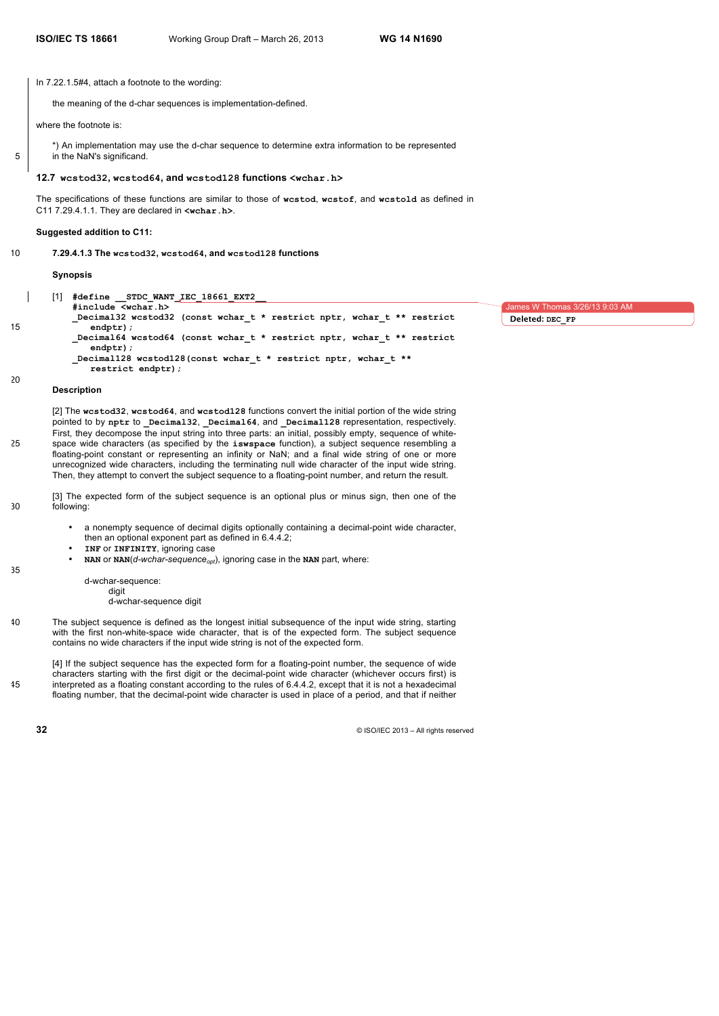1es W Thomas 3/26/13 9:03 AM

**Deleted: DEC\_FP**

In 7.22.1.5#4, attach a footnote to the wording:

the meaning of the d-char sequences is implementation-defined.

where the footnote is:

\*) An implementation may use the d-char sequence to determine extra information to be represented

5 in the NaN's significand.

#### **12.7 wcstod32, wcstod64, and wcstod128 functions <wchar.h>**

The specifications of these functions are similar to those of **wcstod**, **wcstof**, and **wcstold** as defined in C11 7.29.4.1.1. They are declared in **<wchar.h>**.

#### **Suggested addition to C11:**

10 **7.29.4.1.3 The wcstod32, wcstod64, and wcstod128 functions**

**Synopsis**

[1] **#define \_\_STDC\_WANT\_IEC\_18661\_EXT2\_\_ #include <wchar.h> \_Decimal32 wcstod32 (const wchar\_t \* restrict nptr, wchar\_t \*\* restrict** 15 **endptr); \_Decimal64 wcstod64 (const wchar\_t \* restrict nptr, wchar\_t \*\* restrict endptr); \_Decimal128 wcstod128(const wchar\_t \* restrict nptr, wchar\_t \*\* restrict endptr);**

#### **Description**

20

35

[2] The **wcstod32**, **wcstod64**, and **wcstod128** functions convert the initial portion of the wide string pointed to by **nptr** to **\_Decimal32**, **\_Decimal64**, and **\_Decimal128** representation, respectively. First, they decompose the input string into three parts: an initial, possibly empty, sequence of white-25 space wide characters (as specified by the **iswspace** function), a subject sequence resembling a floating-point constant or representing an infinity or NaN; and a final wide string of one or more unrecognized wide characters, including the terminating null wide character of the input wide string. Then, they attempt to convert the subject sequence to a floating-point number, and return the result.

- [3] The expected form of the subject sequence is an optional plus or minus sign, then one of the 30 following:
	- a nonempty sequence of decimal digits optionally containing a decimal-point wide character, then an optional exponent part as defined in 6.4.4.2;
	- **INF** or **INFINITY**, ignoring case
	- $NAN$  or  $NAN(d-wchar-sequence_{opt})$ , ignoring case in the NAN part, where:
		- d-wchar-sequence:

digit

d-wchar-sequence digit

40 The subject sequence is defined as the longest initial subsequence of the input wide string, starting with the first non-white-space wide character, that is of the expected form. The subject sequence contains no wide characters if the input wide string is not of the expected form.

[4] If the subject sequence has the expected form for a floating-point number, the sequence of wide characters starting with the first digit or the decimal-point wide character (whichever occurs first) is 45 interpreted as a floating constant according to the rules of 6.4.4.2, except that it is not a hexadecimal floating number, that the decimal-point wide character is used in place of a period, and that if neither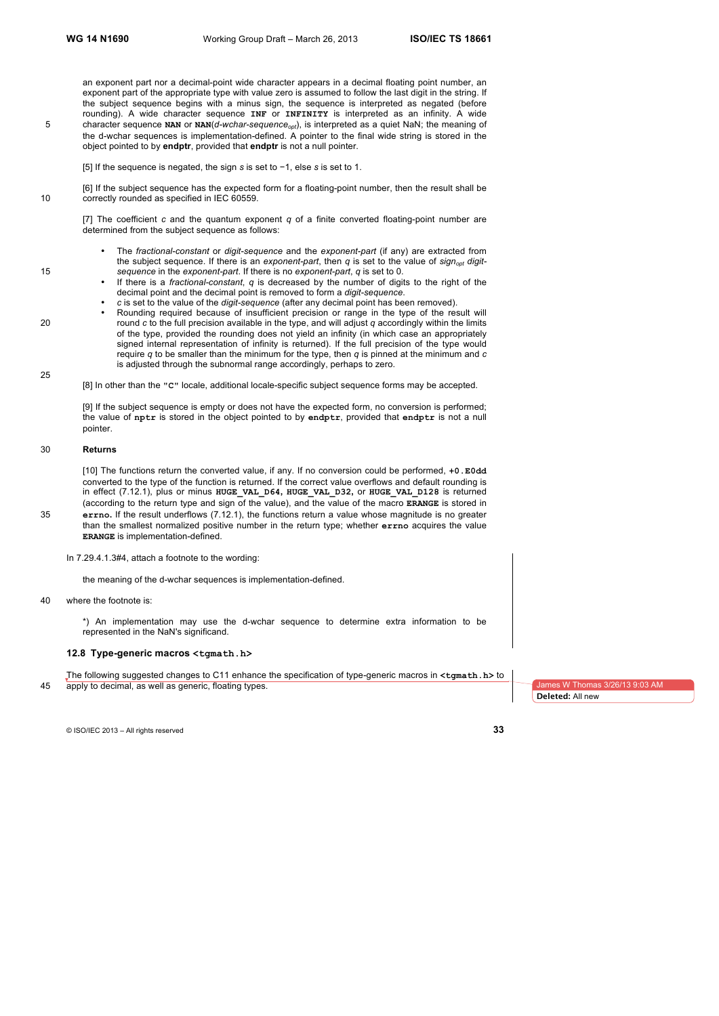an exponent part nor a decimal-point wide character appears in a decimal floating point number, an exponent part of the appropriate type with value zero is assumed to follow the last digit in the string. If the subject sequence begins with a minus sign, the sequence is interpreted as negated (before rounding). A wide character sequence **INF** or **INFINITY** is interpreted as an infinity. A wide 5 character sequence NAN or NAN(*d-wchar-sequence<sub>opt</sub>*), is interpreted as a quiet NaN; the meaning of the d-wchar sequences is implementation-defined. A pointer to the final wide string is stored in the object pointed to by **endptr**, provided that **endptr** is not a null pointer.

[5] If the sequence is negated, the sign *s* is set to −1, else *s* is set to 1.

[6] If the subject sequence has the expected form for a floating-point number, then the result shall be 10 correctly rounded as specified in IEC 60559.

[7] The coefficient *c* and the quantum exponent *q* of a finite converted floating-point number are determined from the subject sequence as follows:

- The *fractional-constant* or *digit-sequence* and the *exponent-part* (if any) are extracted from the subject sequence. If there is an *exponent-part*, then *q* is set to the value of *signopt digit-*15 *sequence* in the *exponent-part*. If there is no *exponent-part*, *q* is set to 0.
	- If there is a *fractional-constant*, *q* is decreased by the number of digits to the right of the decimal point and the decimal point is removed to form a *digit-sequence*.
	- *c* is set to the value of the *digit-sequence* (after any decimal point has been removed).
- Rounding required because of insufficient precision or range in the type of the result will 20 round *c* to the full precision available in the type, and will adjust *q* accordingly within the limits of the type, provided the rounding does not yield an infinity (in which case an appropriately signed internal representation of infinity is returned). If the full precision of the type would require *q* to be smaller than the minimum for the type, then *q* is pinned at the minimum and *c* is adjusted through the subnormal range accordingly, perhaps to zero.

[8] In other than the **"C"** locale, additional locale-specific subject sequence forms may be accepted.

[9] If the subject sequence is empty or does not have the expected form, no conversion is performed; the value of **nptr** is stored in the object pointed to by **endptr**, provided that **endptr** is not a null pointer.

#### 30 **Returns**

[10] The functions return the converted value, if any. If no conversion could be performed, **+0.E0dd** converted to the type of the function is returned. If the correct value overflows and default rounding is in effect (7.12.1), plus or minus **HUGE\_VAL\_D64, HUGE\_VAL\_D32,** or **HUGE\_VAL\_D128** is returned (according to the return type and sign of the value), and the value of the macro **ERANGE** is stored in 35 **errno.** If the result underflows (7.12.1), the functions return a value whose magnitude is no greater than the smallest normalized positive number in the return type; whether **errno** acquires the value **ERANGE** is implementation-defined.

In 7.29.4.1.3#4, attach a footnote to the wording:

the meaning of the d-wchar sequences is implementation-defined.

40 where the footnote is:

\*) An implementation may use the d-wchar sequence to determine extra information to be represented in the NaN's significand.

#### **12.8 Type-generic macros <tgmath.h>**

The following suggested changes to C11 enhance the specification of type-generic macros in **<tgmath.h>** to 45 apply to decimal, as well as generic, floating types.

**Deleted:** All new

© ISO/IEC 2013 – All rights reserved **33**

25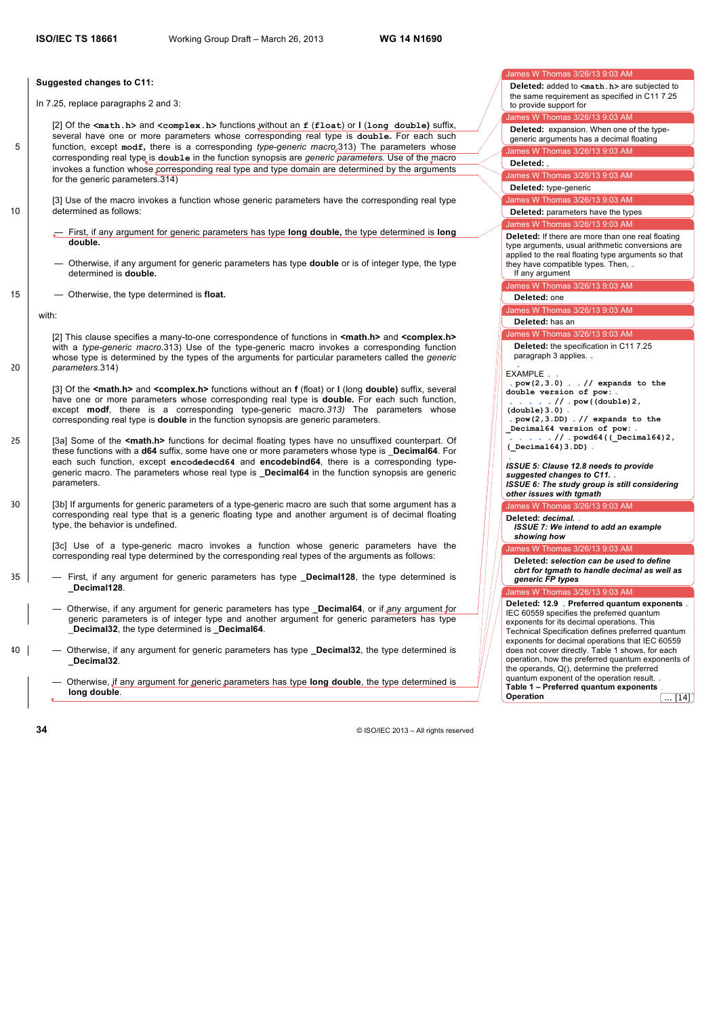#### **Suggested changes to C11:**

In 7.25, replace paragraphs 2 and 3:

[2] Of the **<math.h>** and **<complex.h>** functions without an **f** (**float**) or **l** (**long double)** suffix, several have one or more parameters whose corresponding real type is **double.** For each such 5 function, except **modf,** there is a corresponding *type-generic macro*.313) The parameters whose corresponding real type is **double** in the function synopsis are *generic parameters.* Use of the macro invokes a function whose corresponding real type and type domain are determined by the arguments for the generic parameters.314)

[3] Use of the macro invokes a function whose generic parameters have the corresponding real type 10 determined as follows:

- First, if any argument for generic parameters has type **long double,** the type determined is **long double.**
- Otherwise, if any argument for generic parameters has type **double** or is of integer type, the type determined is **double.**
- 15  **Otherwise, the type determined is float.**

with:

[2] This clause specifies a many-to-one correspondence of functions in **<math.h>** and **<complex.h>** with a *type-generic macro*.313) Use of the type-generic macro invokes a corresponding function whose type is determined by the types of the arguments for particular parameters called the *generic*  20 *parameters*.314)

[3] Of the **<math.h>** and **<complex.h>** functions without an **f** (float) or **l** (long **double)** suffix, several have one or more parameters whose corresponding real type is **double.** For each such function, except **modf**, there is a corresponding type-generic macro*.313)* The parameters whose corresponding real type is **double** in the function synopsis are generic parameters.

- 25 [3a] Some of the **<math.h>** functions for decimal floating types have no unsuffixed counterpart. Of these functions with a **d64** suffix, some have one or more parameters whose type is \_**Decimal64**. For each such function, except **encodedecd64** and **encodebind64**, there is a corresponding typegeneric macro. The parameters whose real type is **\_Decimal64** in the function synopsis are generic **parameters**
- 30 [3b] If arguments for generic parameters of a type-generic macro are such that some argument has a corresponding real type that is a generic floating type and another argument is of decimal floating type, the behavior is undefined.

[3c] Use of a type-generic macro invokes a function whose generic parameters have the corresponding real type determined by the corresponding real types of the arguments as follows:

- 35 First, if any argument for generic parameters has type **\_Decimal128**, the type determined is **\_Decimal128**.
	- Otherwise, if any argument for generic parameters has type **\_Decimal64**, or if any argument for generic parameters is of integer type and another argument for generic parameters has type \_**Decimal32**, the type determined is **\_Decimal64**.
- 40 Otherwise, if any argument for generic parameters has type **\_Decimal32**, the type determined is **\_Decimal32**.

— Otherwise, if any argument for generic parameters has type **long double**, the type determined is **long double**.

ames W Thomas 3/26/13 9:03 AM

**Deleted:** added to **<math.h>** are subjected to the same requirement as specified in C11 7.25 to provide support for

nes W Thomas 3/26/13 9:03 AM **Deleted:** expansion. When one of the type-

James W Thomas 3/26/13 9:03 AM generic arguments has a decimal floating

**Deleted:** ,

lames W Thomas 3/26/13 9:03 AM

**Deleted:** type-generic

James W Thomas 3/26/13 9:03 AM

James W Thomas 3/26/13 9:03 AM **Deleted:** parameters have the types

**Deleted:** If there are more than one real floating type arguments, usual arithmetic conversions are applied to the real floating type arguments so that they have compatible types. Then, If any argument

James W Thomas 3/26/13 9:03 AM

#### **Deleted:** one

mes W Thomas 3/26/13 9:03 AM

**Deleted:** has an

mes W Thomas 3/26/13 9:03 AM **Deleted:** the specification in C11 7.25 paragraph 3 applies. .

EXAMPLE

**pow(2,3.0) // expands to the double version of pow:**

**// pow((double)2, (double)3.0) pow(2,3.DD) // expands to the \_Decimal64 version of pow: // powd64((\_Decimal64)2, (\_Decimal64)3.DD)**

*ISSUE 5: Clause 12.8 needs to provide suggested changes to C11. ISSUE 6: The study group is still considering other issues with tgmath*

## es W Thomas 3/26/13 9:03 AM **Deleted:** *decimal.*

*ISSUE 7: We intend to add an example showing how* 

mas 3/26/13 9:03 AM

**Deleted:** *selection can be used to define cbrt for tgmath to handle decimal as well as generic FP types*

 $\overline{AB}$  W Thomas 3/26/13 9:03 AM

**Deleted: 12.9 Preferred quantum exponents** IEC 60559 specifies the preferred quantum exponents for its decimal operations. This Technical Specification defines preferred quantum exponents for decimal operations that IEC 60559 does not cover directly. Table 1 shows, for each operation, how the preferred quantum exponents of the operands, Q(), determine the preferred quantum exponent of the operation result. **Table 1 – Preferred quantum exponents Operation** ... [14]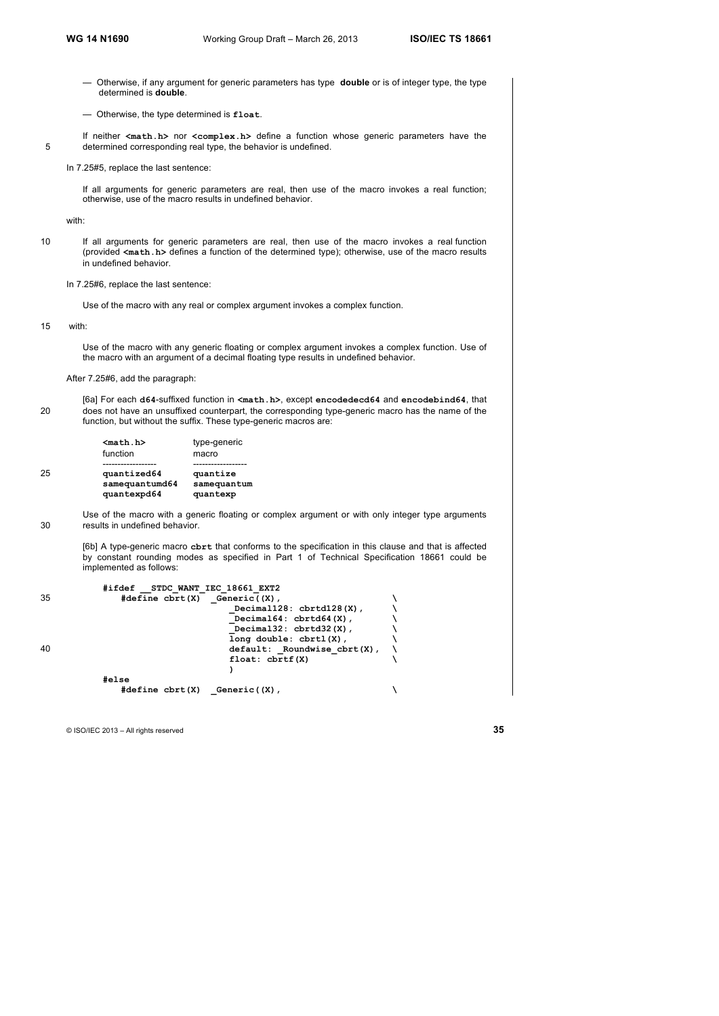- Otherwise, if any argument for generic parameters has type **double** or is of integer type, the type determined is **double**.
- Otherwise, the type determined is **float**.
- If neither **<math.h>** nor **<complex.h>** define a function whose generic parameters have the 5 determined corresponding real type, the behavior is undefined.
	- In 7.25#5, replace the last sentence:

If all arguments for generic parameters are real, then use of the macro invokes a real function; otherwise, use of the macro results in undefined behavior.

with:

10 If all arguments for generic parameters are real, then use of the macro invokes a real function (provided **<math.h>** defines a function of the determined type); otherwise, use of the macro results in undefined behavior.

In 7.25#6, replace the last sentence:

Use of the macro with any real or complex argument invokes a complex function.

15 with:

Use of the macro with any generic floating or complex argument invokes a complex function. Use of the macro with an argument of a decimal floating type results in undefined behavior.

After 7.25#6, add the paragraph:

[6a] For each **d64**-suffixed function in **<math.h>**, except **encodedecd64** and **encodebind64**, that 20 does not have an unsuffixed counterpart, the corresponding type-generic macro has the name of the function, but without the suffix. These type-generic macros are:

|    | $nath.h$<br>function                         | type-generic<br>macro               |
|----|----------------------------------------------|-------------------------------------|
| 25 | quantized64<br>samequantumd64<br>quantexpd64 | quantize<br>samequantum<br>quantexp |

Use of the macro with a generic floating or complex argument or with only integer type arguments 30 results in undefined behavior.

[6b] A type-generic macro **cbrt** that conforms to the specification in this clause and that is affected by constant rounding modes as specified in Part 1 of Technical Specification 18661 could be implemented as follows:

|    | #ifdef                                                   | STDC WANT IEC 18661 EXT2         |  |
|----|----------------------------------------------------------|----------------------------------|--|
| 35 | $\#define \; \text{chrt}(X) \quad \text{Generic}((X))$ , |                                  |  |
|    |                                                          | Decimal128: chrtd128(X),         |  |
|    |                                                          | Decimal $64:$ cbrtd $64(X)$ ,    |  |
|    |                                                          | Decimal32: $cbrtd32(X)$ ,        |  |
|    |                                                          | $long double: chrtl(X)$ ,        |  |
| 40 |                                                          | $default:$ Roundwise $cbrt(X)$ , |  |
|    |                                                          | float: chrtf(X)                  |  |
|    |                                                          |                                  |  |
|    | #else                                                    |                                  |  |
|    | $#define$ cbrt $(X)$                                     | Generic(X),                      |  |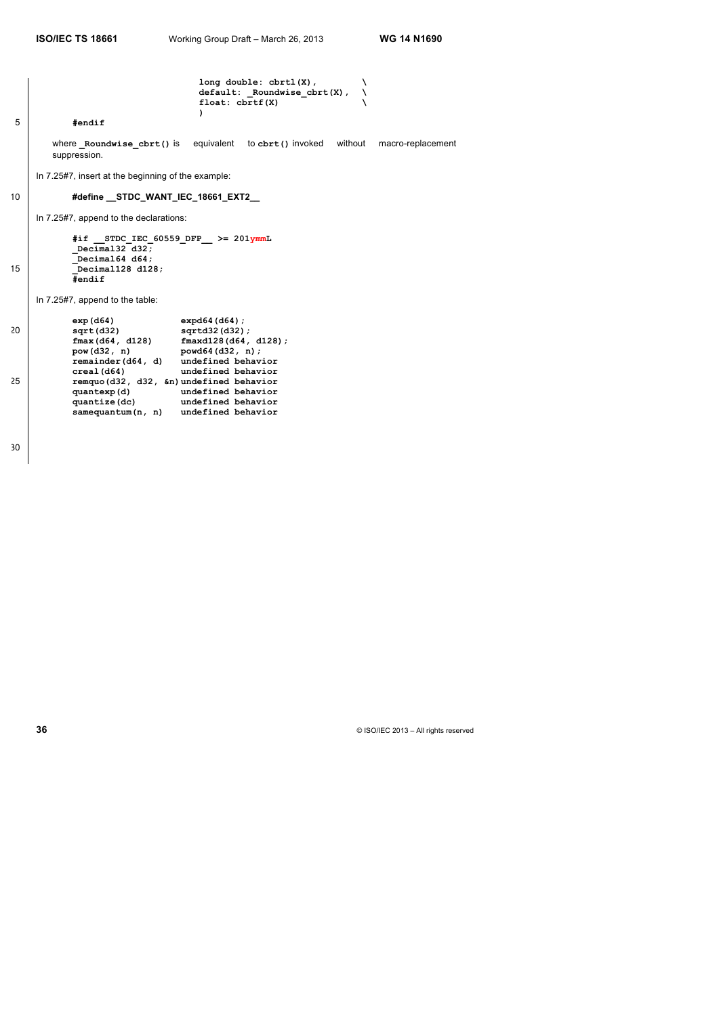long double: cbrtl(X),<br>default: \_Roundwise cbrt(X). **default: \_Roundwise\_cbrt(X), \ float: cbrtf(X) \ )** 5 **#endif** where **\_Roundwise\_cbrt()** is equivalent to **cbrt()** invoked without macro-replacement suppression. In 7.25#7, insert at the beginning of the example: 10 **#define \_\_STDC\_WANT\_IEC\_18661\_EXT2\_\_** In 7.25#7, append to the declarations: **#if \_\_STDC\_IEC\_60559\_DFP\_\_ >= 201ymmL \_Decimal32 d32; \_Decimal64 d64;** 15 **\_Decimal128 d128; #endif** In 7.25#7, append to the table: **exp(d64) expd64(d64);** 20 **sqrt(d32) sqrtd32(d32); fmax(d64, d128) fmaxd128(d64, d128); pow(d32, n) powd64(d32, n); remainder(d64, d) undefined behavior** creal(d64) **undefined behavior creal(d64) undefined behavior** 25 **remquo(d32, d32, &n)undefined behavior quantexp(d) undefined behavior quantize(dc) undefined behavior**

**samequantum(n, n) undefined behavior**

30